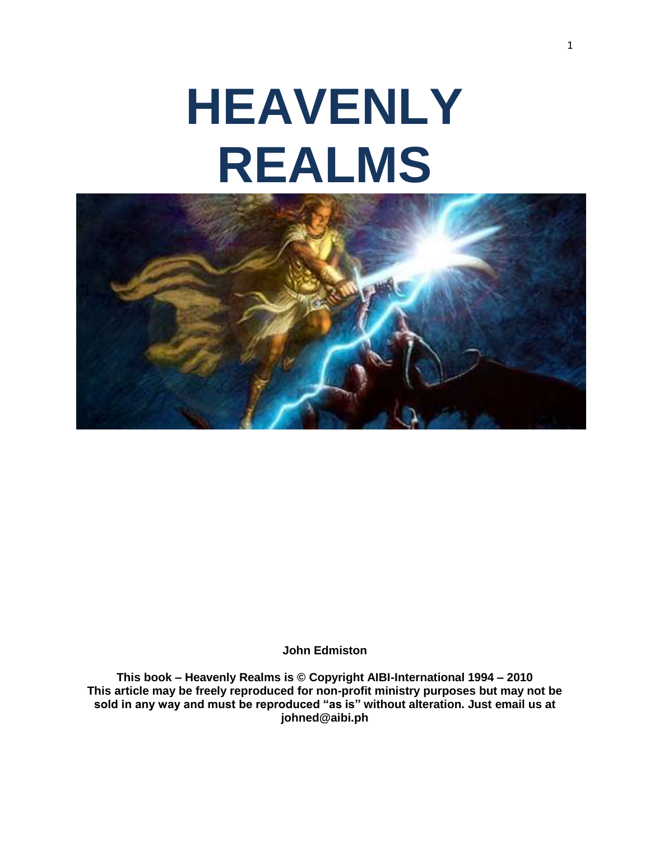# **HEAVENLY REALMS**



**John Edmiston**

**This book – Heavenly Realms is © Copyright AIBI-International 1994 – 2010 This article may be freely reproduced for non-profit ministry purposes but may not be sold in any way and must be reproduced "as is" without alteration. Just email us at [johned@aibi.ph](mailto:johned@aibi.ph)**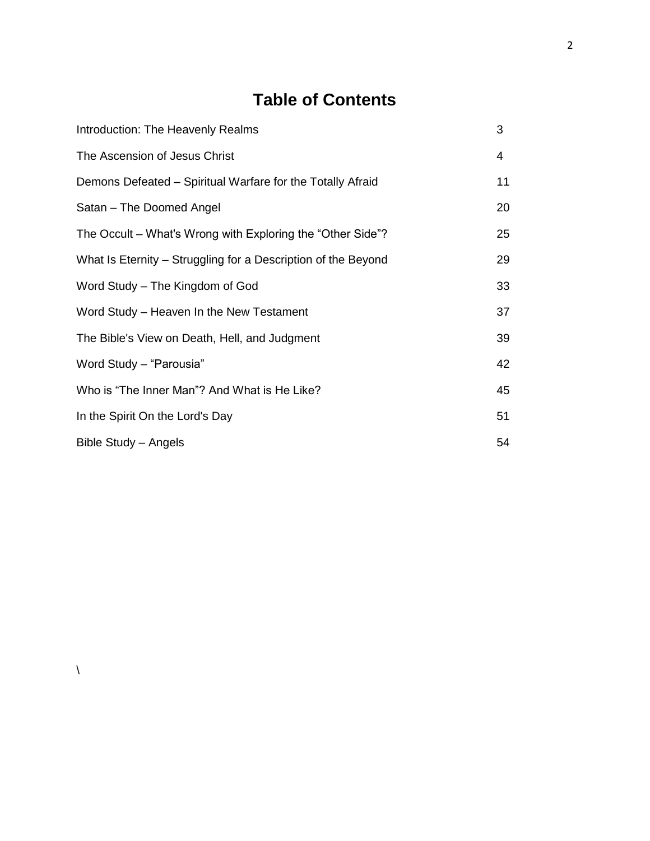# **Table of Contents**

| Introduction: The Heavenly Realms                             | 3              |
|---------------------------------------------------------------|----------------|
| The Ascension of Jesus Christ                                 | $\overline{4}$ |
| Demons Defeated – Spiritual Warfare for the Totally Afraid    | 11             |
| Satan - The Doomed Angel                                      | 20             |
| The Occult – What's Wrong with Exploring the "Other Side"?    | 25             |
| What Is Eternity – Struggling for a Description of the Beyond | 29             |
| Word Study – The Kingdom of God                               | 33             |
| Word Study – Heaven In the New Testament                      | 37             |
| The Bible's View on Death, Hell, and Judgment                 | 39             |
| Word Study - "Parousia"                                       | 42             |
| Who is "The Inner Man"? And What is He Like?                  | 45             |
| In the Spirit On the Lord's Day                               | 51             |
| Bible Study - Angels                                          | 54             |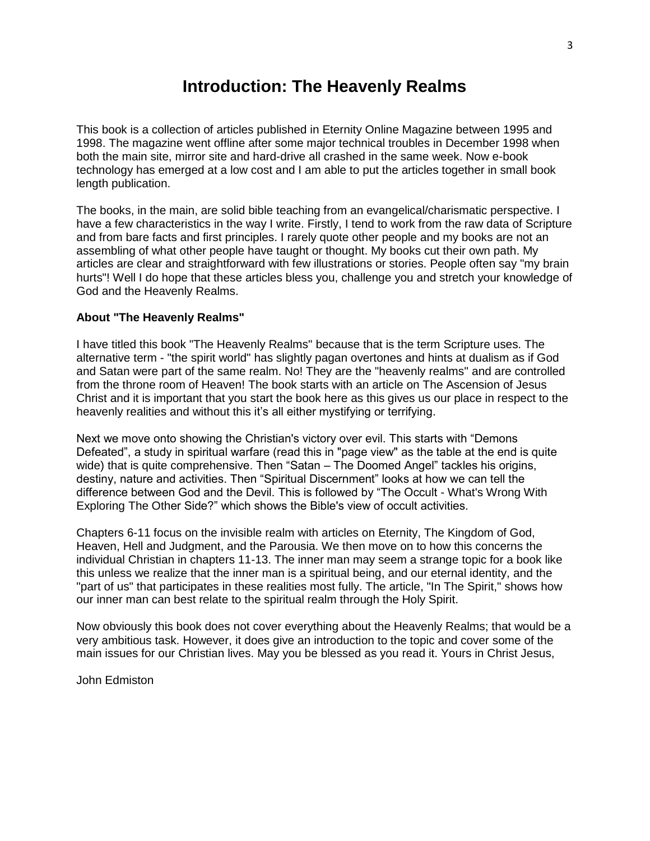# **Introduction: The Heavenly Realms**

This book is a collection of articles published in Eternity Online Magazine between 1995 and 1998. The magazine went offline after some major technical troubles in December 1998 when both the main site, mirror site and hard-drive all crashed in the same week. Now e-book technology has emerged at a low cost and I am able to put the articles together in small book length publication.

The books, in the main, are solid bible teaching from an evangelical/charismatic perspective. I have a few characteristics in the way I write. Firstly, I tend to work from the raw data of Scripture and from bare facts and first principles. I rarely quote other people and my books are not an assembling of what other people have taught or thought. My books cut their own path. My articles are clear and straightforward with few illustrations or stories. People often say "my brain hurts"! Well I do hope that these articles bless you, challenge you and stretch your knowledge of God and the Heavenly Realms.

## **About "The Heavenly Realms"**

I have titled this book "The Heavenly Realms" because that is the term Scripture uses. The alternative term - "the spirit world" has slightly pagan overtones and hints at dualism as if God and Satan were part of the same realm. No! They are the "heavenly realms'' and are controlled from the throne room of Heaven! The book starts with an article on The Ascension of Jesus Christ and it is important that you start the book here as this gives us our place in respect to the heavenly realities and without this it's all either mystifying or terrifying.

Next we move onto showing the Christian's victory over evil. This starts with "Demons Defeated", a study in spiritual warfare (read this in "page view" as the table at the end is quite wide) that is quite comprehensive. Then "Satan – The Doomed Angel" tackles his origins, destiny, nature and activities. Then "Spiritual Discernment" looks at how we can tell the difference between God and the Devil. This is followed by "The Occult - What's Wrong With Exploring The Other Side?" which shows the Bible's view of occult activities.

Chapters 6-11 focus on the invisible realm with articles on Eternity, The Kingdom of God, Heaven, Hell and Judgment, and the Parousia. We then move on to how this concerns the individual Christian in chapters 11-13. The inner man may seem a strange topic for a book like this unless we realize that the inner man is a spiritual being, and our eternal identity, and the "part of us" that participates in these realities most fully. The article, "In The Spirit," shows how our inner man can best relate to the spiritual realm through the Holy Spirit.

Now obviously this book does not cover everything about the Heavenly Realms; that would be a very ambitious task. However, it does give an introduction to the topic and cover some of the main issues for our Christian lives. May you be blessed as you read it. Yours in Christ Jesus,

John Edmiston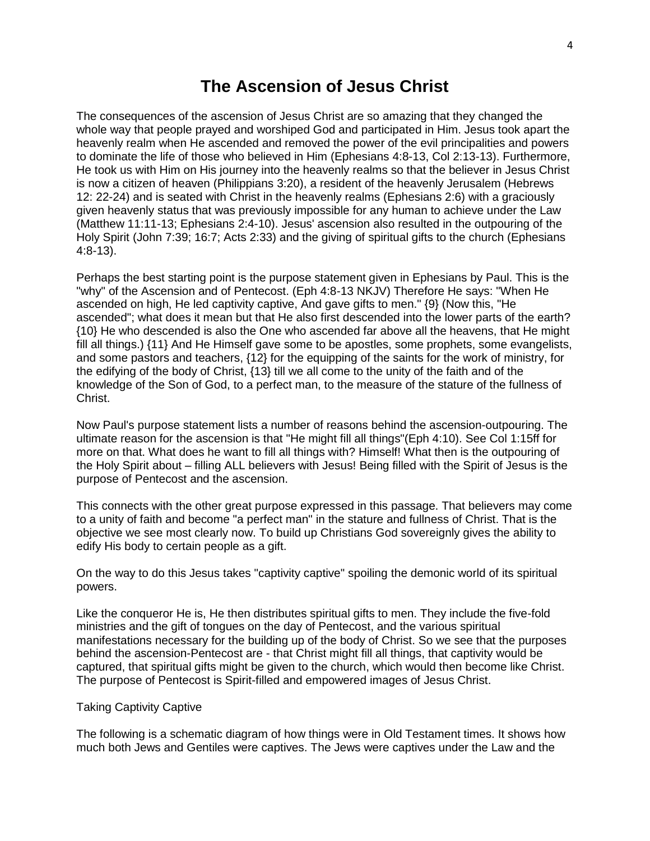# **The Ascension of Jesus Christ**

The consequences of the ascension of Jesus Christ are so amazing that they changed the whole way that people prayed and worshiped God and participated in Him. Jesus took apart the heavenly realm when He ascended and removed the power of the evil principalities and powers to dominate the life of those who believed in Him (Ephesians 4:8-13, Col 2:13-13). Furthermore, He took us with Him on His journey into the heavenly realms so that the believer in Jesus Christ is now a citizen of heaven (Philippians 3:20), a resident of the heavenly Jerusalem (Hebrews 12: 22-24) and is seated with Christ in the heavenly realms (Ephesians 2:6) with a graciously given heavenly status that was previously impossible for any human to achieve under the Law (Matthew 11:11-13; Ephesians 2:4-10). Jesus' ascension also resulted in the outpouring of the Holy Spirit (John 7:39; 16:7; Acts 2:33) and the giving of spiritual gifts to the church (Ephesians 4:8-13).

Perhaps the best starting point is the purpose statement given in Ephesians by Paul. This is the "why" of the Ascension and of Pentecost. (Eph 4:8-13 NKJV) Therefore He says: "When He ascended on high, He led captivity captive, And gave gifts to men." {9} (Now this, "He ascended"; what does it mean but that He also first descended into the lower parts of the earth? {10} He who descended is also the One who ascended far above all the heavens, that He might fill all things.) {11} And He Himself gave some to be apostles, some prophets, some evangelists, and some pastors and teachers, {12} for the equipping of the saints for the work of ministry, for the edifying of the body of Christ, {13} till we all come to the unity of the faith and of the knowledge of the Son of God, to a perfect man, to the measure of the stature of the fullness of Christ.

Now Paul's purpose statement lists a number of reasons behind the ascension-outpouring. The ultimate reason for the ascension is that "He might fill all things"(Eph 4:10). See Col 1:15ff for more on that. What does he want to fill all things with? Himself! What then is the outpouring of the Holy Spirit about – filling ALL believers with Jesus! Being filled with the Spirit of Jesus is the purpose of Pentecost and the ascension.

This connects with the other great purpose expressed in this passage. That believers may come to a unity of faith and become "a perfect man" in the stature and fullness of Christ. That is the objective we see most clearly now. To build up Christians God sovereignly gives the ability to edify His body to certain people as a gift.

On the way to do this Jesus takes "captivity captive" spoiling the demonic world of its spiritual powers.

Like the conqueror He is, He then distributes spiritual gifts to men. They include the five-fold ministries and the gift of tongues on the day of Pentecost, and the various spiritual manifestations necessary for the building up of the body of Christ. So we see that the purposes behind the ascension-Pentecost are - that Christ might fill all things, that captivity would be captured, that spiritual gifts might be given to the church, which would then become like Christ. The purpose of Pentecost is Spirit-filled and empowered images of Jesus Christ.

#### Taking Captivity Captive

The following is a schematic diagram of how things were in Old Testament times. It shows how much both Jews and Gentiles were captives. The Jews were captives under the Law and the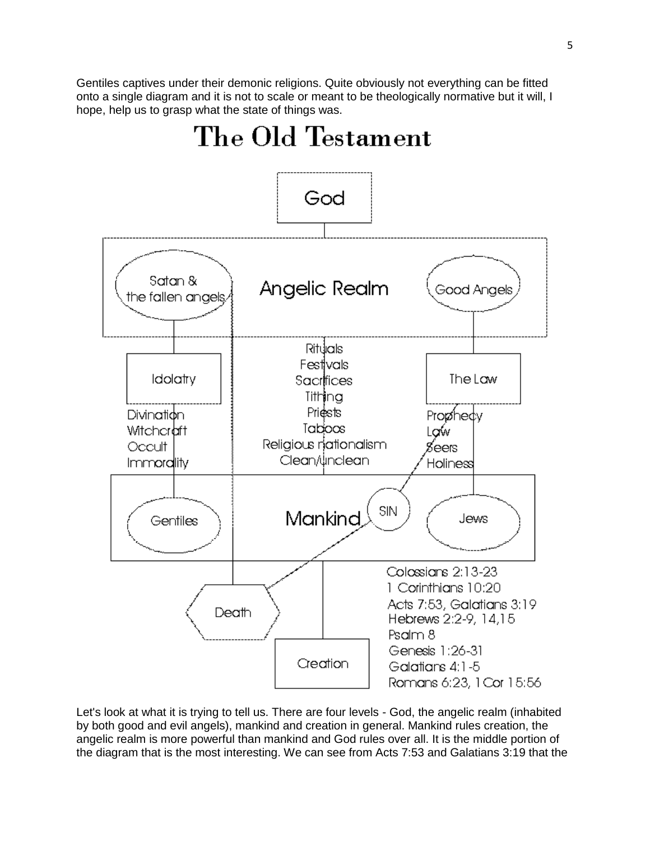Gentiles captives under their demonic religions. Quite obviously not everything can be fitted onto a single diagram and it is not to scale or meant to be theologically normative but it will, I hope, help us to grasp what the state of things was.



Let's look at what it is trying to tell us. There are four levels - God, the angelic realm (inhabited by both good and evil angels), mankind and creation in general. Mankind rules creation, the angelic realm is more powerful than mankind and God rules over all. It is the middle portion of the diagram that is the most interesting. We can see from Acts 7:53 and Galatians 3:19 that the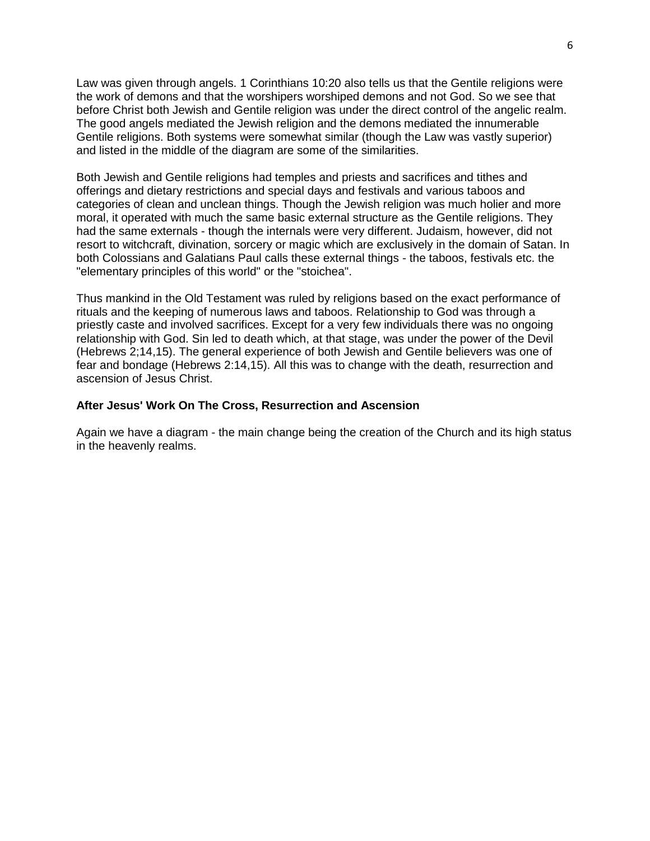Law was given through angels. 1 Corinthians 10:20 also tells us that the Gentile religions were the work of demons and that the worshipers worshiped demons and not God. So we see that before Christ both Jewish and Gentile religion was under the direct control of the angelic realm. The good angels mediated the Jewish religion and the demons mediated the innumerable Gentile religions. Both systems were somewhat similar (though the Law was vastly superior) and listed in the middle of the diagram are some of the similarities.

Both Jewish and Gentile religions had temples and priests and sacrifices and tithes and offerings and dietary restrictions and special days and festivals and various taboos and categories of clean and unclean things. Though the Jewish religion was much holier and more moral, it operated with much the same basic external structure as the Gentile religions. They had the same externals - though the internals were very different. Judaism, however, did not resort to witchcraft, divination, sorcery or magic which are exclusively in the domain of Satan. In both Colossians and Galatians Paul calls these external things - the taboos, festivals etc. the "elementary principles of this world" or the "stoichea".

Thus mankind in the Old Testament was ruled by religions based on the exact performance of rituals and the keeping of numerous laws and taboos. Relationship to God was through a priestly caste and involved sacrifices. Except for a very few individuals there was no ongoing relationship with God. Sin led to death which, at that stage, was under the power of the Devil (Hebrews 2;14,15). The general experience of both Jewish and Gentile believers was one of fear and bondage (Hebrews 2:14,15). All this was to change with the death, resurrection and ascension of Jesus Christ.

#### **After Jesus' Work On The Cross, Resurrection and Ascension**

Again we have a diagram - the main change being the creation of the Church and its high status in the heavenly realms.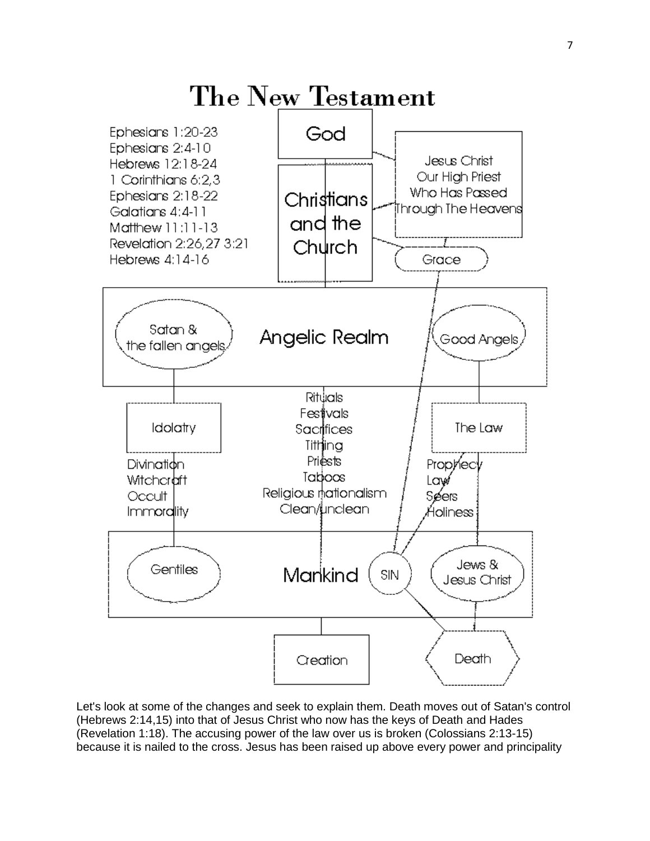

Let's look at some of the changes and seek to explain them. Death moves out of Satan's control (Hebrews 2:14,15) into that of Jesus Christ who now has the keys of Death and Hades (Revelation 1:18). The accusing power of the law over us is broken (Colossians 2:13-15) because it is nailed to the cross. Jesus has been raised up above every power and principality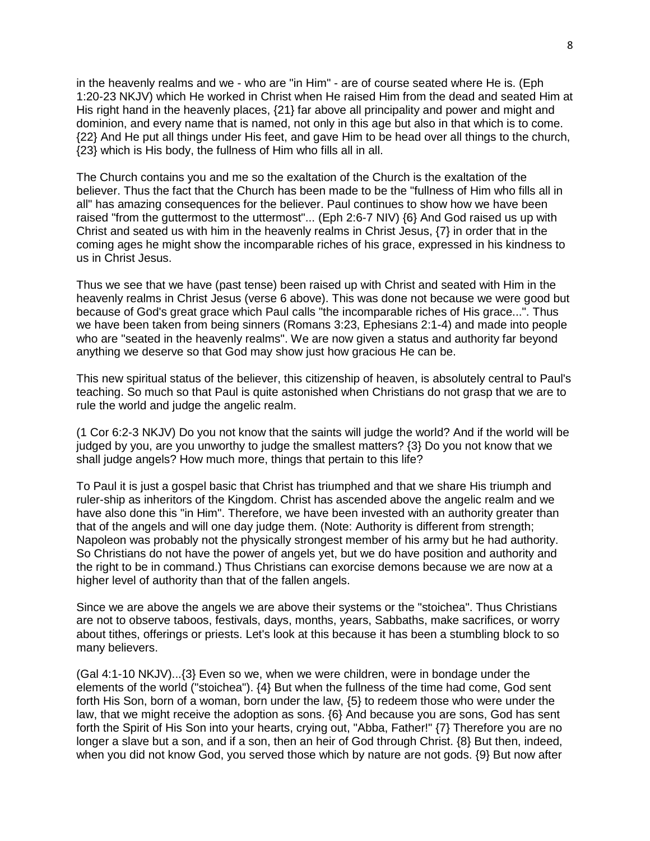in the heavenly realms and we - who are "in Him" - are of course seated where He is. (Eph 1:20-23 NKJV) which He worked in Christ when He raised Him from the dead and seated Him at His right hand in the heavenly places, {21} far above all principality and power and might and dominion, and every name that is named, not only in this age but also in that which is to come. {22} And He put all things under His feet, and gave Him to be head over all things to the church, {23} which is His body, the fullness of Him who fills all in all.

The Church contains you and me so the exaltation of the Church is the exaltation of the believer. Thus the fact that the Church has been made to be the "fullness of Him who fills all in all" has amazing consequences for the believer. Paul continues to show how we have been raised "from the guttermost to the uttermost"... (Eph 2:6-7 NIV) {6} And God raised us up with Christ and seated us with him in the heavenly realms in Christ Jesus, {7} in order that in the coming ages he might show the incomparable riches of his grace, expressed in his kindness to us in Christ Jesus.

Thus we see that we have (past tense) been raised up with Christ and seated with Him in the heavenly realms in Christ Jesus (verse 6 above). This was done not because we were good but because of God's great grace which Paul calls "the incomparable riches of His grace...". Thus we have been taken from being sinners (Romans 3:23, Ephesians 2:1-4) and made into people who are "seated in the heavenly realms". We are now given a status and authority far beyond anything we deserve so that God may show just how gracious He can be.

This new spiritual status of the believer, this citizenship of heaven, is absolutely central to Paul's teaching. So much so that Paul is quite astonished when Christians do not grasp that we are to rule the world and judge the angelic realm.

(1 Cor 6:2-3 NKJV) Do you not know that the saints will judge the world? And if the world will be judged by you, are you unworthy to judge the smallest matters? {3} Do you not know that we shall judge angels? How much more, things that pertain to this life?

To Paul it is just a gospel basic that Christ has triumphed and that we share His triumph and ruler-ship as inheritors of the Kingdom. Christ has ascended above the angelic realm and we have also done this "in Him". Therefore, we have been invested with an authority greater than that of the angels and will one day judge them. (Note: Authority is different from strength; Napoleon was probably not the physically strongest member of his army but he had authority. So Christians do not have the power of angels yet, but we do have position and authority and the right to be in command.) Thus Christians can exorcise demons because we are now at a higher level of authority than that of the fallen angels.

Since we are above the angels we are above their systems or the "stoichea". Thus Christians are not to observe taboos, festivals, days, months, years, Sabbaths, make sacrifices, or worry about tithes, offerings or priests. Let's look at this because it has been a stumbling block to so many believers.

(Gal 4:1-10 NKJV)...{3} Even so we, when we were children, were in bondage under the elements of the world ("stoichea"). {4} But when the fullness of the time had come, God sent forth His Son, born of a woman, born under the law, {5} to redeem those who were under the law, that we might receive the adoption as sons. {6} And because you are sons, God has sent forth the Spirit of His Son into your hearts, crying out, "Abba, Father!" {7} Therefore you are no longer a slave but a son, and if a son, then an heir of God through Christ.  $\{8\}$  But then, indeed, when you did not know God, you served those which by nature are not gods. {9} But now after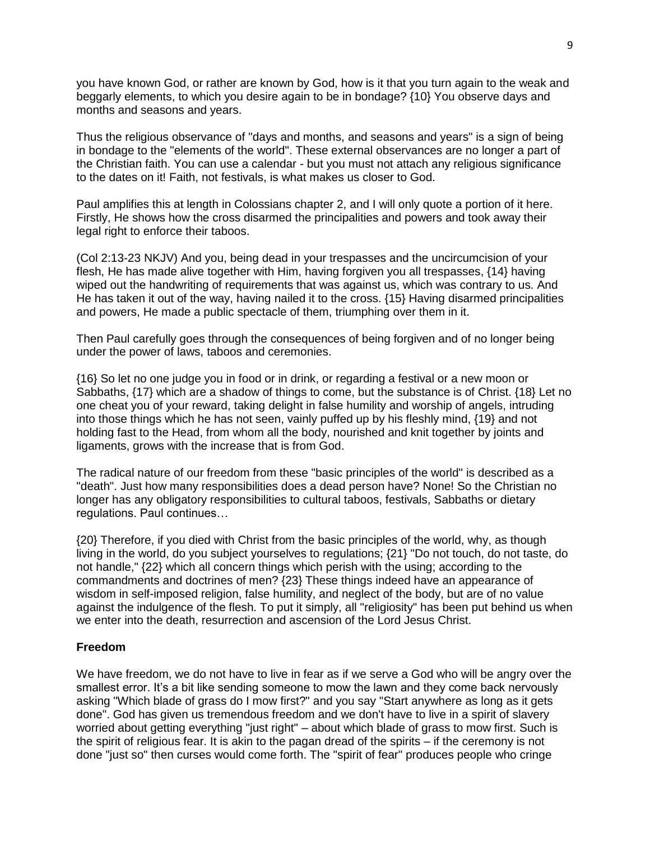you have known God, or rather are known by God, how is it that you turn again to the weak and beggarly elements, to which you desire again to be in bondage? {10} You observe days and months and seasons and years.

Thus the religious observance of "days and months, and seasons and years" is a sign of being in bondage to the "elements of the world". These external observances are no longer a part of the Christian faith. You can use a calendar - but you must not attach any religious significance to the dates on it! Faith, not festivals, is what makes us closer to God.

Paul amplifies this at length in Colossians chapter 2, and I will only quote a portion of it here. Firstly, He shows how the cross disarmed the principalities and powers and took away their legal right to enforce their taboos.

(Col 2:13-23 NKJV) And you, being dead in your trespasses and the uncircumcision of your flesh, He has made alive together with Him, having forgiven you all trespasses, {14} having wiped out the handwriting of requirements that was against us, which was contrary to us. And He has taken it out of the way, having nailed it to the cross. {15} Having disarmed principalities and powers, He made a public spectacle of them, triumphing over them in it.

Then Paul carefully goes through the consequences of being forgiven and of no longer being under the power of laws, taboos and ceremonies.

{16} So let no one judge you in food or in drink, or regarding a festival or a new moon or Sabbaths, {17} which are a shadow of things to come, but the substance is of Christ. {18} Let no one cheat you of your reward, taking delight in false humility and worship of angels, intruding into those things which he has not seen, vainly puffed up by his fleshly mind, {19} and not holding fast to the Head, from whom all the body, nourished and knit together by joints and ligaments, grows with the increase that is from God.

The radical nature of our freedom from these "basic principles of the world" is described as a "death". Just how many responsibilities does a dead person have? None! So the Christian no longer has any obligatory responsibilities to cultural taboos, festivals, Sabbaths or dietary regulations. Paul continues…

{20} Therefore, if you died with Christ from the basic principles of the world, why, as though living in the world, do you subject yourselves to regulations; {21} "Do not touch, do not taste, do not handle," {22} which all concern things which perish with the using; according to the commandments and doctrines of men? {23} These things indeed have an appearance of wisdom in self-imposed religion, false humility, and neglect of the body, but are of no value against the indulgence of the flesh. To put it simply, all "religiosity" has been put behind us when we enter into the death, resurrection and ascension of the Lord Jesus Christ.

#### **Freedom**

We have freedom, we do not have to live in fear as if we serve a God who will be angry over the smallest error. It's a bit like sending someone to mow the lawn and they come back nervously asking "Which blade of grass do I mow first?" and you say "Start anywhere as long as it gets done". God has given us tremendous freedom and we don't have to live in a spirit of slavery worried about getting everything "just right" – about which blade of grass to mow first. Such is the spirit of religious fear. It is akin to the pagan dread of the spirits – if the ceremony is not done "just so" then curses would come forth. The "spirit of fear" produces people who cringe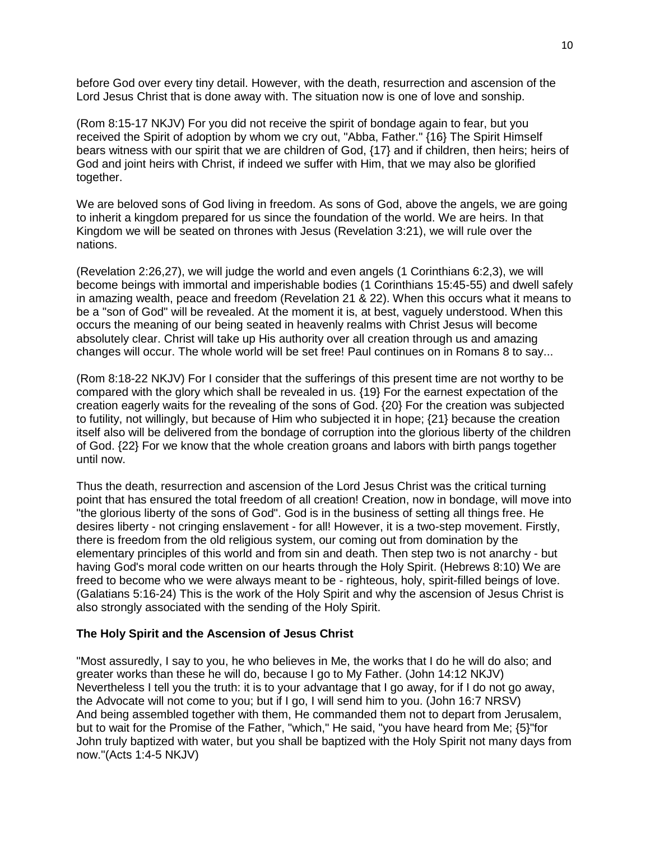before God over every tiny detail. However, with the death, resurrection and ascension of the Lord Jesus Christ that is done away with. The situation now is one of love and sonship.

(Rom 8:15-17 NKJV) For you did not receive the spirit of bondage again to fear, but you received the Spirit of adoption by whom we cry out, "Abba, Father." {16} The Spirit Himself bears witness with our spirit that we are children of God, {17} and if children, then heirs; heirs of God and joint heirs with Christ, if indeed we suffer with Him, that we may also be glorified together.

We are beloved sons of God living in freedom. As sons of God, above the angels, we are going to inherit a kingdom prepared for us since the foundation of the world. We are heirs. In that Kingdom we will be seated on thrones with Jesus (Revelation 3:21), we will rule over the nations.

(Revelation 2:26,27), we will judge the world and even angels (1 Corinthians 6:2,3), we will become beings with immortal and imperishable bodies (1 Corinthians 15:45-55) and dwell safely in amazing wealth, peace and freedom (Revelation 21 & 22). When this occurs what it means to be a "son of God" will be revealed. At the moment it is, at best, vaguely understood. When this occurs the meaning of our being seated in heavenly realms with Christ Jesus will become absolutely clear. Christ will take up His authority over all creation through us and amazing changes will occur. The whole world will be set free! Paul continues on in Romans 8 to say...

(Rom 8:18-22 NKJV) For I consider that the sufferings of this present time are not worthy to be compared with the glory which shall be revealed in us. {19} For the earnest expectation of the creation eagerly waits for the revealing of the sons of God. {20} For the creation was subjected to futility, not willingly, but because of Him who subjected it in hope; {21} because the creation itself also will be delivered from the bondage of corruption into the glorious liberty of the children of God. {22} For we know that the whole creation groans and labors with birth pangs together until now.

Thus the death, resurrection and ascension of the Lord Jesus Christ was the critical turning point that has ensured the total freedom of all creation! Creation, now in bondage, will move into "the glorious liberty of the sons of God". God is in the business of setting all things free. He desires liberty - not cringing enslavement - for all! However, it is a two-step movement. Firstly, there is freedom from the old religious system, our coming out from domination by the elementary principles of this world and from sin and death. Then step two is not anarchy - but having God's moral code written on our hearts through the Holy Spirit. (Hebrews 8:10) We are freed to become who we were always meant to be - righteous, holy, spirit-filled beings of love. (Galatians 5:16-24) This is the work of the Holy Spirit and why the ascension of Jesus Christ is also strongly associated with the sending of the Holy Spirit.

#### **The Holy Spirit and the Ascension of Jesus Christ**

"Most assuredly, I say to you, he who believes in Me, the works that I do he will do also; and greater works than these he will do, because I go to My Father. (John 14:12 NKJV) Nevertheless I tell you the truth: it is to your advantage that I go away, for if I do not go away, the Advocate will not come to you; but if I go, I will send him to you. (John 16:7 NRSV) And being assembled together with them, He commanded them not to depart from Jerusalem, but to wait for the Promise of the Father, "which," He said, "you have heard from Me; {5}"for John truly baptized with water, but you shall be baptized with the Holy Spirit not many days from now."(Acts 1:4-5 NKJV)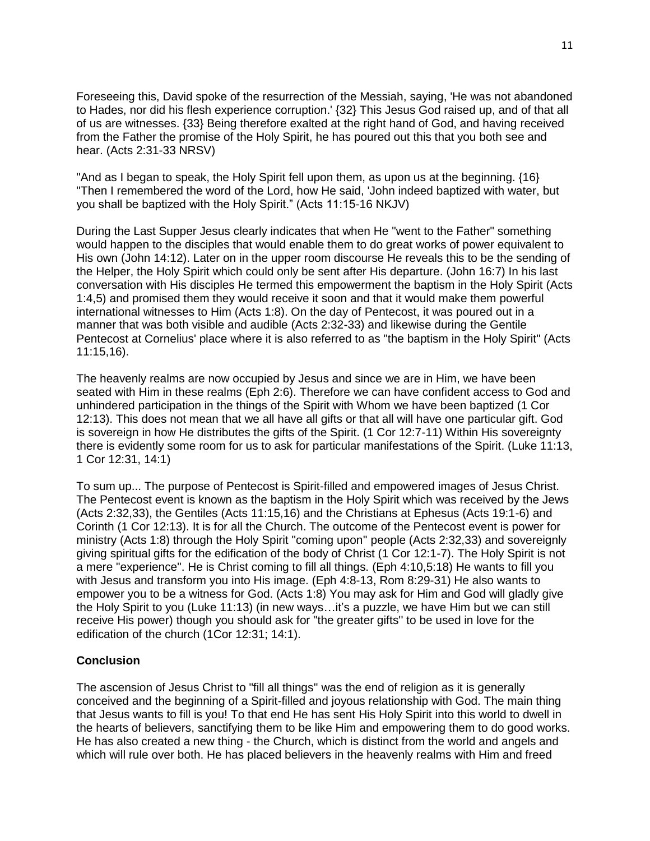Foreseeing this, David spoke of the resurrection of the Messiah, saying, 'He was not abandoned to Hades, nor did his flesh experience corruption.' {32} This Jesus God raised up, and of that all of us are witnesses. {33} Being therefore exalted at the right hand of God, and having received from the Father the promise of the Holy Spirit, he has poured out this that you both see and hear. (Acts 2:31-33 NRSV)

"And as I began to speak, the Holy Spirit fell upon them, as upon us at the beginning. {16} "Then I remembered the word of the Lord, how He said, 'John indeed baptized with water, but you shall be baptized with the Holy Spirit." (Acts 11:15-16 NKJV)

During the Last Supper Jesus clearly indicates that when He "went to the Father" something would happen to the disciples that would enable them to do great works of power equivalent to His own (John 14:12). Later on in the upper room discourse He reveals this to be the sending of the Helper, the Holy Spirit which could only be sent after His departure. (John 16:7) In his last conversation with His disciples He termed this empowerment the baptism in the Holy Spirit (Acts 1:4,5) and promised them they would receive it soon and that it would make them powerful international witnesses to Him (Acts 1:8). On the day of Pentecost, it was poured out in a manner that was both visible and audible (Acts 2:32-33) and likewise during the Gentile Pentecost at Cornelius' place where it is also referred to as "the baptism in the Holy Spirit" (Acts 11:15,16).

The heavenly realms are now occupied by Jesus and since we are in Him, we have been seated with Him in these realms (Eph 2:6). Therefore we can have confident access to God and unhindered participation in the things of the Spirit with Whom we have been baptized (1 Cor 12:13). This does not mean that we all have all gifts or that all will have one particular gift. God is sovereign in how He distributes the gifts of the Spirit. (1 Cor 12:7-11) Within His sovereignty there is evidently some room for us to ask for particular manifestations of the Spirit. (Luke 11:13, 1 Cor 12:31, 14:1)

To sum up... The purpose of Pentecost is Spirit-filled and empowered images of Jesus Christ. The Pentecost event is known as the baptism in the Holy Spirit which was received by the Jews (Acts 2:32,33), the Gentiles (Acts 11:15,16) and the Christians at Ephesus (Acts 19:1-6) and Corinth (1 Cor 12:13). It is for all the Church. The outcome of the Pentecost event is power for ministry (Acts 1:8) through the Holy Spirit "coming upon'' people (Acts 2:32,33) and sovereignly giving spiritual gifts for the edification of the body of Christ (1 Cor 12:1-7). The Holy Spirit is not a mere "experience". He is Christ coming to fill all things. (Eph 4:10,5:18) He wants to fill you with Jesus and transform you into His image. (Eph 4:8-13, Rom 8:29-31) He also wants to empower you to be a witness for God. (Acts 1:8) You may ask for Him and God will gladly give the Holy Spirit to you (Luke 11:13) (in new ways…it's a puzzle, we have Him but we can still receive His power) though you should ask for "the greater gifts'' to be used in love for the edification of the church (1Cor 12:31; 14:1).

# **Conclusion**

The ascension of Jesus Christ to "fill all things'' was the end of religion as it is generally conceived and the beginning of a Spirit-filled and joyous relationship with God. The main thing that Jesus wants to fill is you! To that end He has sent His Holy Spirit into this world to dwell in the hearts of believers, sanctifying them to be like Him and empowering them to do good works. He has also created a new thing - the Church, which is distinct from the world and angels and which will rule over both. He has placed believers in the heavenly realms with Him and freed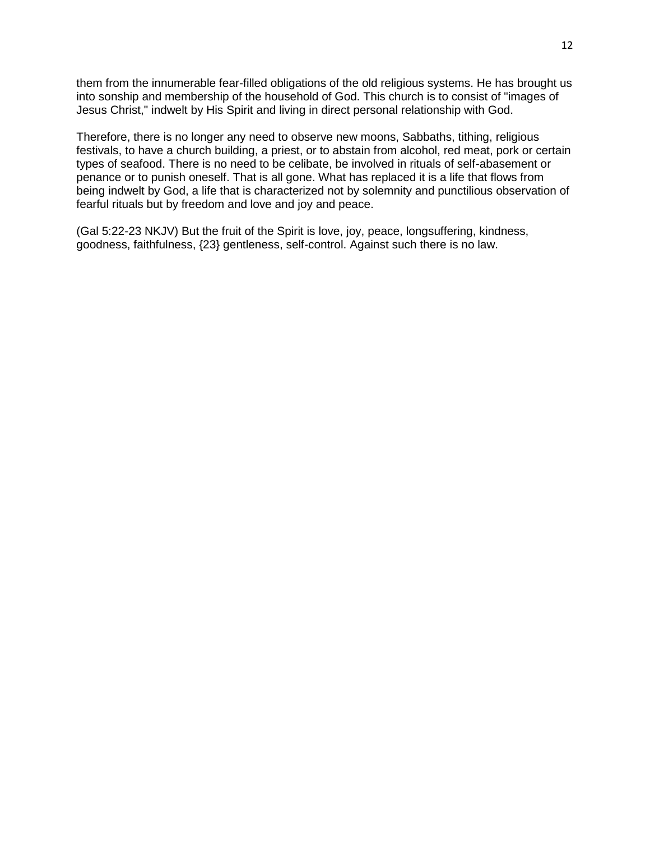them from the innumerable fear-filled obligations of the old religious systems. He has brought us into sonship and membership of the household of God. This church is to consist of "images of Jesus Christ," indwelt by His Spirit and living in direct personal relationship with God.

Therefore, there is no longer any need to observe new moons, Sabbaths, tithing, religious festivals, to have a church building, a priest, or to abstain from alcohol, red meat, pork or certain types of seafood. There is no need to be celibate, be involved in rituals of self-abasement or penance or to punish oneself. That is all gone. What has replaced it is a life that flows from being indwelt by God, a life that is characterized not by solemnity and punctilious observation of fearful rituals but by freedom and love and joy and peace.

(Gal 5:22-23 NKJV) But the fruit of the Spirit is love, joy, peace, longsuffering, kindness, goodness, faithfulness, {23} gentleness, self-control. Against such there is no law.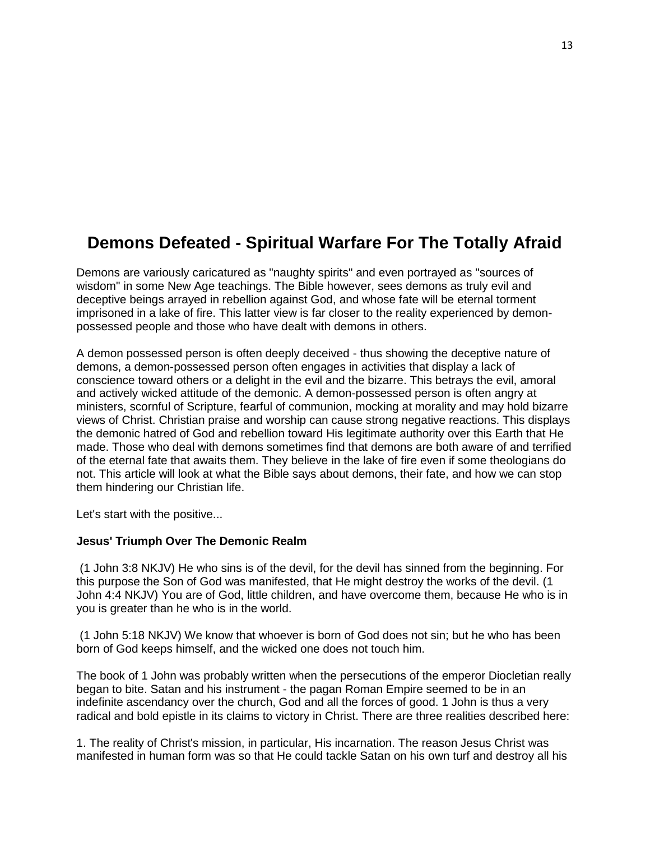# **Demons Defeated - Spiritual Warfare For The Totally Afraid**

Demons are variously caricatured as "naughty spirits" and even portrayed as "sources of wisdom" in some New Age teachings. The Bible however, sees demons as truly evil and deceptive beings arrayed in rebellion against God, and whose fate will be eternal torment imprisoned in a lake of fire. This latter view is far closer to the reality experienced by demonpossessed people and those who have dealt with demons in others.

A demon possessed person is often deeply deceived - thus showing the deceptive nature of demons, a demon-possessed person often engages in activities that display a lack of conscience toward others or a delight in the evil and the bizarre. This betrays the evil, amoral and actively wicked attitude of the demonic. A demon-possessed person is often angry at ministers, scornful of Scripture, fearful of communion, mocking at morality and may hold bizarre views of Christ. Christian praise and worship can cause strong negative reactions. This displays the demonic hatred of God and rebellion toward His legitimate authority over this Earth that He made. Those who deal with demons sometimes find that demons are both aware of and terrified of the eternal fate that awaits them. They believe in the lake of fire even if some theologians do not. This article will look at what the Bible says about demons, their fate, and how we can stop them hindering our Christian life.

Let's start with the positive...

#### **Jesus' Triumph Over The Demonic Realm**

(1 John 3:8 NKJV) He who sins is of the devil, for the devil has sinned from the beginning. For this purpose the Son of God was manifested, that He might destroy the works of the devil. (1 John 4:4 NKJV) You are of God, little children, and have overcome them, because He who is in you is greater than he who is in the world.

(1 John 5:18 NKJV) We know that whoever is born of God does not sin; but he who has been born of God keeps himself, and the wicked one does not touch him.

The book of 1 John was probably written when the persecutions of the emperor Diocletian really began to bite. Satan and his instrument - the pagan Roman Empire seemed to be in an indefinite ascendancy over the church, God and all the forces of good. 1 John is thus a very radical and bold epistle in its claims to victory in Christ. There are three realities described here:

1. The reality of Christ's mission, in particular, His incarnation. The reason Jesus Christ was manifested in human form was so that He could tackle Satan on his own turf and destroy all his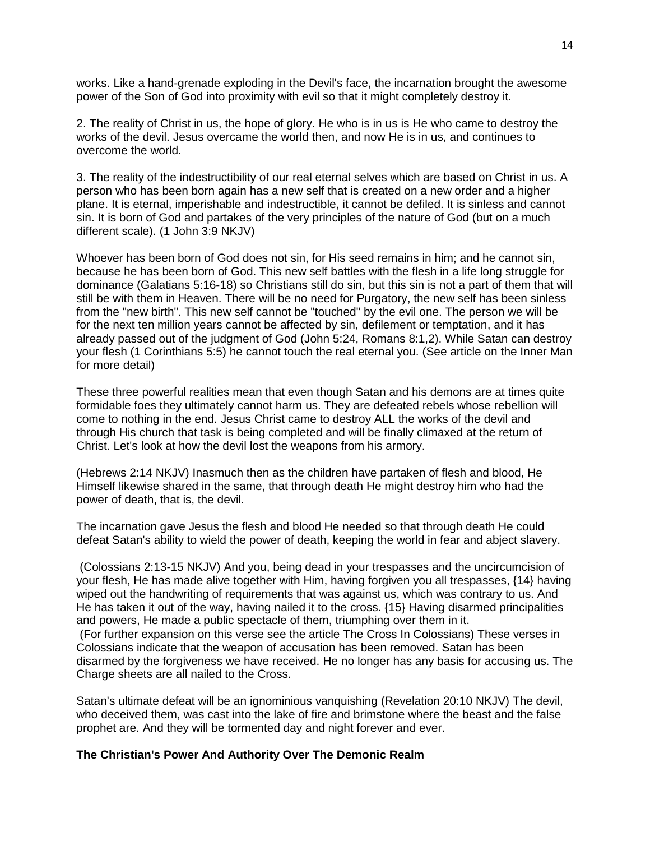works. Like a hand-grenade exploding in the Devil's face, the incarnation brought the awesome power of the Son of God into proximity with evil so that it might completely destroy it.

2. The reality of Christ in us, the hope of glory. He who is in us is He who came to destroy the works of the devil. Jesus overcame the world then, and now He is in us, and continues to overcome the world.

3. The reality of the indestructibility of our real eternal selves which are based on Christ in us. A person who has been born again has a new self that is created on a new order and a higher plane. It is eternal, imperishable and indestructible, it cannot be defiled. It is sinless and cannot sin. It is born of God and partakes of the very principles of the nature of God (but on a much different scale). (1 John 3:9 NKJV)

Whoever has been born of God does not sin, for His seed remains in him; and he cannot sin, because he has been born of God. This new self battles with the flesh in a life long struggle for dominance (Galatians 5:16-18) so Christians still do sin, but this sin is not a part of them that will still be with them in Heaven. There will be no need for Purgatory, the new self has been sinless from the "new birth". This new self cannot be "touched" by the evil one. The person we will be for the next ten million years cannot be affected by sin, defilement or temptation, and it has already passed out of the judgment of God (John 5:24, Romans 8:1,2). While Satan can destroy your flesh (1 Corinthians 5:5) he cannot touch the real eternal you. (See article on the Inner Man for more detail)

These three powerful realities mean that even though Satan and his demons are at times quite formidable foes they ultimately cannot harm us. They are defeated rebels whose rebellion will come to nothing in the end. Jesus Christ came to destroy ALL the works of the devil and through His church that task is being completed and will be finally climaxed at the return of Christ. Let's look at how the devil lost the weapons from his armory.

(Hebrews 2:14 NKJV) Inasmuch then as the children have partaken of flesh and blood, He Himself likewise shared in the same, that through death He might destroy him who had the power of death, that is, the devil.

The incarnation gave Jesus the flesh and blood He needed so that through death He could defeat Satan's ability to wield the power of death, keeping the world in fear and abject slavery.

(Colossians 2:13-15 NKJV) And you, being dead in your trespasses and the uncircumcision of your flesh, He has made alive together with Him, having forgiven you all trespasses, {14} having wiped out the handwriting of requirements that was against us, which was contrary to us. And He has taken it out of the way, having nailed it to the cross. {15} Having disarmed principalities and powers, He made a public spectacle of them, triumphing over them in it. (For further expansion on this verse see the article The Cross In Colossians) These verses in Colossians indicate that the weapon of accusation has been removed. Satan has been disarmed by the forgiveness we have received. He no longer has any basis for accusing us. The Charge sheets are all nailed to the Cross.

Satan's ultimate defeat will be an ignominious vanquishing (Revelation 20:10 NKJV) The devil, who deceived them, was cast into the lake of fire and brimstone where the beast and the false prophet are. And they will be tormented day and night forever and ever.

#### **The Christian's Power And Authority Over The Demonic Realm**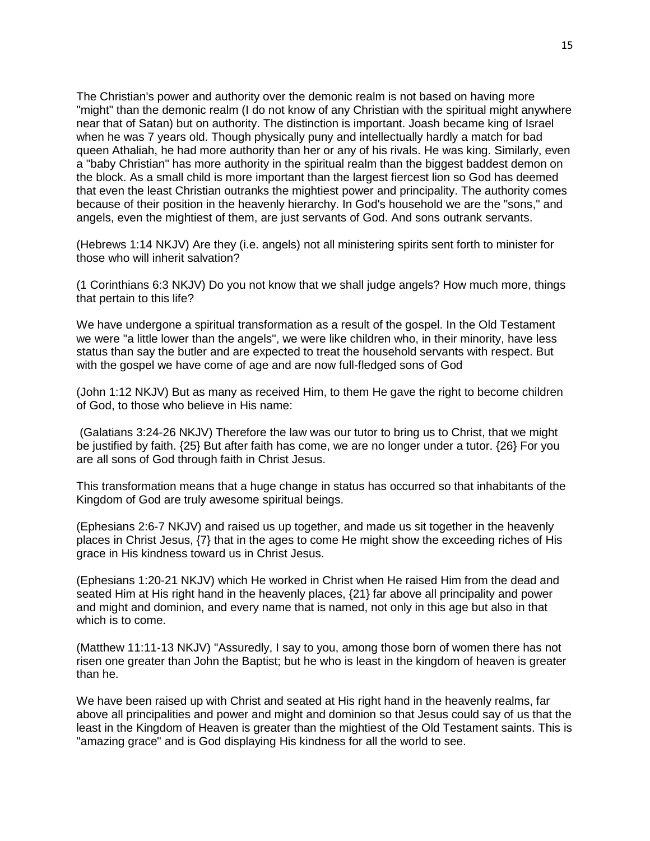The Christian's power and authority over the demonic realm is not based on having more "might" than the demonic realm (I do not know of any Christian with the spiritual might anywhere near that of Satan) but on authority. The distinction is important. Joash became king of Israel when he was 7 years old. Though physically puny and intellectually hardly a match for bad queen Athaliah, he had more authority than her or any of his rivals. He was king. Similarly, even a "baby Christian" has more authority in the spiritual realm than the biggest baddest demon on the block. As a small child is more important than the largest fiercest lion so God has deemed that even the least Christian outranks the mightiest power and principality. The authority comes because of their position in the heavenly hierarchy. In God's household we are the "sons," and angels, even the mightiest of them, are just servants of God. And sons outrank servants.

(Hebrews 1:14 NKJV) Are they (i.e. angels) not all ministering spirits sent forth to minister for those who will inherit salvation?

(1 Corinthians 6:3 NKJV) Do you not know that we shall judge angels? How much more, things that pertain to this life?

We have undergone a spiritual transformation as a result of the gospel. In the Old Testament we were "a little lower than the angels", we were like children who, in their minority, have less status than say the butler and are expected to treat the household servants with respect. But with the gospel we have come of age and are now full-fledged sons of God

(John 1:12 NKJV) But as many as received Him, to them He gave the right to become children of God, to those who believe in His name:

(Galatians 3:24-26 NKJV) Therefore the law was our tutor to bring us to Christ, that we might be justified by faith. {25} But after faith has come, we are no longer under a tutor. {26} For you are all sons of God through faith in Christ Jesus.

This transformation means that a huge change in status has occurred so that inhabitants of the Kingdom of God are truly awesome spiritual beings.

(Ephesians 2:6-7 NKJV) and raised us up together, and made us sit together in the heavenly places in Christ Jesus, {7} that in the ages to come He might show the exceeding riches of His grace in His kindness toward us in Christ Jesus.

(Ephesians 1:20-21 NKJV) which He worked in Christ when He raised Him from the dead and seated Him at His right hand in the heavenly places, {21} far above all principality and power and might and dominion, and every name that is named, not only in this age but also in that which is to come.

(Matthew 11:11-13 NKJV) "Assuredly, I say to you, among those born of women there has not risen one greater than John the Baptist; but he who is least in the kingdom of heaven is greater than he.

We have been raised up with Christ and seated at His right hand in the heavenly realms, far above all principalities and power and might and dominion so that Jesus could say of us that the least in the Kingdom of Heaven is greater than the mightiest of the Old Testament saints. This is "amazing grace" and is God displaying His kindness for all the world to see.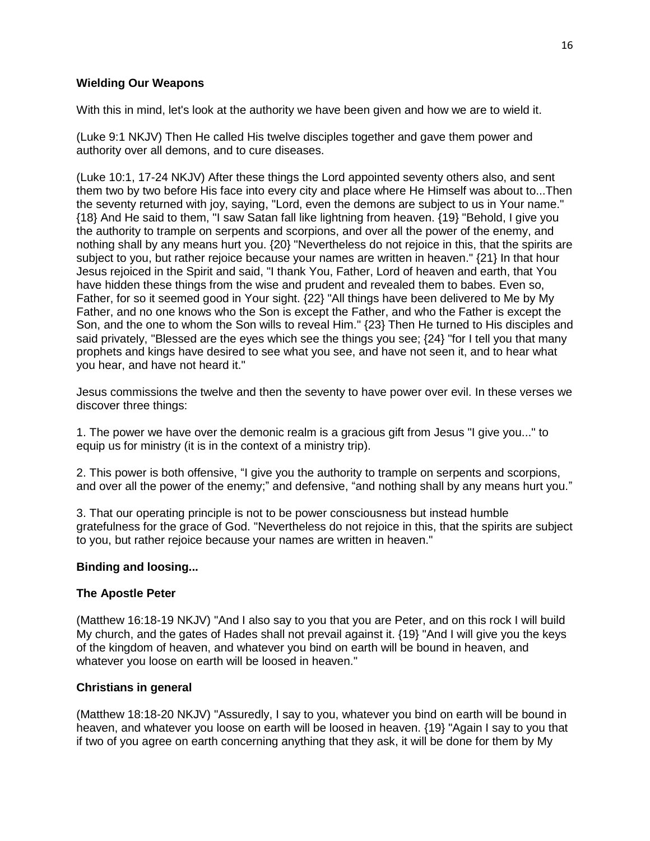# **Wielding Our Weapons**

With this in mind, let's look at the authority we have been given and how we are to wield it.

(Luke 9:1 NKJV) Then He called His twelve disciples together and gave them power and authority over all demons, and to cure diseases.

(Luke 10:1, 17-24 NKJV) After these things the Lord appointed seventy others also, and sent them two by two before His face into every city and place where He Himself was about to...Then the seventy returned with joy, saying, "Lord, even the demons are subject to us in Your name." {18} And He said to them, "I saw Satan fall like lightning from heaven. {19} "Behold, I give you the authority to trample on serpents and scorpions, and over all the power of the enemy, and nothing shall by any means hurt you. {20} "Nevertheless do not rejoice in this, that the spirits are subject to you, but rather rejoice because your names are written in heaven." {21} In that hour Jesus rejoiced in the Spirit and said, "I thank You, Father, Lord of heaven and earth, that You have hidden these things from the wise and prudent and revealed them to babes. Even so, Father, for so it seemed good in Your sight. {22} "All things have been delivered to Me by My Father, and no one knows who the Son is except the Father, and who the Father is except the Son, and the one to whom the Son wills to reveal Him." {23} Then He turned to His disciples and said privately, "Blessed are the eyes which see the things you see; {24} "for I tell you that many prophets and kings have desired to see what you see, and have not seen it, and to hear what you hear, and have not heard it."

Jesus commissions the twelve and then the seventy to have power over evil. In these verses we discover three things:

1. The power we have over the demonic realm is a gracious gift from Jesus "I give you..." to equip us for ministry (it is in the context of a ministry trip).

2. This power is both offensive, "I give you the authority to trample on serpents and scorpions, and over all the power of the enemy;" and defensive, "and nothing shall by any means hurt you."

3. That our operating principle is not to be power consciousness but instead humble gratefulness for the grace of God. "Nevertheless do not rejoice in this, that the spirits are subject to you, but rather rejoice because your names are written in heaven."

# **Binding and loosing...**

# **The Apostle Peter**

(Matthew 16:18-19 NKJV) "And I also say to you that you are Peter, and on this rock I will build My church, and the gates of Hades shall not prevail against it. {19} "And I will give you the keys of the kingdom of heaven, and whatever you bind on earth will be bound in heaven, and whatever you loose on earth will be loosed in heaven."

# **Christians in general**

(Matthew 18:18-20 NKJV) "Assuredly, I say to you, whatever you bind on earth will be bound in heaven, and whatever you loose on earth will be loosed in heaven. {19} "Again I say to you that if two of you agree on earth concerning anything that they ask, it will be done for them by My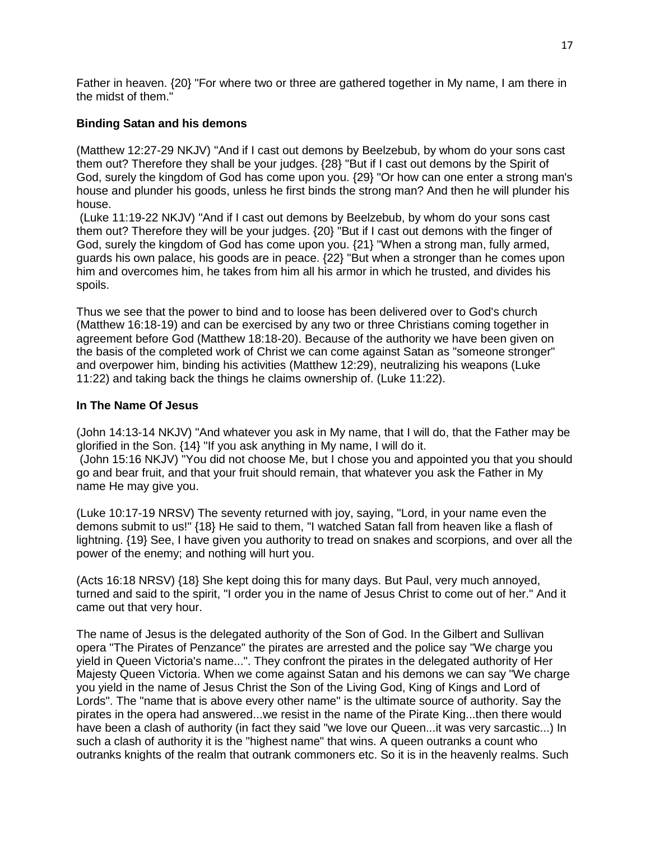Father in heaven. {20} "For where two or three are gathered together in My name, I am there in the midst of them."

# **Binding Satan and his demons**

(Matthew 12:27-29 NKJV) "And if I cast out demons by Beelzebub, by whom do your sons cast them out? Therefore they shall be your judges. {28} "But if I cast out demons by the Spirit of God, surely the kingdom of God has come upon you. {29} "Or how can one enter a strong man's house and plunder his goods, unless he first binds the strong man? And then he will plunder his house.

(Luke 11:19-22 NKJV) "And if I cast out demons by Beelzebub, by whom do your sons cast them out? Therefore they will be your judges. {20} "But if I cast out demons with the finger of God, surely the kingdom of God has come upon you. {21} "When a strong man, fully armed, guards his own palace, his goods are in peace. {22} "But when a stronger than he comes upon him and overcomes him, he takes from him all his armor in which he trusted, and divides his spoils.

Thus we see that the power to bind and to loose has been delivered over to God's church (Matthew 16:18-19) and can be exercised by any two or three Christians coming together in agreement before God (Matthew 18:18-20). Because of the authority we have been given on the basis of the completed work of Christ we can come against Satan as "someone stronger" and overpower him, binding his activities (Matthew 12:29), neutralizing his weapons (Luke 11:22) and taking back the things he claims ownership of. (Luke 11:22).

# **In The Name Of Jesus**

(John 14:13-14 NKJV) "And whatever you ask in My name, that I will do, that the Father may be glorified in the Son. {14} "If you ask anything in My name, I will do it. (John 15:16 NKJV) "You did not choose Me, but I chose you and appointed you that you should go and bear fruit, and that your fruit should remain, that whatever you ask the Father in My name He may give you.

(Luke 10:17-19 NRSV) The seventy returned with joy, saying, "Lord, in your name even the demons submit to us!" {18} He said to them, "I watched Satan fall from heaven like a flash of lightning. {19} See, I have given you authority to tread on snakes and scorpions, and over all the power of the enemy; and nothing will hurt you.

(Acts 16:18 NRSV) {18} She kept doing this for many days. But Paul, very much annoyed, turned and said to the spirit, "I order you in the name of Jesus Christ to come out of her." And it came out that very hour.

The name of Jesus is the delegated authority of the Son of God. In the Gilbert and Sullivan opera "The Pirates of Penzance" the pirates are arrested and the police say "We charge you yield in Queen Victoria's name...". They confront the pirates in the delegated authority of Her Majesty Queen Victoria. When we come against Satan and his demons we can say "We charge you yield in the name of Jesus Christ the Son of the Living God, King of Kings and Lord of Lords". The "name that is above every other name" is the ultimate source of authority. Say the pirates in the opera had answered...we resist in the name of the Pirate King...then there would have been a clash of authority (in fact they said "we love our Queen...it was very sarcastic...) In such a clash of authority it is the "highest name" that wins. A queen outranks a count who outranks knights of the realm that outrank commoners etc. So it is in the heavenly realms. Such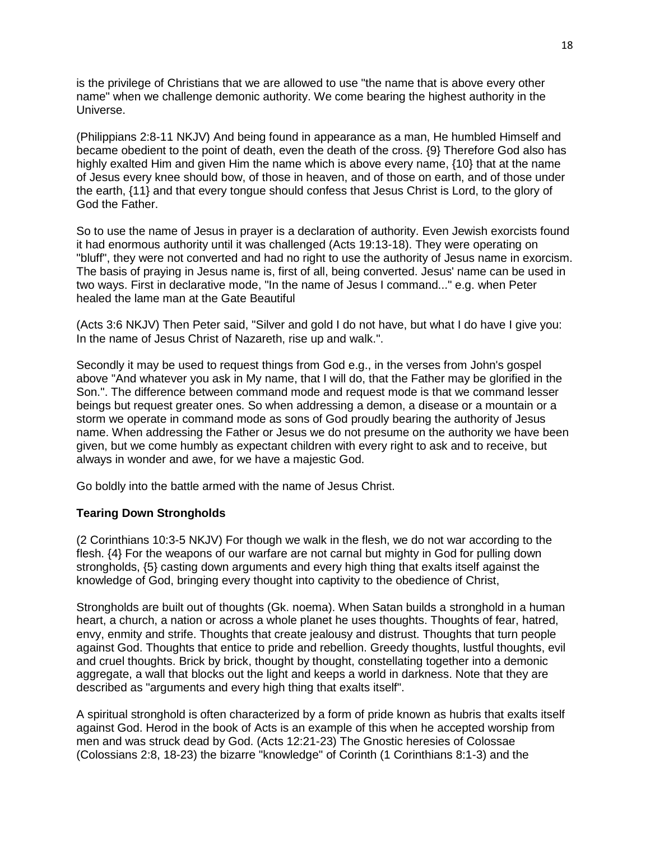is the privilege of Christians that we are allowed to use "the name that is above every other name" when we challenge demonic authority. We come bearing the highest authority in the Universe.

(Philippians 2:8-11 NKJV) And being found in appearance as a man, He humbled Himself and became obedient to the point of death, even the death of the cross. {9} Therefore God also has highly exalted Him and given Him the name which is above every name, {10} that at the name of Jesus every knee should bow, of those in heaven, and of those on earth, and of those under the earth, {11} and that every tongue should confess that Jesus Christ is Lord, to the glory of God the Father.

So to use the name of Jesus in prayer is a declaration of authority. Even Jewish exorcists found it had enormous authority until it was challenged (Acts 19:13-18). They were operating on "bluff", they were not converted and had no right to use the authority of Jesus name in exorcism. The basis of praying in Jesus name is, first of all, being converted. Jesus' name can be used in two ways. First in declarative mode, "In the name of Jesus I command..." e.g. when Peter healed the lame man at the Gate Beautiful

(Acts 3:6 NKJV) Then Peter said, "Silver and gold I do not have, but what I do have I give you: In the name of Jesus Christ of Nazareth, rise up and walk.".

Secondly it may be used to request things from God e.g., in the verses from John's gospel above "And whatever you ask in My name, that I will do, that the Father may be glorified in the Son.". The difference between command mode and request mode is that we command lesser beings but request greater ones. So when addressing a demon, a disease or a mountain or a storm we operate in command mode as sons of God proudly bearing the authority of Jesus name. When addressing the Father or Jesus we do not presume on the authority we have been given, but we come humbly as expectant children with every right to ask and to receive, but always in wonder and awe, for we have a majestic God.

Go boldly into the battle armed with the name of Jesus Christ.

#### **Tearing Down Strongholds**

(2 Corinthians 10:3-5 NKJV) For though we walk in the flesh, we do not war according to the flesh. {4} For the weapons of our warfare are not carnal but mighty in God for pulling down strongholds, {5} casting down arguments and every high thing that exalts itself against the knowledge of God, bringing every thought into captivity to the obedience of Christ,

Strongholds are built out of thoughts (Gk. noema). When Satan builds a stronghold in a human heart, a church, a nation or across a whole planet he uses thoughts. Thoughts of fear, hatred, envy, enmity and strife. Thoughts that create jealousy and distrust. Thoughts that turn people against God. Thoughts that entice to pride and rebellion. Greedy thoughts, lustful thoughts, evil and cruel thoughts. Brick by brick, thought by thought, constellating together into a demonic aggregate, a wall that blocks out the light and keeps a world in darkness. Note that they are described as "arguments and every high thing that exalts itself".

A spiritual stronghold is often characterized by a form of pride known as hubris that exalts itself against God. Herod in the book of Acts is an example of this when he accepted worship from men and was struck dead by God. (Acts 12:21-23) The Gnostic heresies of Colossae (Colossians 2:8, 18-23) the bizarre "knowledge" of Corinth (1 Corinthians 8:1-3) and the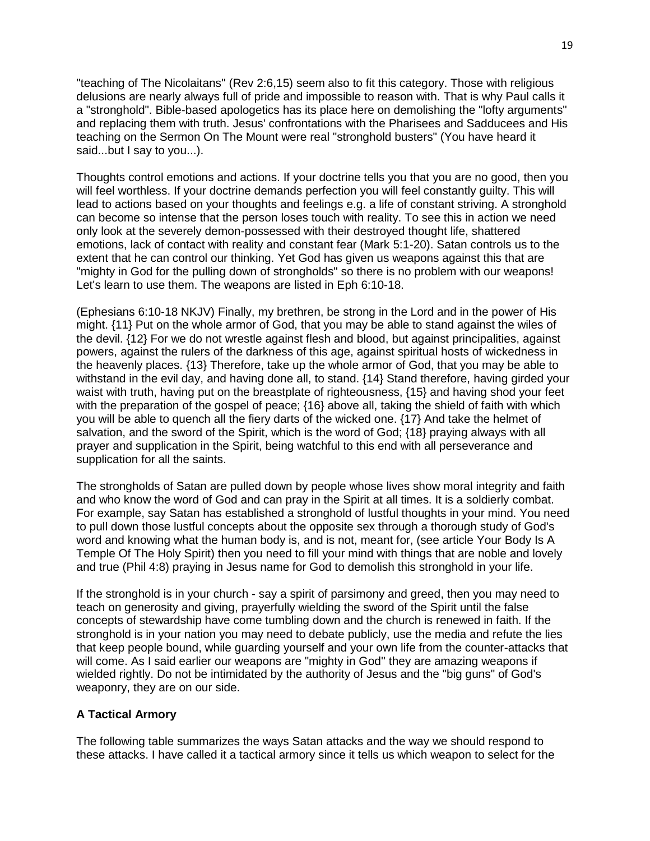"teaching of The Nicolaitans" (Rev 2:6,15) seem also to fit this category. Those with religious delusions are nearly always full of pride and impossible to reason with. That is why Paul calls it a "stronghold". Bible-based apologetics has its place here on demolishing the "lofty arguments" and replacing them with truth. Jesus' confrontations with the Pharisees and Sadducees and His teaching on the Sermon On The Mount were real "stronghold busters" (You have heard it said...but I say to you...).

Thoughts control emotions and actions. If your doctrine tells you that you are no good, then you will feel worthless. If your doctrine demands perfection you will feel constantly guilty. This will lead to actions based on your thoughts and feelings e.g. a life of constant striving. A stronghold can become so intense that the person loses touch with reality. To see this in action we need only look at the severely demon-possessed with their destroyed thought life, shattered emotions, lack of contact with reality and constant fear (Mark 5:1-20). Satan controls us to the extent that he can control our thinking. Yet God has given us weapons against this that are "mighty in God for the pulling down of strongholds" so there is no problem with our weapons! Let's learn to use them. The weapons are listed in Eph 6:10-18.

(Ephesians 6:10-18 NKJV) Finally, my brethren, be strong in the Lord and in the power of His might. {11} Put on the whole armor of God, that you may be able to stand against the wiles of the devil. {12} For we do not wrestle against flesh and blood, but against principalities, against powers, against the rulers of the darkness of this age, against spiritual hosts of wickedness in the heavenly places. {13} Therefore, take up the whole armor of God, that you may be able to withstand in the evil day, and having done all, to stand. {14} Stand therefore, having girded your waist with truth, having put on the breastplate of righteousness, {15} and having shod your feet with the preparation of the gospel of peace; {16} above all, taking the shield of faith with which you will be able to quench all the fiery darts of the wicked one. {17} And take the helmet of salvation, and the sword of the Spirit, which is the word of God; {18} praying always with all prayer and supplication in the Spirit, being watchful to this end with all perseverance and supplication for all the saints.

The strongholds of Satan are pulled down by people whose lives show moral integrity and faith and who know the word of God and can pray in the Spirit at all times. It is a soldierly combat. For example, say Satan has established a stronghold of lustful thoughts in your mind. You need to pull down those lustful concepts about the opposite sex through a thorough study of God's word and knowing what the human body is, and is not, meant for, (see article Your Body Is A Temple Of The Holy Spirit) then you need to fill your mind with things that are noble and lovely and true (Phil 4:8) praying in Jesus name for God to demolish this stronghold in your life.

If the stronghold is in your church - say a spirit of parsimony and greed, then you may need to teach on generosity and giving, prayerfully wielding the sword of the Spirit until the false concepts of stewardship have come tumbling down and the church is renewed in faith. If the stronghold is in your nation you may need to debate publicly, use the media and refute the lies that keep people bound, while guarding yourself and your own life from the counter-attacks that will come. As I said earlier our weapons are "mighty in God'' they are amazing weapons if wielded rightly. Do not be intimidated by the authority of Jesus and the "big guns" of God's weaponry, they are on our side.

# **A Tactical Armory**

The following table summarizes the ways Satan attacks and the way we should respond to these attacks. I have called it a tactical armory since it tells us which weapon to select for the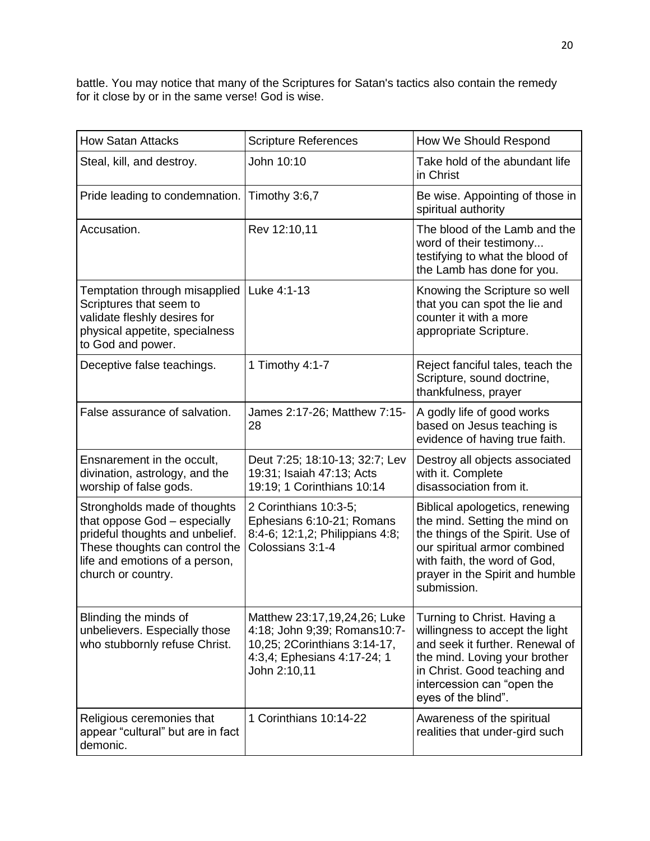battle. You may notice that many of the Scriptures for Satan's tactics also contain the remedy for it close by or in the same verse! God is wise.

| <b>How Satan Attacks</b>                                                                                                                                                                  | <b>Scripture References</b>                                                                                                                 | How We Should Respond                                                                                                                                                                                                   |
|-------------------------------------------------------------------------------------------------------------------------------------------------------------------------------------------|---------------------------------------------------------------------------------------------------------------------------------------------|-------------------------------------------------------------------------------------------------------------------------------------------------------------------------------------------------------------------------|
| Steal, kill, and destroy.                                                                                                                                                                 | John 10:10                                                                                                                                  | Take hold of the abundant life<br>in Christ                                                                                                                                                                             |
| Pride leading to condemnation.                                                                                                                                                            | Timothy 3:6,7                                                                                                                               | Be wise. Appointing of those in<br>spiritual authority                                                                                                                                                                  |
| Accusation.                                                                                                                                                                               | Rev 12:10,11                                                                                                                                | The blood of the Lamb and the<br>word of their testimony<br>testifying to what the blood of<br>the Lamb has done for you.                                                                                               |
| Temptation through misapplied<br>Scriptures that seem to<br>validate fleshly desires for<br>physical appetite, specialness<br>to God and power.                                           | Luke 4:1-13                                                                                                                                 | Knowing the Scripture so well<br>that you can spot the lie and<br>counter it with a more<br>appropriate Scripture.                                                                                                      |
| Deceptive false teachings.                                                                                                                                                                | 1 Timothy 4:1-7                                                                                                                             | Reject fanciful tales, teach the<br>Scripture, sound doctrine,<br>thankfulness, prayer                                                                                                                                  |
| False assurance of salvation.                                                                                                                                                             | James 2:17-26; Matthew 7:15-<br>28                                                                                                          | A godly life of good works<br>based on Jesus teaching is<br>evidence of having true faith.                                                                                                                              |
| Ensnarement in the occult,<br>divination, astrology, and the<br>worship of false gods.                                                                                                    | Deut 7:25; 18:10-13; 32:7; Lev<br>19:31; Isaiah 47:13; Acts<br>19:19; 1 Corinthians 10:14                                                   | Destroy all objects associated<br>with it. Complete<br>disassociation from it.                                                                                                                                          |
| Strongholds made of thoughts<br>that oppose God - especially<br>prideful thoughts and unbelief.<br>These thoughts can control the<br>life and emotions of a person,<br>church or country. | 2 Corinthians 10:3-5;<br>Ephesians 6:10-21; Romans<br>8:4-6; 12:1,2; Philippians 4:8;<br>Colossians 3:1-4                                   | Biblical apologetics, renewing<br>the mind. Setting the mind on<br>the things of the Spirit. Use of<br>our spiritual armor combined<br>with faith, the word of God,<br>prayer in the Spirit and humble<br>submission.   |
| Blinding the minds of<br>unbelievers. Especially those<br>who stubbornly refuse Christ.                                                                                                   | Matthew 23:17,19,24,26; Luke<br>4:18; John 9;39; Romans10:7-<br>10,25; 2Corinthians 3:14-17,<br>4:3,4; Ephesians 4:17-24; 1<br>John 2:10,11 | Turning to Christ. Having a<br>willingness to accept the light<br>and seek it further. Renewal of<br>the mind. Loving your brother<br>in Christ. Good teaching and<br>intercession can "open the<br>eyes of the blind". |
| Religious ceremonies that<br>appear "cultural" but are in fact<br>demonic.                                                                                                                | 1 Corinthians 10:14-22                                                                                                                      | Awareness of the spiritual<br>realities that under-gird such                                                                                                                                                            |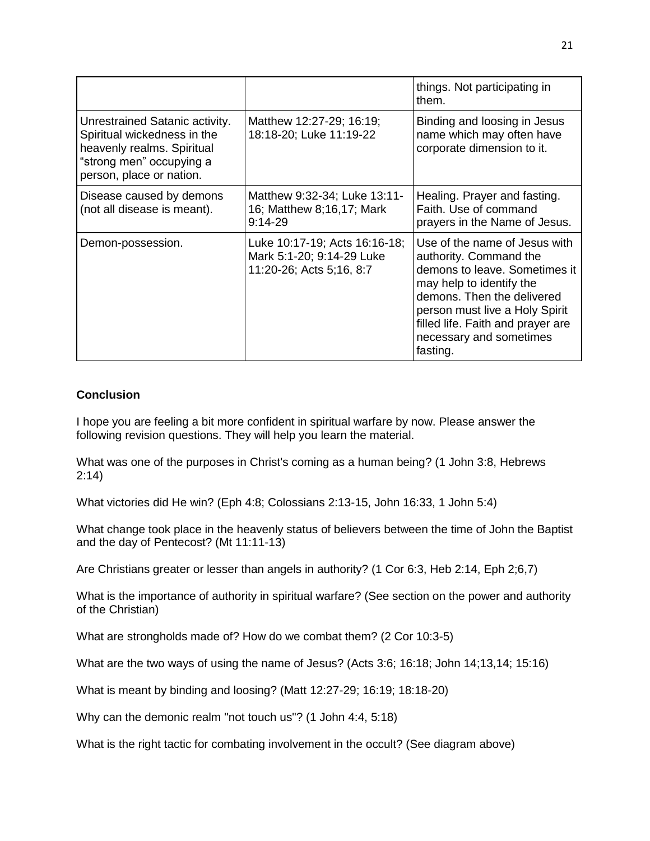|                                                                                                                                                     |                                                                                        | things. Not participating in<br>them.                                                                                                                                                                                                                            |
|-----------------------------------------------------------------------------------------------------------------------------------------------------|----------------------------------------------------------------------------------------|------------------------------------------------------------------------------------------------------------------------------------------------------------------------------------------------------------------------------------------------------------------|
| Unrestrained Satanic activity.<br>Spiritual wickedness in the<br>heavenly realms. Spiritual<br>"strong men" occupying a<br>person, place or nation. | Matthew 12:27-29; 16:19;<br>18:18-20; Luke 11:19-22                                    | Binding and loosing in Jesus<br>name which may often have<br>corporate dimension to it.                                                                                                                                                                          |
| Disease caused by demons<br>(not all disease is meant).                                                                                             | Matthew 9:32-34; Luke 13:11-<br>16; Matthew 8;16,17; Mark<br>$9:14-29$                 | Healing. Prayer and fasting.<br>Faith. Use of command<br>prayers in the Name of Jesus.                                                                                                                                                                           |
| Demon-possession.                                                                                                                                   | Luke 10:17-19; Acts 16:16-18;<br>Mark 5:1-20; 9:14-29 Luke<br>11:20-26; Acts 5;16, 8:7 | Use of the name of Jesus with<br>authority. Command the<br>demons to leave. Sometimes it<br>may help to identify the<br>demons. Then the delivered<br>person must live a Holy Spirit<br>filled life. Faith and prayer are<br>necessary and sometimes<br>fasting. |

# **Conclusion**

I hope you are feeling a bit more confident in spiritual warfare by now. Please answer the following revision questions. They will help you learn the material.

What was one of the purposes in Christ's coming as a human being? (1 John 3:8, Hebrews 2:14)

What victories did He win? (Eph 4:8; Colossians 2:13-15, John 16:33, 1 John 5:4)

What change took place in the heavenly status of believers between the time of John the Baptist and the day of Pentecost? (Mt 11:11-13)

Are Christians greater or lesser than angels in authority? (1 Cor 6:3, Heb 2:14, Eph 2;6,7)

What is the importance of authority in spiritual warfare? (See section on the power and authority of the Christian)

What are strongholds made of? How do we combat them? (2 Cor 10:3-5)

What are the two ways of using the name of Jesus? (Acts 3:6; 16:18; John 14;13,14; 15:16)

What is meant by binding and loosing? (Matt 12:27-29; 16:19; 18:18-20)

Why can the demonic realm "not touch us"? (1 John 4:4, 5:18)

What is the right tactic for combating involvement in the occult? (See diagram above)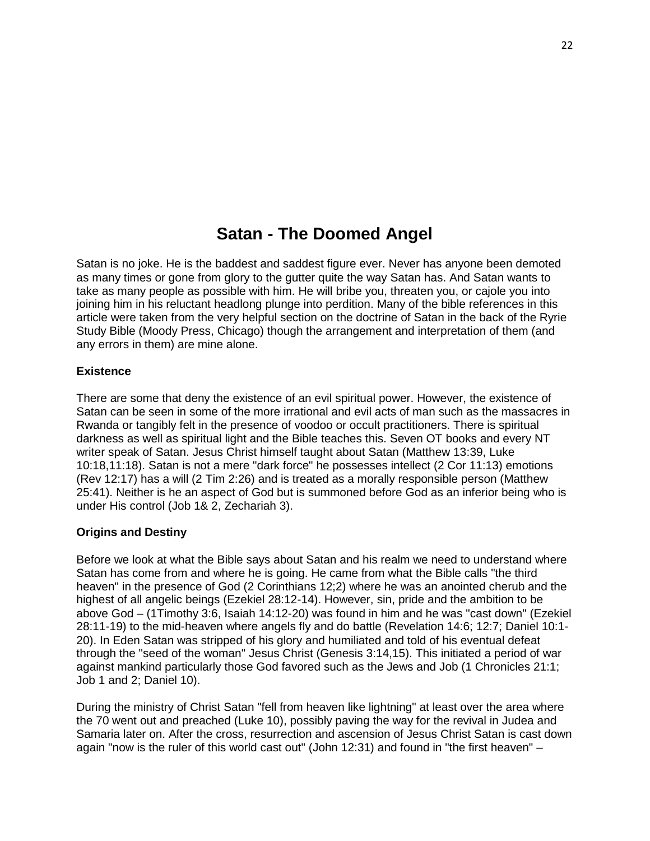# **Satan - The Doomed Angel**

Satan is no joke. He is the baddest and saddest figure ever. Never has anyone been demoted as many times or gone from glory to the gutter quite the way Satan has. And Satan wants to take as many people as possible with him. He will bribe you, threaten you, or cajole you into joining him in his reluctant headlong plunge into perdition. Many of the bible references in this article were taken from the very helpful section on the doctrine of Satan in the back of the Ryrie Study Bible (Moody Press, Chicago) though the arrangement and interpretation of them (and any errors in them) are mine alone.

## **Existence**

There are some that deny the existence of an evil spiritual power. However, the existence of Satan can be seen in some of the more irrational and evil acts of man such as the massacres in Rwanda or tangibly felt in the presence of voodoo or occult practitioners. There is spiritual darkness as well as spiritual light and the Bible teaches this. Seven OT books and every NT writer speak of Satan. Jesus Christ himself taught about Satan (Matthew 13:39, Luke 10:18,11:18). Satan is not a mere "dark force" he possesses intellect (2 Cor 11:13) emotions (Rev 12:17) has a will (2 Tim 2:26) and is treated as a morally responsible person (Matthew 25:41). Neither is he an aspect of God but is summoned before God as an inferior being who is under His control (Job 1& 2, Zechariah 3).

#### **Origins and Destiny**

Before we look at what the Bible says about Satan and his realm we need to understand where Satan has come from and where he is going. He came from what the Bible calls "the third heaven" in the presence of God (2 Corinthians 12;2) where he was an anointed cherub and the highest of all angelic beings (Ezekiel 28:12-14). However, sin, pride and the ambition to be above God – (1Timothy 3:6, Isaiah 14:12-20) was found in him and he was "cast down" (Ezekiel 28:11-19) to the mid-heaven where angels fly and do battle (Revelation 14:6; 12:7; Daniel 10:1- 20). In Eden Satan was stripped of his glory and humiliated and told of his eventual defeat through the "seed of the woman" Jesus Christ (Genesis 3:14,15). This initiated a period of war against mankind particularly those God favored such as the Jews and Job (1 Chronicles 21:1; Job 1 and 2; Daniel 10).

During the ministry of Christ Satan "fell from heaven like lightning" at least over the area where the 70 went out and preached (Luke 10), possibly paving the way for the revival in Judea and Samaria later on. After the cross, resurrection and ascension of Jesus Christ Satan is cast down again "now is the ruler of this world cast out" (John 12:31) and found in "the first heaven" –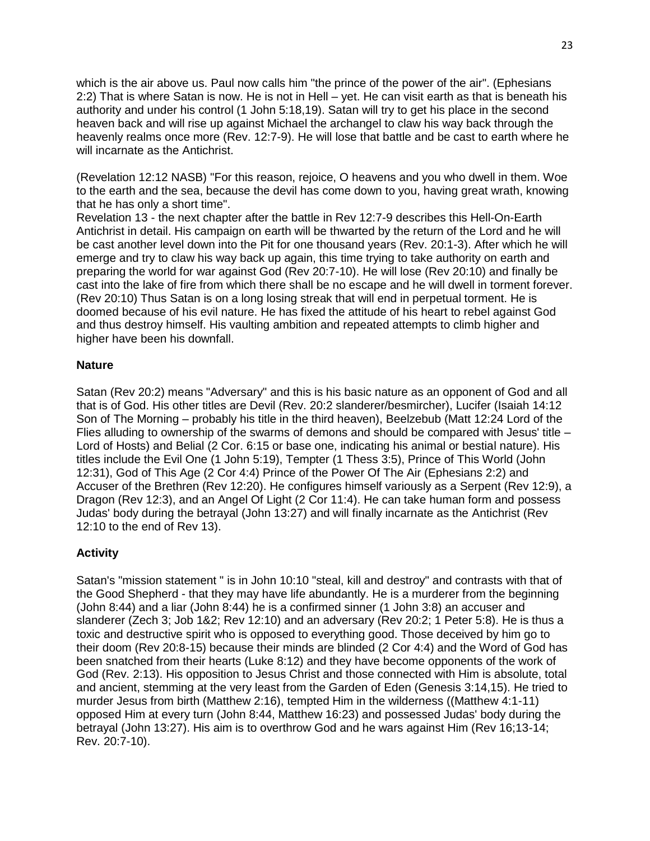which is the air above us. Paul now calls him "the prince of the power of the air". (Ephesians 2:2) That is where Satan is now. He is not in Hell – yet. He can visit earth as that is beneath his authority and under his control (1 John 5:18,19). Satan will try to get his place in the second heaven back and will rise up against Michael the archangel to claw his way back through the heavenly realms once more (Rev. 12:7-9). He will lose that battle and be cast to earth where he will incarnate as the Antichrist.

(Revelation 12:12 NASB) "For this reason, rejoice, O heavens and you who dwell in them. Woe to the earth and the sea, because the devil has come down to you, having great wrath, knowing that he has only a short time".

Revelation 13 - the next chapter after the battle in Rev 12:7-9 describes this Hell-On-Earth Antichrist in detail. His campaign on earth will be thwarted by the return of the Lord and he will be cast another level down into the Pit for one thousand years (Rev. 20:1-3). After which he will emerge and try to claw his way back up again, this time trying to take authority on earth and preparing the world for war against God (Rev 20:7-10). He will lose (Rev 20:10) and finally be cast into the lake of fire from which there shall be no escape and he will dwell in torment forever. (Rev 20:10) Thus Satan is on a long losing streak that will end in perpetual torment. He is doomed because of his evil nature. He has fixed the attitude of his heart to rebel against God and thus destroy himself. His vaulting ambition and repeated attempts to climb higher and higher have been his downfall.

## **Nature**

Satan (Rev 20:2) means "Adversary" and this is his basic nature as an opponent of God and all that is of God. His other titles are Devil (Rev. 20:2 slanderer/besmircher), Lucifer (Isaiah 14:12 Son of The Morning – probably his title in the third heaven), Beelzebub (Matt 12:24 Lord of the Flies alluding to ownership of the swarms of demons and should be compared with Jesus' title – Lord of Hosts) and Belial (2 Cor. 6:15 or base one, indicating his animal or bestial nature). His titles include the Evil One (1 John 5:19), Tempter (1 Thess 3:5), Prince of This World (John 12:31), God of This Age (2 Cor 4:4) Prince of the Power Of The Air (Ephesians 2:2) and Accuser of the Brethren (Rev 12:20). He configures himself variously as a Serpent (Rev 12:9), a Dragon (Rev 12:3), and an Angel Of Light (2 Cor 11:4). He can take human form and possess Judas' body during the betrayal (John 13:27) and will finally incarnate as the Antichrist (Rev 12:10 to the end of Rev 13).

# **Activity**

Satan's "mission statement " is in John 10:10 "steal, kill and destroy" and contrasts with that of the Good Shepherd - that they may have life abundantly. He is a murderer from the beginning (John 8:44) and a liar (John 8:44) he is a confirmed sinner (1 John 3:8) an accuser and slanderer (Zech 3; Job 1&2; Rev 12:10) and an adversary (Rev 20:2; 1 Peter 5:8). He is thus a toxic and destructive spirit who is opposed to everything good. Those deceived by him go to their doom (Rev 20:8-15) because their minds are blinded (2 Cor 4:4) and the Word of God has been snatched from their hearts (Luke 8:12) and they have become opponents of the work of God (Rev. 2:13). His opposition to Jesus Christ and those connected with Him is absolute, total and ancient, stemming at the very least from the Garden of Eden (Genesis 3:14,15). He tried to murder Jesus from birth (Matthew 2:16), tempted Him in the wilderness ((Matthew 4:1-11) opposed Him at every turn (John 8:44, Matthew 16:23) and possessed Judas' body during the betrayal (John 13:27). His aim is to overthrow God and he wars against Him (Rev 16;13-14; Rev. 20:7-10).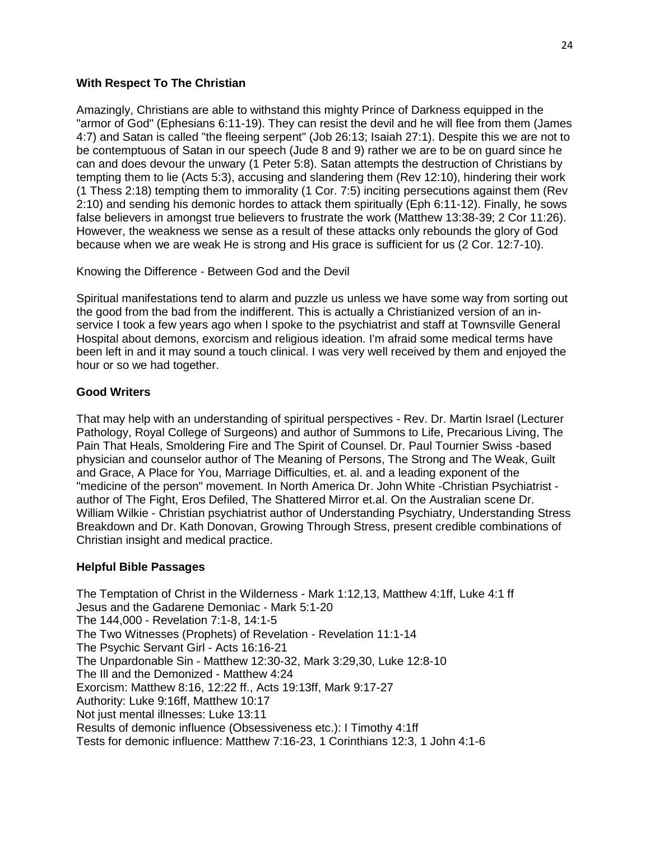## **With Respect To The Christian**

Amazingly, Christians are able to withstand this mighty Prince of Darkness equipped in the "armor of God" (Ephesians 6:11-19). They can resist the devil and he will flee from them (James 4:7) and Satan is called "the fleeing serpent" (Job 26:13; Isaiah 27:1). Despite this we are not to be contemptuous of Satan in our speech (Jude 8 and 9) rather we are to be on guard since he can and does devour the unwary (1 Peter 5:8). Satan attempts the destruction of Christians by tempting them to lie (Acts 5:3), accusing and slandering them (Rev 12:10), hindering their work (1 Thess 2:18) tempting them to immorality (1 Cor. 7:5) inciting persecutions against them (Rev 2:10) and sending his demonic hordes to attack them spiritually (Eph 6:11-12). Finally, he sows false believers in amongst true believers to frustrate the work (Matthew 13:38-39; 2 Cor 11:26). However, the weakness we sense as a result of these attacks only rebounds the glory of God because when we are weak He is strong and His grace is sufficient for us (2 Cor. 12:7-10).

Knowing the Difference - Between God and the Devil

Spiritual manifestations tend to alarm and puzzle us unless we have some way from sorting out the good from the bad from the indifferent. This is actually a Christianized version of an inservice I took a few years ago when I spoke to the psychiatrist and staff at Townsville General Hospital about demons, exorcism and religious ideation. I'm afraid some medical terms have been left in and it may sound a touch clinical. I was very well received by them and enjoyed the hour or so we had together.

# **Good Writers**

That may help with an understanding of spiritual perspectives - Rev. Dr. Martin Israel (Lecturer Pathology, Royal College of Surgeons) and author of Summons to Life, Precarious Living, The Pain That Heals, Smoldering Fire and The Spirit of Counsel. Dr. Paul Tournier Swiss -based physician and counselor author of The Meaning of Persons, The Strong and The Weak, Guilt and Grace, A Place for You, Marriage Difficulties, et. al. and a leading exponent of the "medicine of the person" movement. In North America Dr. John White -Christian Psychiatrist author of The Fight, Eros Defiled, The Shattered Mirror et.al. On the Australian scene Dr. William Wilkie - Christian psychiatrist author of Understanding Psychiatry, Understanding Stress Breakdown and Dr. Kath Donovan, Growing Through Stress, present credible combinations of Christian insight and medical practice.

# **Helpful Bible Passages**

The Temptation of Christ in the Wilderness - Mark 1:12,13, Matthew 4:1ff, Luke 4:1 ff Jesus and the Gadarene Demoniac - Mark 5:1-20 The 144,000 - Revelation 7:1-8, 14:1-5 The Two Witnesses (Prophets) of Revelation - Revelation 11:1-14 The Psychic Servant Girl - Acts 16:16-21 The Unpardonable Sin - Matthew 12:30-32, Mark 3:29,30, Luke 12:8-10 The Ill and the Demonized - Matthew 4:24 Exorcism: Matthew 8:16, 12:22 ff., Acts 19:13ff, Mark 9:17-27 Authority: Luke 9:16ff, Matthew 10:17 Not just mental illnesses: Luke 13:11 Results of demonic influence (Obsessiveness etc.): I Timothy 4:1ff Tests for demonic influence: Matthew 7:16-23, 1 Corinthians 12:3, 1 John 4:1-6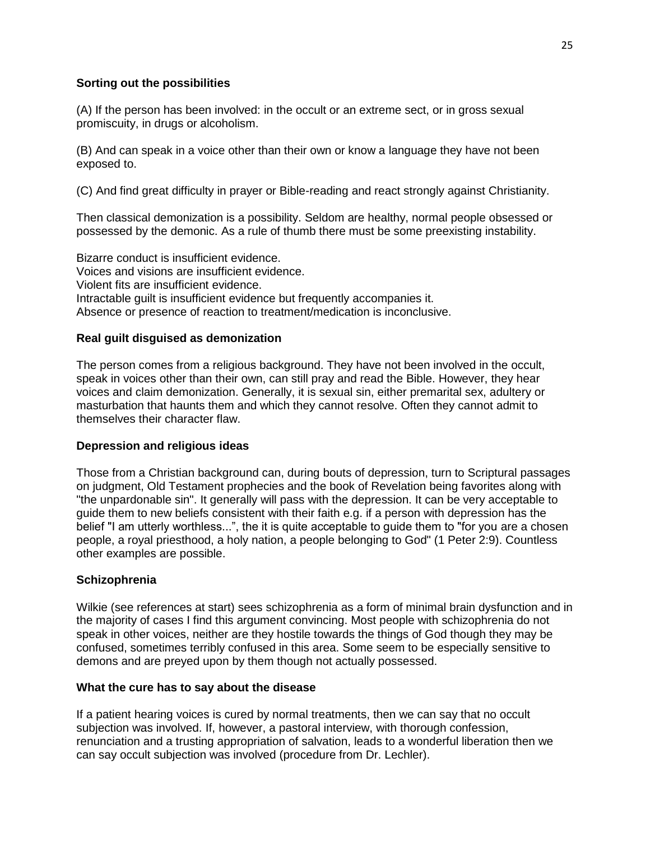# **Sorting out the possibilities**

(A) If the person has been involved: in the occult or an extreme sect, or in gross sexual promiscuity, in drugs or alcoholism.

(B) And can speak in a voice other than their own or know a language they have not been exposed to.

(C) And find great difficulty in prayer or Bible-reading and react strongly against Christianity.

Then classical demonization is a possibility. Seldom are healthy, normal people obsessed or possessed by the demonic. As a rule of thumb there must be some preexisting instability.

Bizarre conduct is insufficient evidence. Voices and visions are insufficient evidence. Violent fits are insufficient evidence. Intractable guilt is insufficient evidence but frequently accompanies it. Absence or presence of reaction to treatment/medication is inconclusive.

# **Real guilt disguised as demonization**

The person comes from a religious background. They have not been involved in the occult, speak in voices other than their own, can still pray and read the Bible. However, they hear voices and claim demonization. Generally, it is sexual sin, either premarital sex, adultery or masturbation that haunts them and which they cannot resolve. Often they cannot admit to themselves their character flaw.

# **Depression and religious ideas**

Those from a Christian background can, during bouts of depression, turn to Scriptural passages on judgment, Old Testament prophecies and the book of Revelation being favorites along with "the unpardonable sin". It generally will pass with the depression. It can be very acceptable to guide them to new beliefs consistent with their faith e.g. if a person with depression has the belief "I am utterly worthless...", the it is quite acceptable to guide them to "for you are a chosen people, a royal priesthood, a holy nation, a people belonging to God" (1 Peter 2:9). Countless other examples are possible.

# **Schizophrenia**

Wilkie (see references at start) sees schizophrenia as a form of minimal brain dysfunction and in the majority of cases I find this argument convincing. Most people with schizophrenia do not speak in other voices, neither are they hostile towards the things of God though they may be confused, sometimes terribly confused in this area. Some seem to be especially sensitive to demons and are preyed upon by them though not actually possessed.

# **What the cure has to say about the disease**

If a patient hearing voices is cured by normal treatments, then we can say that no occult subjection was involved. If, however, a pastoral interview, with thorough confession, renunciation and a trusting appropriation of salvation, leads to a wonderful liberation then we can say occult subjection was involved (procedure from Dr. Lechler).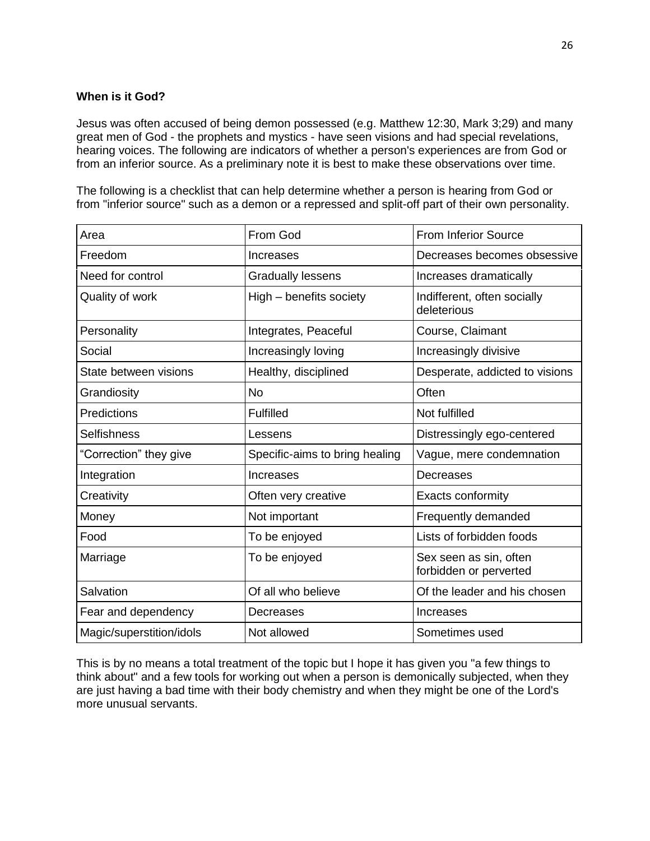# **When is it God?**

Jesus was often accused of being demon possessed (e.g. Matthew 12:30, Mark 3;29) and many great men of God - the prophets and mystics - have seen visions and had special revelations, hearing voices. The following are indicators of whether a person's experiences are from God or from an inferior source. As a preliminary note it is best to make these observations over time.

The following is a checklist that can help determine whether a person is hearing from God or from "inferior source" such as a demon or a repressed and split-off part of their own personality.

| Area                     | From God                       | <b>From Inferior Source</b>                      |
|--------------------------|--------------------------------|--------------------------------------------------|
| Freedom                  | Increases                      | Decreases becomes obsessive                      |
| Need for control         | <b>Gradually lessens</b>       | Increases dramatically                           |
| Quality of work          | High – benefits society        | Indifferent, often socially<br>deleterious       |
| Personality              | Integrates, Peaceful           | Course, Claimant                                 |
| Social                   | Increasingly loving            | Increasingly divisive                            |
| State between visions    | Healthy, disciplined           | Desperate, addicted to visions                   |
| Grandiosity              | <b>No</b>                      | Often                                            |
| Predictions              | <b>Fulfilled</b>               | Not fulfilled                                    |
| <b>Selfishness</b>       | Lessens                        | Distressingly ego-centered                       |
| "Correction" they give   | Specific-aims to bring healing | Vague, mere condemnation                         |
| Integration              | Increases                      | Decreases                                        |
| Creativity               | Often very creative            | Exacts conformity                                |
| Money                    | Not important                  | Frequently demanded                              |
| Food                     | To be enjoyed                  | Lists of forbidden foods                         |
| Marriage                 | To be enjoyed                  | Sex seen as sin, often<br>forbidden or perverted |
| Salvation                | Of all who believe             | Of the leader and his chosen                     |
| Fear and dependency      | Decreases                      | Increases                                        |
| Magic/superstition/idols | Not allowed                    | Sometimes used                                   |

This is by no means a total treatment of the topic but I hope it has given you "a few things to think about" and a few tools for working out when a person is demonically subjected, when they are just having a bad time with their body chemistry and when they might be one of the Lord's more unusual servants.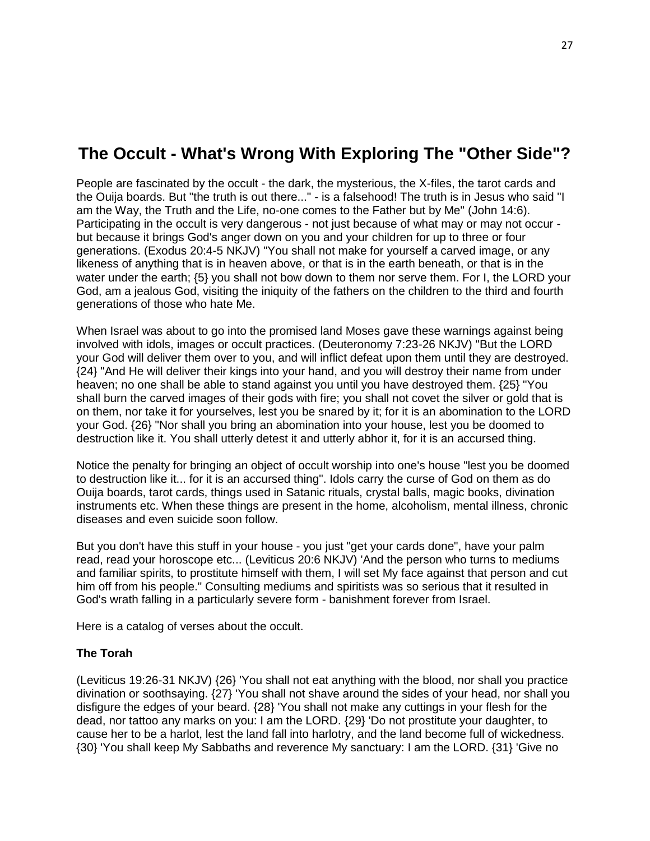# **The Occult - What's Wrong With Exploring The "Other Side"?**

People are fascinated by the occult - the dark, the mysterious, the X-files, the tarot cards and the Ouija boards. But "the truth is out there..." - is a falsehood! The truth is in Jesus who said "I am the Way, the Truth and the Life, no-one comes to the Father but by Me" (John 14:6). Participating in the occult is very dangerous - not just because of what may or may not occur but because it brings God's anger down on you and your children for up to three or four generations. (Exodus 20:4-5 NKJV) "You shall not make for yourself a carved image, or any likeness of anything that is in heaven above, or that is in the earth beneath, or that is in the water under the earth; {5} you shall not bow down to them nor serve them. For I, the LORD your God, am a jealous God, visiting the iniquity of the fathers on the children to the third and fourth generations of those who hate Me.

When Israel was about to go into the promised land Moses gave these warnings against being involved with idols, images or occult practices. (Deuteronomy 7:23-26 NKJV) "But the LORD your God will deliver them over to you, and will inflict defeat upon them until they are destroyed. {24} "And He will deliver their kings into your hand, and you will destroy their name from under heaven; no one shall be able to stand against you until you have destroyed them. {25} "You shall burn the carved images of their gods with fire; you shall not covet the silver or gold that is on them, nor take it for yourselves, lest you be snared by it; for it is an abomination to the LORD your God. {26} "Nor shall you bring an abomination into your house, lest you be doomed to destruction like it. You shall utterly detest it and utterly abhor it, for it is an accursed thing.

Notice the penalty for bringing an object of occult worship into one's house "lest you be doomed to destruction like it... for it is an accursed thing". Idols carry the curse of God on them as do Ouija boards, tarot cards, things used in Satanic rituals, crystal balls, magic books, divination instruments etc. When these things are present in the home, alcoholism, mental illness, chronic diseases and even suicide soon follow.

But you don't have this stuff in your house - you just "get your cards done", have your palm read, read your horoscope etc... (Leviticus 20:6 NKJV) 'And the person who turns to mediums and familiar spirits, to prostitute himself with them, I will set My face against that person and cut him off from his people." Consulting mediums and spiritists was so serious that it resulted in God's wrath falling in a particularly severe form - banishment forever from Israel.

Here is a catalog of verses about the occult.

#### **The Torah**

(Leviticus 19:26-31 NKJV) {26} 'You shall not eat anything with the blood, nor shall you practice divination or soothsaying. {27} 'You shall not shave around the sides of your head, nor shall you disfigure the edges of your beard. {28} 'You shall not make any cuttings in your flesh for the dead, nor tattoo any marks on you: I am the LORD. {29} 'Do not prostitute your daughter, to cause her to be a harlot, lest the land fall into harlotry, and the land become full of wickedness. {30} 'You shall keep My Sabbaths and reverence My sanctuary: I am the LORD. {31} 'Give no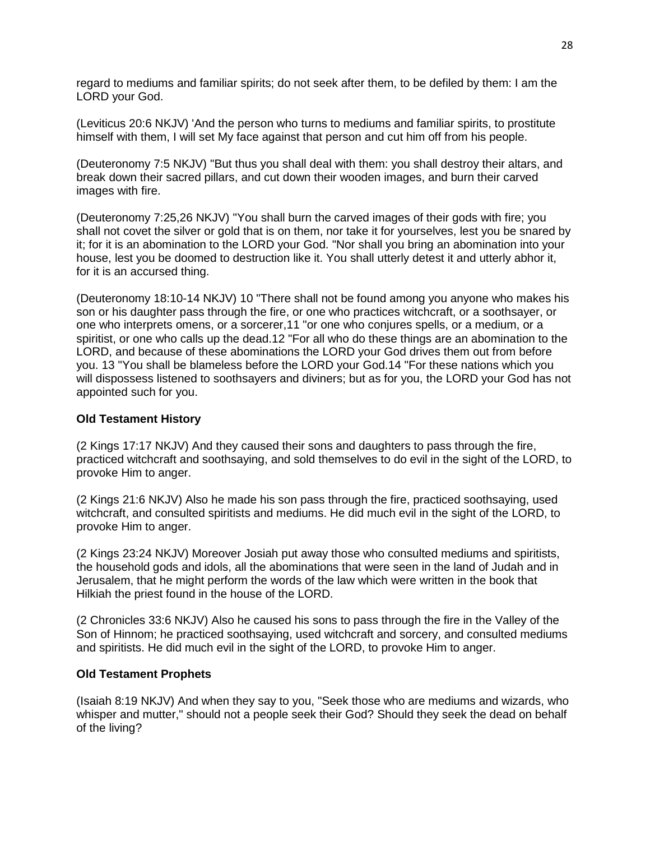regard to mediums and familiar spirits; do not seek after them, to be defiled by them: I am the LORD your God.

(Leviticus 20:6 NKJV) 'And the person who turns to mediums and familiar spirits, to prostitute himself with them, I will set My face against that person and cut him off from his people.

(Deuteronomy 7:5 NKJV) "But thus you shall deal with them: you shall destroy their altars, and break down their sacred pillars, and cut down their wooden images, and burn their carved images with fire.

(Deuteronomy 7:25,26 NKJV) "You shall burn the carved images of their gods with fire; you shall not covet the silver or gold that is on them, nor take it for yourselves, lest you be snared by it; for it is an abomination to the LORD your God. "Nor shall you bring an abomination into your house, lest you be doomed to destruction like it. You shall utterly detest it and utterly abhor it, for it is an accursed thing.

(Deuteronomy 18:10-14 NKJV) 10 "There shall not be found among you anyone who makes his son or his daughter pass through the fire, or one who practices witchcraft, or a soothsayer, or one who interprets omens, or a sorcerer,11 "or one who conjures spells, or a medium, or a spiritist, or one who calls up the dead.12 "For all who do these things are an abomination to the LORD, and because of these abominations the LORD your God drives them out from before you. 13 "You shall be blameless before the LORD your God.14 "For these nations which you will dispossess listened to soothsayers and diviners; but as for you, the LORD your God has not appointed such for you.

#### **Old Testament History**

(2 Kings 17:17 NKJV) And they caused their sons and daughters to pass through the fire, practiced witchcraft and soothsaying, and sold themselves to do evil in the sight of the LORD, to provoke Him to anger.

(2 Kings 21:6 NKJV) Also he made his son pass through the fire, practiced soothsaying, used witchcraft, and consulted spiritists and mediums. He did much evil in the sight of the LORD, to provoke Him to anger.

(2 Kings 23:24 NKJV) Moreover Josiah put away those who consulted mediums and spiritists, the household gods and idols, all the abominations that were seen in the land of Judah and in Jerusalem, that he might perform the words of the law which were written in the book that Hilkiah the priest found in the house of the LORD.

(2 Chronicles 33:6 NKJV) Also he caused his sons to pass through the fire in the Valley of the Son of Hinnom; he practiced soothsaying, used witchcraft and sorcery, and consulted mediums and spiritists. He did much evil in the sight of the LORD, to provoke Him to anger.

#### **Old Testament Prophets**

(Isaiah 8:19 NKJV) And when they say to you, "Seek those who are mediums and wizards, who whisper and mutter," should not a people seek their God? Should they seek the dead on behalf of the living?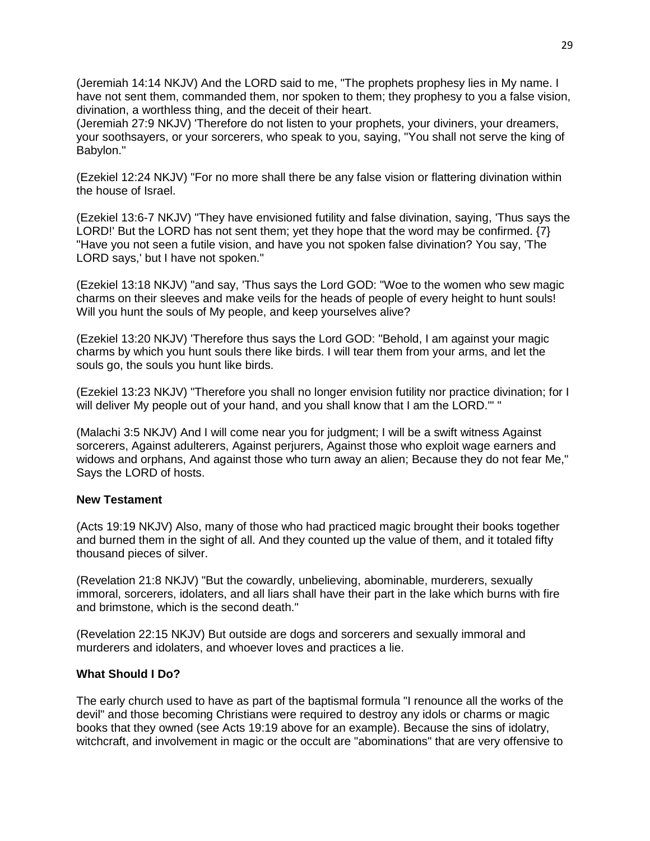(Jeremiah 14:14 NKJV) And the LORD said to me, "The prophets prophesy lies in My name. I have not sent them, commanded them, nor spoken to them; they prophesy to you a false vision, divination, a worthless thing, and the deceit of their heart.

(Jeremiah 27:9 NKJV) 'Therefore do not listen to your prophets, your diviners, your dreamers, your soothsayers, or your sorcerers, who speak to you, saying, "You shall not serve the king of Babylon."

(Ezekiel 12:24 NKJV) "For no more shall there be any false vision or flattering divination within the house of Israel.

(Ezekiel 13:6-7 NKJV) "They have envisioned futility and false divination, saying, 'Thus says the LORD!' But the LORD has not sent them; yet they hope that the word may be confirmed.  $\{7\}$ "Have you not seen a futile vision, and have you not spoken false divination? You say, 'The LORD says,' but I have not spoken."

(Ezekiel 13:18 NKJV) "and say, 'Thus says the Lord GOD: "Woe to the women who sew magic charms on their sleeves and make veils for the heads of people of every height to hunt souls! Will you hunt the souls of My people, and keep yourselves alive?

(Ezekiel 13:20 NKJV) 'Therefore thus says the Lord GOD: "Behold, I am against your magic charms by which you hunt souls there like birds. I will tear them from your arms, and let the souls go, the souls you hunt like birds.

(Ezekiel 13:23 NKJV) "Therefore you shall no longer envision futility nor practice divination; for I will deliver My people out of your hand, and you shall know that I am the LORD."' "

(Malachi 3:5 NKJV) And I will come near you for judgment; I will be a swift witness Against sorcerers, Against adulterers, Against perjurers, Against those who exploit wage earners and widows and orphans, And against those who turn away an alien; Because they do not fear Me," Says the LORD of hosts.

#### **New Testament**

(Acts 19:19 NKJV) Also, many of those who had practiced magic brought their books together and burned them in the sight of all. And they counted up the value of them, and it totaled fifty thousand pieces of silver.

(Revelation 21:8 NKJV) "But the cowardly, unbelieving, abominable, murderers, sexually immoral, sorcerers, idolaters, and all liars shall have their part in the lake which burns with fire and brimstone, which is the second death."

(Revelation 22:15 NKJV) But outside are dogs and sorcerers and sexually immoral and murderers and idolaters, and whoever loves and practices a lie.

#### **What Should I Do?**

The early church used to have as part of the baptismal formula "I renounce all the works of the devil" and those becoming Christians were required to destroy any idols or charms or magic books that they owned (see Acts 19:19 above for an example). Because the sins of idolatry, witchcraft, and involvement in magic or the occult are "abominations" that are very offensive to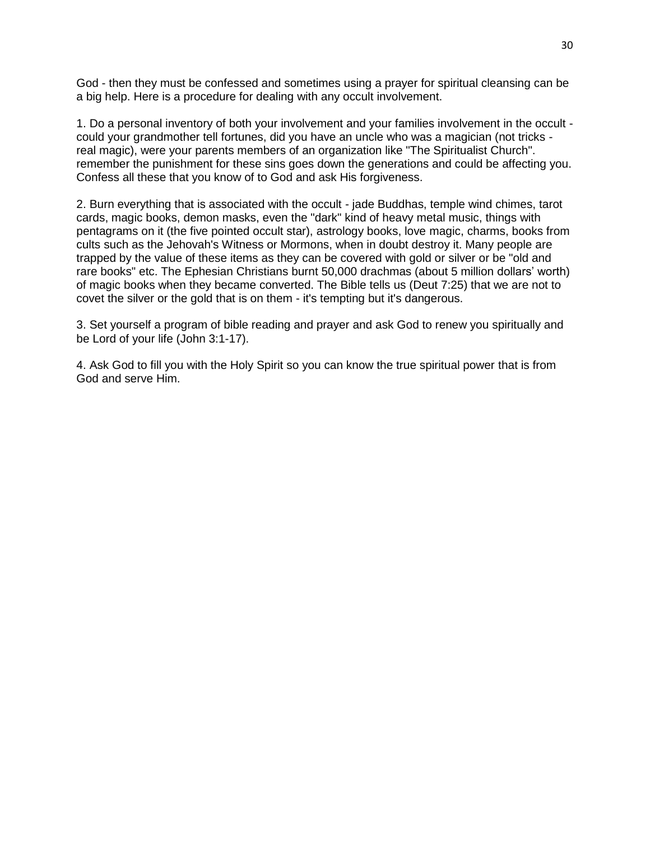God - then they must be confessed and sometimes using a prayer for spiritual cleansing can be a big help. Here is a procedure for dealing with any occult involvement.

1. Do a personal inventory of both your involvement and your families involvement in the occult could your grandmother tell fortunes, did you have an uncle who was a magician (not tricks real magic), were your parents members of an organization like "The Spiritualist Church". remember the punishment for these sins goes down the generations and could be affecting you. Confess all these that you know of to God and ask His forgiveness.

2. Burn everything that is associated with the occult - jade Buddhas, temple wind chimes, tarot cards, magic books, demon masks, even the "dark" kind of heavy metal music, things with pentagrams on it (the five pointed occult star), astrology books, love magic, charms, books from cults such as the Jehovah's Witness or Mormons, when in doubt destroy it. Many people are trapped by the value of these items as they can be covered with gold or silver or be "old and rare books" etc. The Ephesian Christians burnt 50,000 drachmas (about 5 million dollars' worth) of magic books when they became converted. The Bible tells us (Deut 7:25) that we are not to covet the silver or the gold that is on them - it's tempting but it's dangerous.

3. Set yourself a program of bible reading and prayer and ask God to renew you spiritually and be Lord of your life (John 3:1-17).

4. Ask God to fill you with the Holy Spirit so you can know the true spiritual power that is from God and serve Him.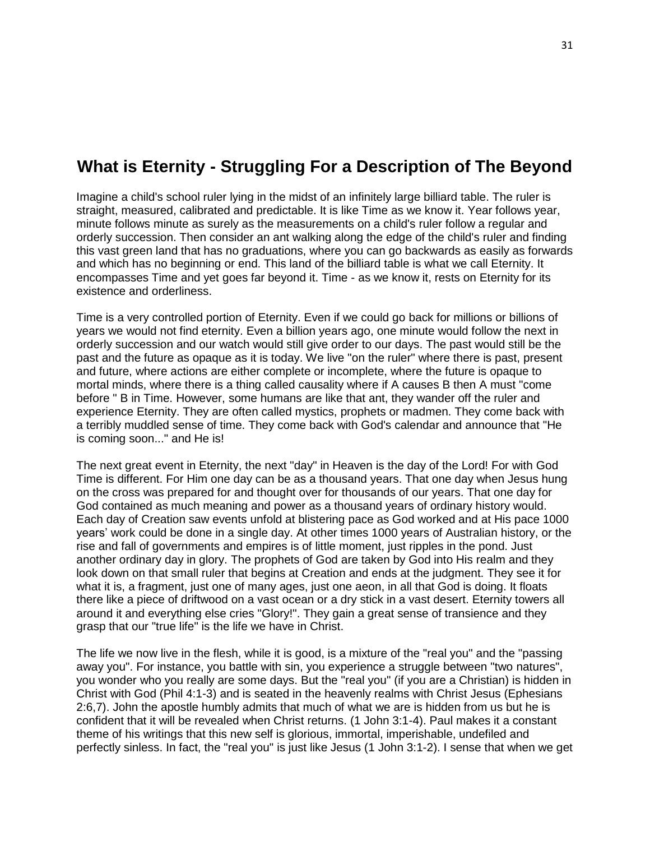# **What is Eternity - Struggling For a Description of The Beyond**

Imagine a child's school ruler lying in the midst of an infinitely large billiard table. The ruler is straight, measured, calibrated and predictable. It is like Time as we know it. Year follows year, minute follows minute as surely as the measurements on a child's ruler follow a regular and orderly succession. Then consider an ant walking along the edge of the child's ruler and finding this vast green land that has no graduations, where you can go backwards as easily as forwards and which has no beginning or end. This land of the billiard table is what we call Eternity. It encompasses Time and yet goes far beyond it. Time - as we know it, rests on Eternity for its existence and orderliness.

Time is a very controlled portion of Eternity. Even if we could go back for millions or billions of years we would not find eternity. Even a billion years ago, one minute would follow the next in orderly succession and our watch would still give order to our days. The past would still be the past and the future as opaque as it is today. We live "on the ruler" where there is past, present and future, where actions are either complete or incomplete, where the future is opaque to mortal minds, where there is a thing called causality where if A causes B then A must "come before " B in Time. However, some humans are like that ant, they wander off the ruler and experience Eternity. They are often called mystics, prophets or madmen. They come back with a terribly muddled sense of time. They come back with God's calendar and announce that "He is coming soon..." and He is!

The next great event in Eternity, the next "day" in Heaven is the day of the Lord! For with God Time is different. For Him one day can be as a thousand years. That one day when Jesus hung on the cross was prepared for and thought over for thousands of our years. That one day for God contained as much meaning and power as a thousand years of ordinary history would. Each day of Creation saw events unfold at blistering pace as God worked and at His pace 1000 years' work could be done in a single day. At other times 1000 years of Australian history, or the rise and fall of governments and empires is of little moment, just ripples in the pond. Just another ordinary day in glory. The prophets of God are taken by God into His realm and they look down on that small ruler that begins at Creation and ends at the judgment. They see it for what it is, a fragment, just one of many ages, just one aeon, in all that God is doing. It floats there like a piece of driftwood on a vast ocean or a dry stick in a vast desert. Eternity towers all around it and everything else cries "Glory!". They gain a great sense of transience and they grasp that our "true life" is the life we have in Christ.

The life we now live in the flesh, while it is good, is a mixture of the "real you" and the "passing away you". For instance, you battle with sin, you experience a struggle between "two natures", you wonder who you really are some days. But the "real you" (if you are a Christian) is hidden in Christ with God (Phil 4:1-3) and is seated in the heavenly realms with Christ Jesus (Ephesians 2:6,7). John the apostle humbly admits that much of what we are is hidden from us but he is confident that it will be revealed when Christ returns. (1 John 3:1-4). Paul makes it a constant theme of his writings that this new self is glorious, immortal, imperishable, undefiled and perfectly sinless. In fact, the "real you" is just like Jesus (1 John 3:1-2). I sense that when we get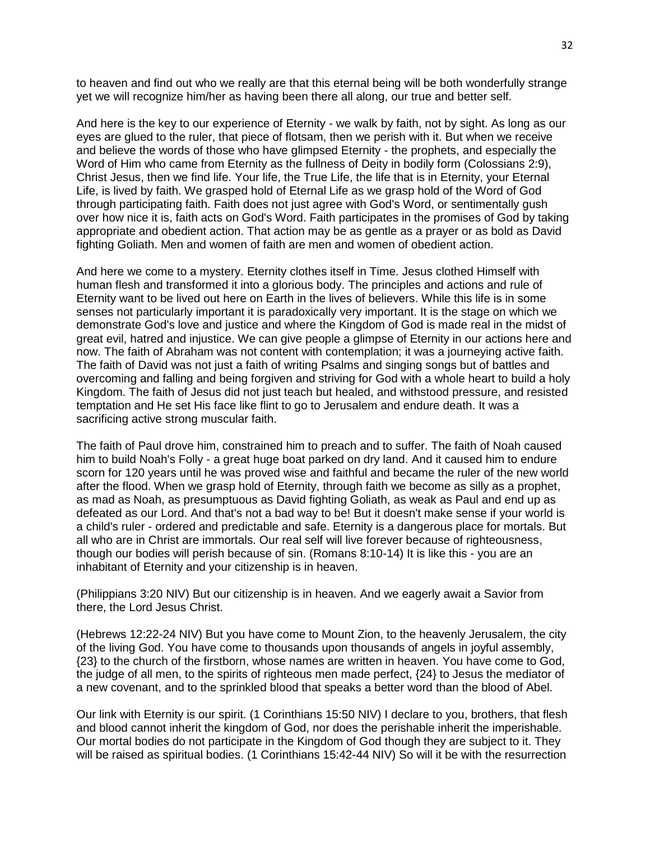to heaven and find out who we really are that this eternal being will be both wonderfully strange yet we will recognize him/her as having been there all along, our true and better self.

And here is the key to our experience of Eternity - we walk by faith, not by sight. As long as our eyes are glued to the ruler, that piece of flotsam, then we perish with it. But when we receive and believe the words of those who have glimpsed Eternity - the prophets, and especially the Word of Him who came from Eternity as the fullness of Deity in bodily form (Colossians 2:9), Christ Jesus, then we find life. Your life, the True Life, the life that is in Eternity, your Eternal Life, is lived by faith. We grasped hold of Eternal Life as we grasp hold of the Word of God through participating faith. Faith does not just agree with God's Word, or sentimentally gush over how nice it is, faith acts on God's Word. Faith participates in the promises of God by taking appropriate and obedient action. That action may be as gentle as a prayer or as bold as David fighting Goliath. Men and women of faith are men and women of obedient action.

And here we come to a mystery. Eternity clothes itself in Time. Jesus clothed Himself with human flesh and transformed it into a glorious body. The principles and actions and rule of Eternity want to be lived out here on Earth in the lives of believers. While this life is in some senses not particularly important it is paradoxically very important. It is the stage on which we demonstrate God's love and justice and where the Kingdom of God is made real in the midst of great evil, hatred and injustice. We can give people a glimpse of Eternity in our actions here and now. The faith of Abraham was not content with contemplation; it was a journeying active faith. The faith of David was not just a faith of writing Psalms and singing songs but of battles and overcoming and falling and being forgiven and striving for God with a whole heart to build a holy Kingdom. The faith of Jesus did not just teach but healed, and withstood pressure, and resisted temptation and He set His face like flint to go to Jerusalem and endure death. It was a sacrificing active strong muscular faith.

The faith of Paul drove him, constrained him to preach and to suffer. The faith of Noah caused him to build Noah's Folly - a great huge boat parked on dry land. And it caused him to endure scorn for 120 years until he was proved wise and faithful and became the ruler of the new world after the flood. When we grasp hold of Eternity, through faith we become as silly as a prophet, as mad as Noah, as presumptuous as David fighting Goliath, as weak as Paul and end up as defeated as our Lord. And that's not a bad way to be! But it doesn't make sense if your world is a child's ruler - ordered and predictable and safe. Eternity is a dangerous place for mortals. But all who are in Christ are immortals. Our real self will live forever because of righteousness, though our bodies will perish because of sin. (Romans 8:10-14) It is like this - you are an inhabitant of Eternity and your citizenship is in heaven.

(Philippians 3:20 NIV) But our citizenship is in heaven. And we eagerly await a Savior from there, the Lord Jesus Christ.

(Hebrews 12:22-24 NIV) But you have come to Mount Zion, to the heavenly Jerusalem, the city of the living God. You have come to thousands upon thousands of angels in joyful assembly, {23} to the church of the firstborn, whose names are written in heaven. You have come to God, the judge of all men, to the spirits of righteous men made perfect, {24} to Jesus the mediator of a new covenant, and to the sprinkled blood that speaks a better word than the blood of Abel.

Our link with Eternity is our spirit. (1 Corinthians 15:50 NIV) I declare to you, brothers, that flesh and blood cannot inherit the kingdom of God, nor does the perishable inherit the imperishable. Our mortal bodies do not participate in the Kingdom of God though they are subject to it. They will be raised as spiritual bodies. (1 Corinthians 15:42-44 NIV) So will it be with the resurrection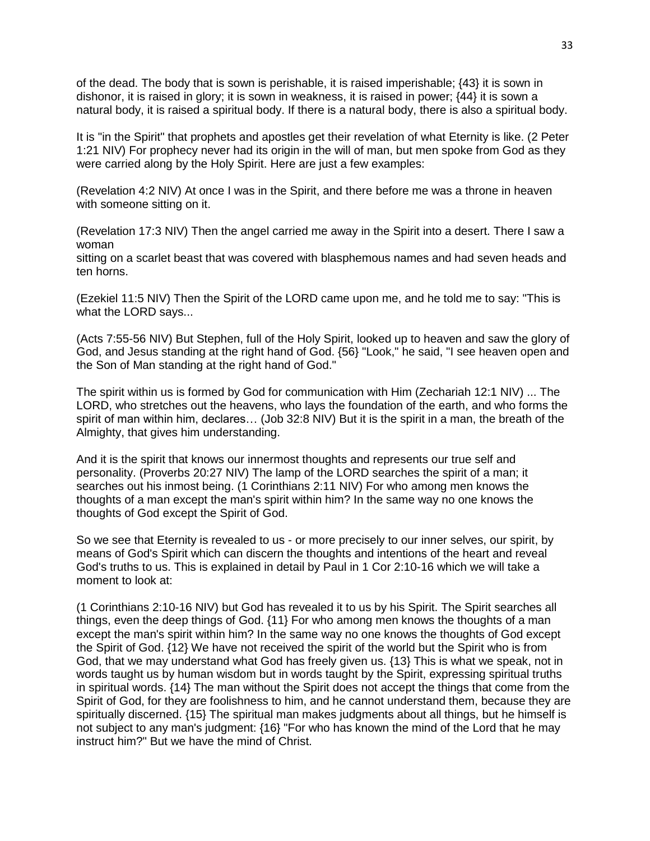of the dead. The body that is sown is perishable, it is raised imperishable; {43} it is sown in dishonor, it is raised in glory; it is sown in weakness, it is raised in power; {44} it is sown a natural body, it is raised a spiritual body. If there is a natural body, there is also a spiritual body.

It is "in the Spirit" that prophets and apostles get their revelation of what Eternity is like. (2 Peter 1:21 NIV) For prophecy never had its origin in the will of man, but men spoke from God as they were carried along by the Holy Spirit. Here are just a few examples:

(Revelation 4:2 NIV) At once I was in the Spirit, and there before me was a throne in heaven with someone sitting on it.

(Revelation 17:3 NIV) Then the angel carried me away in the Spirit into a desert. There I saw a woman

sitting on a scarlet beast that was covered with blasphemous names and had seven heads and ten horns.

(Ezekiel 11:5 NIV) Then the Spirit of the LORD came upon me, and he told me to say: "This is what the LORD says...

(Acts 7:55-56 NIV) But Stephen, full of the Holy Spirit, looked up to heaven and saw the glory of God, and Jesus standing at the right hand of God. {56} "Look," he said, "I see heaven open and the Son of Man standing at the right hand of God."

The spirit within us is formed by God for communication with Him (Zechariah 12:1 NIV) ... The LORD, who stretches out the heavens, who lays the foundation of the earth, and who forms the spirit of man within him, declares... (Job 32:8 NIV) But it is the spirit in a man, the breath of the Almighty, that gives him understanding.

And it is the spirit that knows our innermost thoughts and represents our true self and personality. (Proverbs 20:27 NIV) The lamp of the LORD searches the spirit of a man; it searches out his inmost being. (1 Corinthians 2:11 NIV) For who among men knows the thoughts of a man except the man's spirit within him? In the same way no one knows the thoughts of God except the Spirit of God.

So we see that Eternity is revealed to us - or more precisely to our inner selves, our spirit, by means of God's Spirit which can discern the thoughts and intentions of the heart and reveal God's truths to us. This is explained in detail by Paul in 1 Cor 2:10-16 which we will take a moment to look at:

(1 Corinthians 2:10-16 NIV) but God has revealed it to us by his Spirit. The Spirit searches all things, even the deep things of God. {11} For who among men knows the thoughts of a man except the man's spirit within him? In the same way no one knows the thoughts of God except the Spirit of God. {12} We have not received the spirit of the world but the Spirit who is from God, that we may understand what God has freely given us. {13} This is what we speak, not in words taught us by human wisdom but in words taught by the Spirit, expressing spiritual truths in spiritual words. {14} The man without the Spirit does not accept the things that come from the Spirit of God, for they are foolishness to him, and he cannot understand them, because they are spiritually discerned. {15} The spiritual man makes judgments about all things, but he himself is not subject to any man's judgment: {16} "For who has known the mind of the Lord that he may instruct him?" But we have the mind of Christ.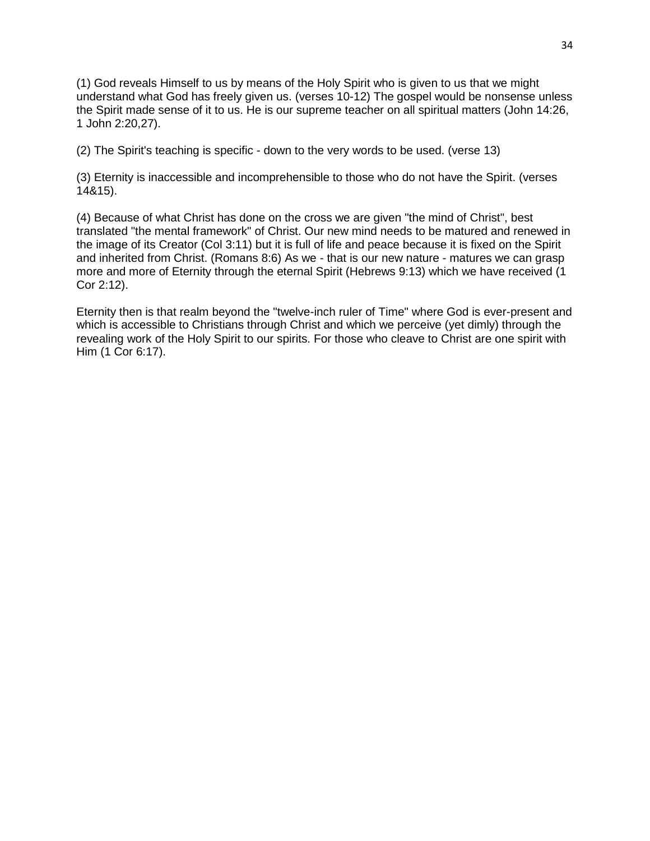(1) God reveals Himself to us by means of the Holy Spirit who is given to us that we might understand what God has freely given us. (verses 10-12) The gospel would be nonsense unless the Spirit made sense of it to us. He is our supreme teacher on all spiritual matters (John 14:26, 1 John 2:20,27).

(2) The Spirit's teaching is specific - down to the very words to be used. (verse 13)

(3) Eternity is inaccessible and incomprehensible to those who do not have the Spirit. (verses 14&15).

(4) Because of what Christ has done on the cross we are given "the mind of Christ", best translated "the mental framework" of Christ. Our new mind needs to be matured and renewed in the image of its Creator (Col 3:11) but it is full of life and peace because it is fixed on the Spirit and inherited from Christ. (Romans 8:6) As we - that is our new nature - matures we can grasp more and more of Eternity through the eternal Spirit (Hebrews 9:13) which we have received (1 Cor 2:12).

Eternity then is that realm beyond the "twelve-inch ruler of Time" where God is ever-present and which is accessible to Christians through Christ and which we perceive (yet dimly) through the revealing work of the Holy Spirit to our spirits. For those who cleave to Christ are one spirit with Him (1 Cor 6:17).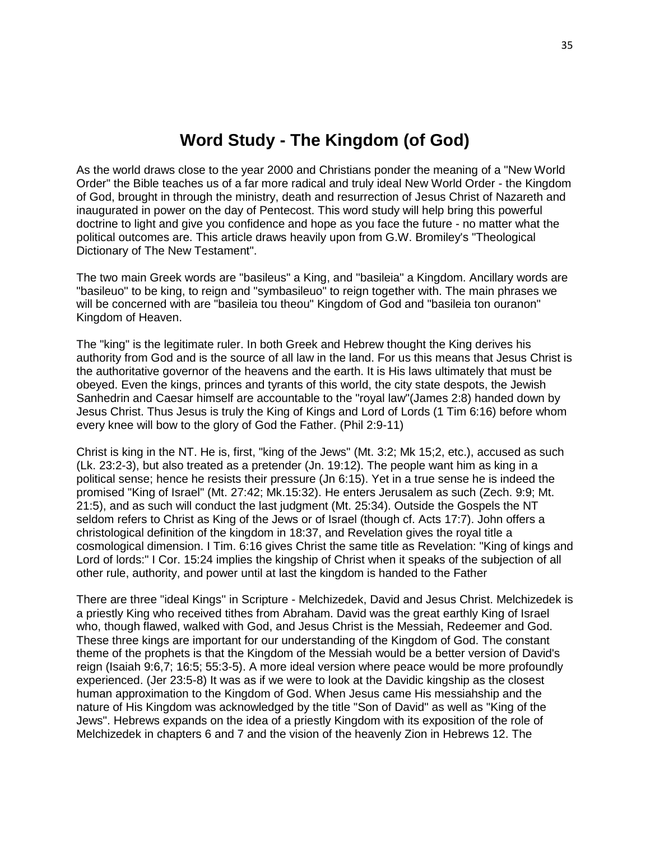# **Word Study - The Kingdom (of God)**

As the world draws close to the year 2000 and Christians ponder the meaning of a "New World Order" the Bible teaches us of a far more radical and truly ideal New World Order - the Kingdom of God, brought in through the ministry, death and resurrection of Jesus Christ of Nazareth and inaugurated in power on the day of Pentecost. This word study will help bring this powerful doctrine to light and give you confidence and hope as you face the future - no matter what the political outcomes are. This article draws heavily upon from G.W. Bromiley's "Theological Dictionary of The New Testament".

The two main Greek words are "basileus" a King, and "basileia" a Kingdom. Ancillary words are "basileuo" to be king, to reign and "symbasileuo" to reign together with. The main phrases we will be concerned with are "basileia tou theou" Kingdom of God and "basileia ton ouranon" Kingdom of Heaven.

The "king" is the legitimate ruler. In both Greek and Hebrew thought the King derives his authority from God and is the source of all law in the land. For us this means that Jesus Christ is the authoritative governor of the heavens and the earth. It is His laws ultimately that must be obeyed. Even the kings, princes and tyrants of this world, the city state despots, the Jewish Sanhedrin and Caesar himself are accountable to the "royal law"(James 2:8) handed down by Jesus Christ. Thus Jesus is truly the King of Kings and Lord of Lords (1 Tim 6:16) before whom every knee will bow to the glory of God the Father. (Phil 2:9-11)

Christ is king in the NT. He is, first, "king of the Jews" (Mt. 3:2; Mk 15;2, etc.), accused as such (Lk. 23:2-3), but also treated as a pretender (Jn. 19:12). The people want him as king in a political sense; hence he resists their pressure (Jn 6:15). Yet in a true sense he is indeed the promised "King of Israel" (Mt. 27:42; Mk.15:32). He enters Jerusalem as such (Zech. 9:9; Mt. 21:5), and as such will conduct the last judgment (Mt. 25:34). Outside the Gospels the NT seldom refers to Christ as King of the Jews or of Israel (though cf. Acts 17:7). John offers a christological definition of the kingdom in 18:37, and Revelation gives the royal title a cosmological dimension. I Tim. 6:16 gives Christ the same title as Revelation: "King of kings and Lord of lords:" I Cor. 15:24 implies the kingship of Christ when it speaks of the subjection of all other rule, authority, and power until at last the kingdom is handed to the Father

There are three "ideal Kings'' in Scripture - Melchizedek, David and Jesus Christ. Melchizedek is a priestly King who received tithes from Abraham. David was the great earthly King of Israel who, though flawed, walked with God, and Jesus Christ is the Messiah, Redeemer and God. These three kings are important for our understanding of the Kingdom of God. The constant theme of the prophets is that the Kingdom of the Messiah would be a better version of David's reign (Isaiah 9:6,7; 16:5; 55:3-5). A more ideal version where peace would be more profoundly experienced. (Jer 23:5-8) It was as if we were to look at the Davidic kingship as the closest human approximation to the Kingdom of God. When Jesus came His messiahship and the nature of His Kingdom was acknowledged by the title "Son of David" as well as "King of the Jews". Hebrews expands on the idea of a priestly Kingdom with its exposition of the role of Melchizedek in chapters 6 and 7 and the vision of the heavenly Zion in Hebrews 12. The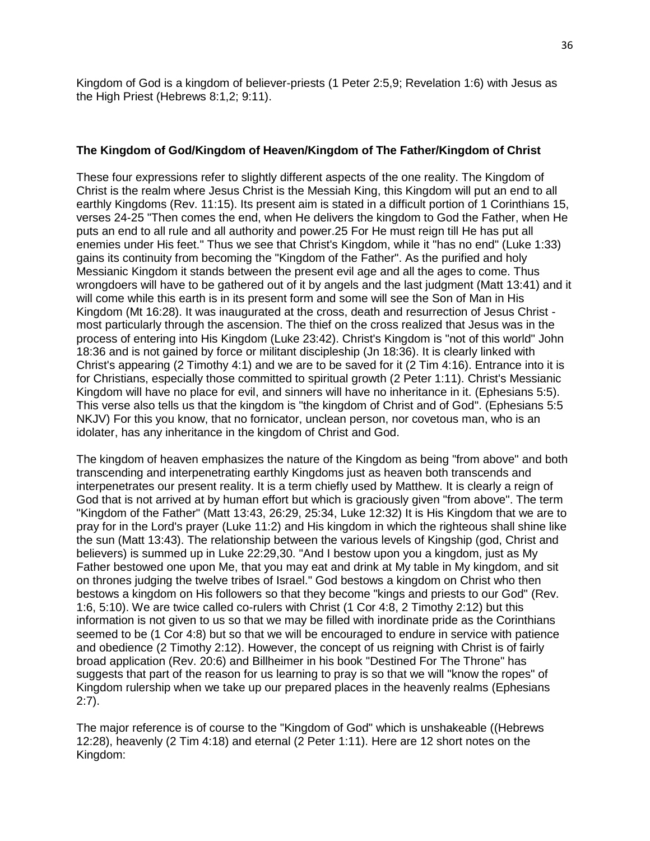Kingdom of God is a kingdom of believer-priests (1 Peter 2:5,9; Revelation 1:6) with Jesus as the High Priest (Hebrews 8:1,2; 9:11).

#### **The Kingdom of God/Kingdom of Heaven/Kingdom of The Father/Kingdom of Christ**

These four expressions refer to slightly different aspects of the one reality. The Kingdom of Christ is the realm where Jesus Christ is the Messiah King, this Kingdom will put an end to all earthly Kingdoms (Rev. 11:15). Its present aim is stated in a difficult portion of 1 Corinthians 15, verses 24-25 "Then comes the end, when He delivers the kingdom to God the Father, when He puts an end to all rule and all authority and power.25 For He must reign till He has put all enemies under His feet." Thus we see that Christ's Kingdom, while it "has no end" (Luke 1:33) gains its continuity from becoming the "Kingdom of the Father". As the purified and holy Messianic Kingdom it stands between the present evil age and all the ages to come. Thus wrongdoers will have to be gathered out of it by angels and the last judgment (Matt 13:41) and it will come while this earth is in its present form and some will see the Son of Man in His Kingdom (Mt 16:28). It was inaugurated at the cross, death and resurrection of Jesus Christ most particularly through the ascension. The thief on the cross realized that Jesus was in the process of entering into His Kingdom (Luke 23:42). Christ's Kingdom is "not of this world" John 18:36 and is not gained by force or militant discipleship (Jn 18:36). It is clearly linked with Christ's appearing (2 Timothy 4:1) and we are to be saved for it (2 Tim 4:16). Entrance into it is for Christians, especially those committed to spiritual growth (2 Peter 1:11). Christ's Messianic Kingdom will have no place for evil, and sinners will have no inheritance in it. (Ephesians 5:5). This verse also tells us that the kingdom is "the kingdom of Christ and of God". (Ephesians 5:5 NKJV) For this you know, that no fornicator, unclean person, nor covetous man, who is an idolater, has any inheritance in the kingdom of Christ and God.

The kingdom of heaven emphasizes the nature of the Kingdom as being "from above" and both transcending and interpenetrating earthly Kingdoms just as heaven both transcends and interpenetrates our present reality. It is a term chiefly used by Matthew. It is clearly a reign of God that is not arrived at by human effort but which is graciously given "from above". The term "Kingdom of the Father" (Matt 13:43, 26:29, 25:34, Luke 12:32) It is His Kingdom that we are to pray for in the Lord's prayer (Luke 11:2) and His kingdom in which the righteous shall shine like the sun (Matt 13:43). The relationship between the various levels of Kingship (god, Christ and believers) is summed up in Luke 22:29,30. "And I bestow upon you a kingdom, just as My Father bestowed one upon Me, that you may eat and drink at My table in My kingdom, and sit on thrones judging the twelve tribes of Israel." God bestows a kingdom on Christ who then bestows a kingdom on His followers so that they become "kings and priests to our God" (Rev. 1:6, 5:10). We are twice called co-rulers with Christ (1 Cor 4:8, 2 Timothy 2:12) but this information is not given to us so that we may be filled with inordinate pride as the Corinthians seemed to be (1 Cor 4:8) but so that we will be encouraged to endure in service with patience and obedience (2 Timothy 2:12). However, the concept of us reigning with Christ is of fairly broad application (Rev. 20:6) and Billheimer in his book "Destined For The Throne" has suggests that part of the reason for us learning to pray is so that we will "know the ropes" of Kingdom rulership when we take up our prepared places in the heavenly realms (Ephesians 2:7).

The major reference is of course to the "Kingdom of God" which is unshakeable ((Hebrews 12:28), heavenly (2 Tim 4:18) and eternal (2 Peter 1:11). Here are 12 short notes on the Kingdom: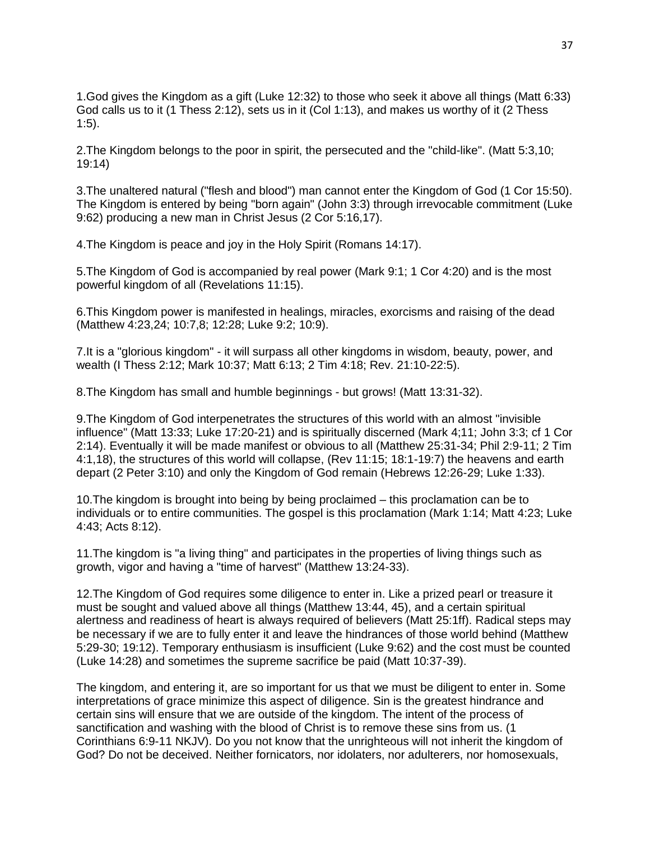1.God gives the Kingdom as a gift (Luke 12:32) to those who seek it above all things (Matt 6:33) God calls us to it (1 Thess 2:12), sets us in it (Col 1:13), and makes us worthy of it (2 Thess  $1:5$ ).

2.The Kingdom belongs to the poor in spirit, the persecuted and the "child-like". (Matt 5:3,10; 19:14)

3.The unaltered natural ("flesh and blood") man cannot enter the Kingdom of God (1 Cor 15:50). The Kingdom is entered by being "born again" (John 3:3) through irrevocable commitment (Luke 9:62) producing a new man in Christ Jesus (2 Cor 5:16,17).

4.The Kingdom is peace and joy in the Holy Spirit (Romans 14:17).

5.The Kingdom of God is accompanied by real power (Mark 9:1; 1 Cor 4:20) and is the most powerful kingdom of all (Revelations 11:15).

6.This Kingdom power is manifested in healings, miracles, exorcisms and raising of the dead (Matthew 4:23,24; 10:7,8; 12:28; Luke 9:2; 10:9).

7.It is a "glorious kingdom" - it will surpass all other kingdoms in wisdom, beauty, power, and wealth (I Thess 2:12; Mark 10:37; Matt 6:13; 2 Tim 4:18; Rev. 21:10-22:5).

8.The Kingdom has small and humble beginnings - but grows! (Matt 13:31-32).

9.The Kingdom of God interpenetrates the structures of this world with an almost "invisible influence" (Matt 13:33; Luke 17:20-21) and is spiritually discerned (Mark 4;11; John 3:3; cf 1 Cor 2:14). Eventually it will be made manifest or obvious to all (Matthew 25:31-34; Phil 2:9-11; 2 Tim 4:1,18), the structures of this world will collapse, (Rev 11:15; 18:1-19:7) the heavens and earth depart (2 Peter 3:10) and only the Kingdom of God remain (Hebrews 12:26-29; Luke 1:33).

10.The kingdom is brought into being by being proclaimed – this proclamation can be to individuals or to entire communities. The gospel is this proclamation (Mark 1:14; Matt 4:23; Luke 4:43; Acts 8:12).

11.The kingdom is "a living thing" and participates in the properties of living things such as growth, vigor and having a "time of harvest" (Matthew 13:24-33).

12.The Kingdom of God requires some diligence to enter in. Like a prized pearl or treasure it must be sought and valued above all things (Matthew 13:44, 45), and a certain spiritual alertness and readiness of heart is always required of believers (Matt 25:1ff). Radical steps may be necessary if we are to fully enter it and leave the hindrances of those world behind (Matthew 5:29-30; 19:12). Temporary enthusiasm is insufficient (Luke 9:62) and the cost must be counted (Luke 14:28) and sometimes the supreme sacrifice be paid (Matt 10:37-39).

The kingdom, and entering it, are so important for us that we must be diligent to enter in. Some interpretations of grace minimize this aspect of diligence. Sin is the greatest hindrance and certain sins will ensure that we are outside of the kingdom. The intent of the process of sanctification and washing with the blood of Christ is to remove these sins from us. (1 Corinthians 6:9-11 NKJV). Do you not know that the unrighteous will not inherit the kingdom of God? Do not be deceived. Neither fornicators, nor idolaters, nor adulterers, nor homosexuals,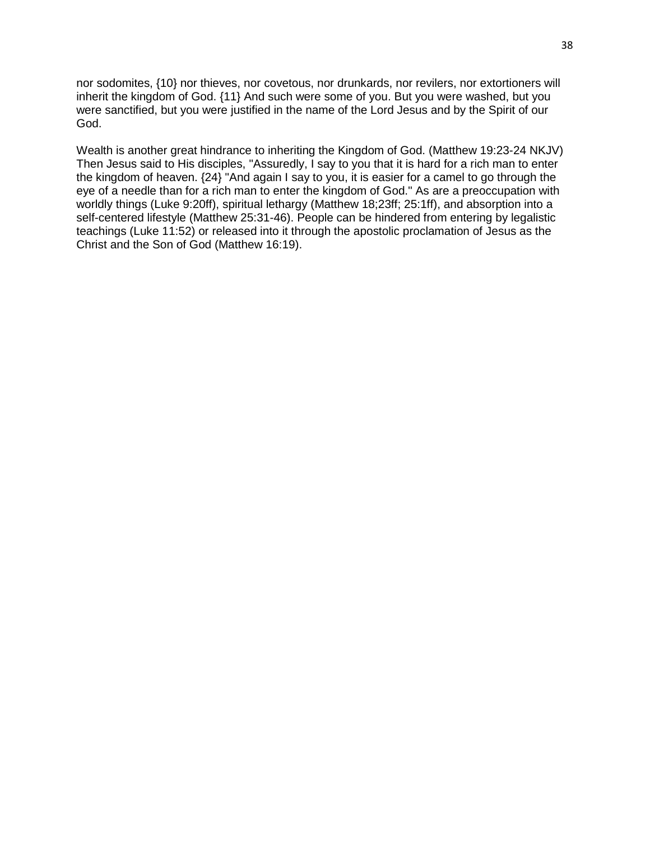nor sodomites, {10} nor thieves, nor covetous, nor drunkards, nor revilers, nor extortioners will inherit the kingdom of God. {11} And such were some of you. But you were washed, but you were sanctified, but you were justified in the name of the Lord Jesus and by the Spirit of our God.

Wealth is another great hindrance to inheriting the Kingdom of God. (Matthew 19:23-24 NKJV) Then Jesus said to His disciples, "Assuredly, I say to you that it is hard for a rich man to enter the kingdom of heaven. {24} "And again I say to you, it is easier for a camel to go through the eve of a needle than for a rich man to enter the kingdom of God." As are a preoccupation with worldly things (Luke 9:20ff), spiritual lethargy (Matthew 18;23ff; 25:1ff), and absorption into a self-centered lifestyle (Matthew 25:31-46). People can be hindered from entering by legalistic teachings (Luke 11:52) or released into it through the apostolic proclamation of Jesus as the Christ and the Son of God (Matthew 16:19).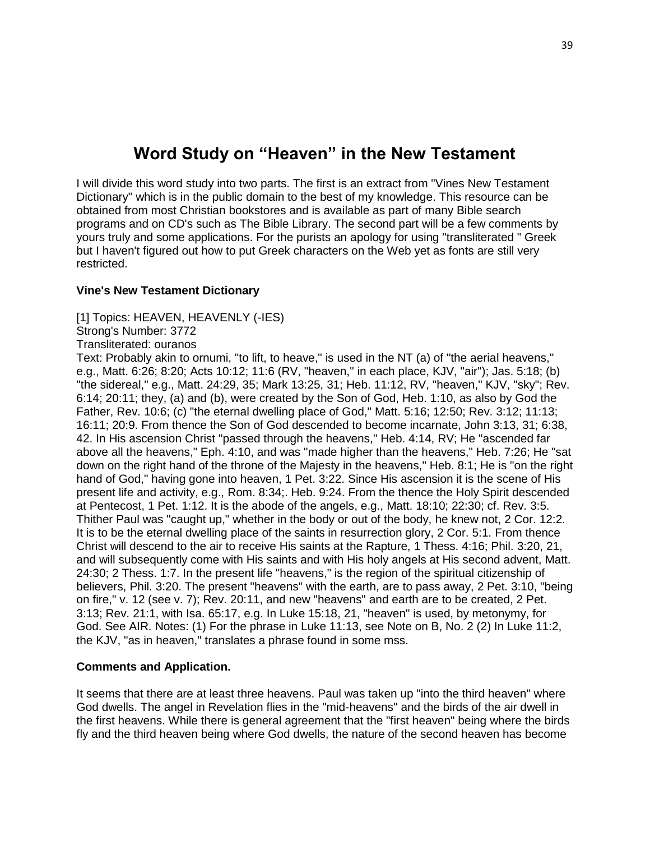# **Word Study on "Heaven" in the New Testament**

I will divide this word study into two parts. The first is an extract from "Vines New Testament Dictionary" which is in the public domain to the best of my knowledge. This resource can be obtained from most Christian bookstores and is available as part of many Bible search programs and on CD's such as The Bible Library. The second part will be a few comments by yours truly and some applications. For the purists an apology for using "transliterated " Greek but I haven't figured out how to put Greek characters on the Web yet as fonts are still very restricted.

## **Vine's New Testament Dictionary**

[1] Topics: HEAVEN, HEAVENLY (-IES)

Strong's Number: 3772

Transliterated: ouranos

Text: Probably akin to ornumi, "to lift, to heave," is used in the NT (a) of "the aerial heavens," e.g., Matt. 6:26; 8:20; Acts 10:12; 11:6 (RV, "heaven," in each place, KJV, "air"); Jas. 5:18; (b) "the sidereal," e.g., Matt. 24:29, 35; Mark 13:25, 31; Heb. 11:12, RV, "heaven," KJV, "sky"; Rev. 6:14; 20:11; they, (a) and (b), were created by the Son of God, Heb. 1:10, as also by God the Father, Rev. 10:6; (c) "the eternal dwelling place of God," Matt. 5:16; 12:50; Rev. 3:12; 11:13; 16:11; 20:9. From thence the Son of God descended to become incarnate, John 3:13, 31; 6:38, 42. In His ascension Christ "passed through the heavens," Heb. 4:14, RV; He "ascended far above all the heavens," Eph. 4:10, and was "made higher than the heavens," Heb. 7:26; He "sat down on the right hand of the throne of the Majesty in the heavens," Heb. 8:1; He is "on the right hand of God," having gone into heaven, 1 Pet. 3:22. Since His ascension it is the scene of His present life and activity, e.g., Rom. 8:34;. Heb. 9:24. From the thence the Holy Spirit descended at Pentecost, 1 Pet. 1:12. It is the abode of the angels, e.g., Matt. 18:10; 22:30; cf. Rev. 3:5. Thither Paul was "caught up," whether in the body or out of the body, he knew not, 2 Cor. 12:2. It is to be the eternal dwelling place of the saints in resurrection glory, 2 Cor. 5:1. From thence Christ will descend to the air to receive His saints at the Rapture, 1 Thess. 4:16; Phil. 3:20, 21, and will subsequently come with His saints and with His holy angels at His second advent, Matt. 24:30; 2 Thess. 1:7. In the present life "heavens," is the region of the spiritual citizenship of believers, Phil. 3:20. The present "heavens" with the earth, are to pass away, 2 Pet. 3:10, "being on fire," v. 12 (see v. 7); Rev. 20:11, and new "heavens" and earth are to be created, 2 Pet. 3:13; Rev. 21:1, with Isa. 65:17, e.g. In Luke 15:18, 21, "heaven" is used, by metonymy, for God. See AIR. Notes: (1) For the phrase in Luke 11:13, see Note on B, No. 2 (2) In Luke 11:2, the KJV, "as in heaven," translates a phrase found in some mss.

# **Comments and Application.**

It seems that there are at least three heavens. Paul was taken up "into the third heaven" where God dwells. The angel in Revelation flies in the "mid-heavens" and the birds of the air dwell in the first heavens. While there is general agreement that the "first heaven" being where the birds fly and the third heaven being where God dwells, the nature of the second heaven has become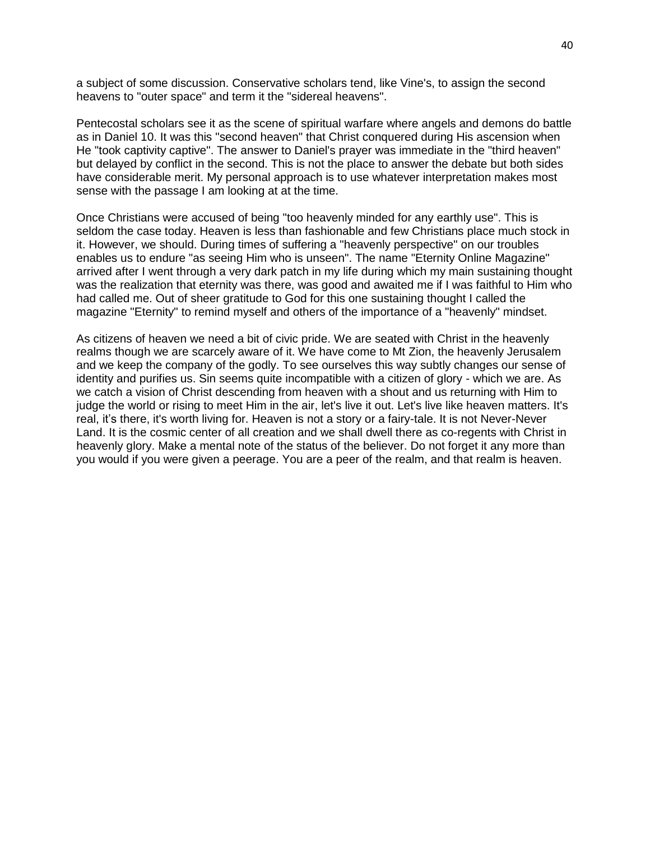a subject of some discussion. Conservative scholars tend, like Vine's, to assign the second heavens to "outer space" and term it the "sidereal heavens".

Pentecostal scholars see it as the scene of spiritual warfare where angels and demons do battle as in Daniel 10. It was this "second heaven" that Christ conquered during His ascension when He "took captivity captive". The answer to Daniel's prayer was immediate in the "third heaven" but delayed by conflict in the second. This is not the place to answer the debate but both sides have considerable merit. My personal approach is to use whatever interpretation makes most sense with the passage I am looking at at the time.

Once Christians were accused of being "too heavenly minded for any earthly use". This is seldom the case today. Heaven is less than fashionable and few Christians place much stock in it. However, we should. During times of suffering a "heavenly perspective" on our troubles enables us to endure "as seeing Him who is unseen". The name "Eternity Online Magazine" arrived after I went through a very dark patch in my life during which my main sustaining thought was the realization that eternity was there, was good and awaited me if I was faithful to Him who had called me. Out of sheer gratitude to God for this one sustaining thought I called the magazine "Eternity" to remind myself and others of the importance of a "heavenly" mindset.

As citizens of heaven we need a bit of civic pride. We are seated with Christ in the heavenly realms though we are scarcely aware of it. We have come to Mt Zion, the heavenly Jerusalem and we keep the company of the godly. To see ourselves this way subtly changes our sense of identity and purifies us. Sin seems quite incompatible with a citizen of glory - which we are. As we catch a vision of Christ descending from heaven with a shout and us returning with Him to judge the world or rising to meet Him in the air, let's live it out. Let's live like heaven matters. It's real, it's there, it's worth living for. Heaven is not a story or a fairy-tale. It is not Never-Never Land. It is the cosmic center of all creation and we shall dwell there as co-regents with Christ in heavenly glory. Make a mental note of the status of the believer. Do not forget it any more than you would if you were given a peerage. You are a peer of the realm, and that realm is heaven.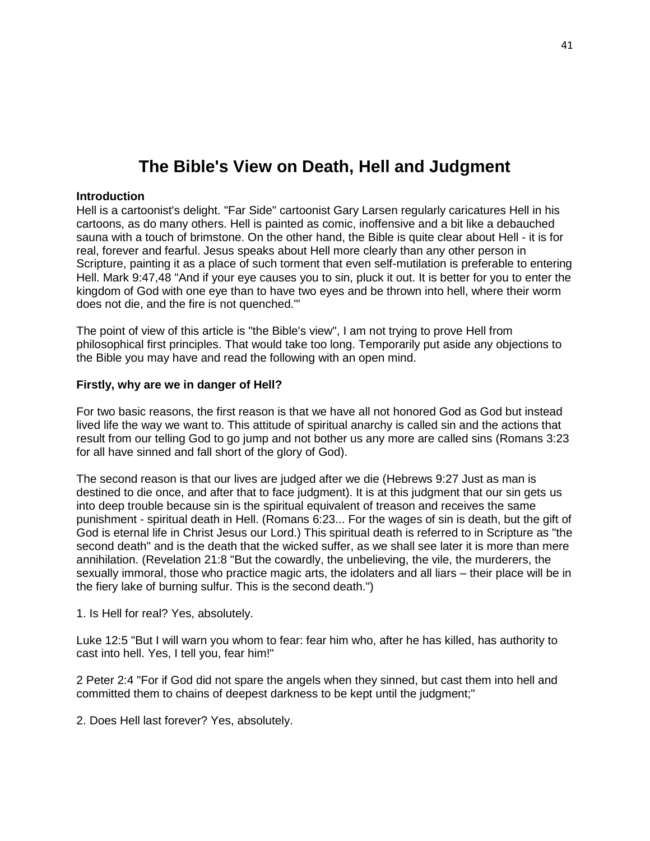# **The Bible's View on Death, Hell and Judgment**

#### **Introduction**

Hell is a cartoonist's delight. "Far Side" cartoonist Gary Larsen regularly caricatures Hell in his cartoons, as do many others. Hell is painted as comic, inoffensive and a bit like a debauched sauna with a touch of brimstone. On the other hand, the Bible is quite clear about Hell - it is for real, forever and fearful. Jesus speaks about Hell more clearly than any other person in Scripture, painting it as a place of such torment that even self-mutilation is preferable to entering Hell. Mark 9:47,48 "And if your eye causes you to sin, pluck it out. It is better for you to enter the kingdom of God with one eye than to have two eyes and be thrown into hell, where their worm does not die, and the fire is not quenched.'"

The point of view of this article is "the Bible's view", I am not trying to prove Hell from philosophical first principles. That would take too long. Temporarily put aside any objections to the Bible you may have and read the following with an open mind.

#### **Firstly, why are we in danger of Hell?**

For two basic reasons, the first reason is that we have all not honored God as God but instead lived life the way we want to. This attitude of spiritual anarchy is called sin and the actions that result from our telling God to go jump and not bother us any more are called sins (Romans 3:23 for all have sinned and fall short of the glory of God).

The second reason is that our lives are judged after we die (Hebrews 9:27 Just as man is destined to die once, and after that to face judgment). It is at this judgment that our sin gets us into deep trouble because sin is the spiritual equivalent of treason and receives the same punishment - spiritual death in Hell. (Romans 6:23... For the wages of sin is death, but the gift of God is eternal life in Christ Jesus our Lord.) This spiritual death is referred to in Scripture as "the second death" and is the death that the wicked suffer, as we shall see later it is more than mere annihilation. (Revelation 21:8 "But the cowardly, the unbelieving, the vile, the murderers, the sexually immoral, those who practice magic arts, the idolaters and all liars – their place will be in the fiery lake of burning sulfur. This is the second death.")

1. Is Hell for real? Yes, absolutely.

Luke 12:5 "But I will warn you whom to fear: fear him who, after he has killed, has authority to cast into hell. Yes, I tell you, fear him!"

2 Peter 2:4 "For if God did not spare the angels when they sinned, but cast them into hell and committed them to chains of deepest darkness to be kept until the judgment;"

2. Does Hell last forever? Yes, absolutely.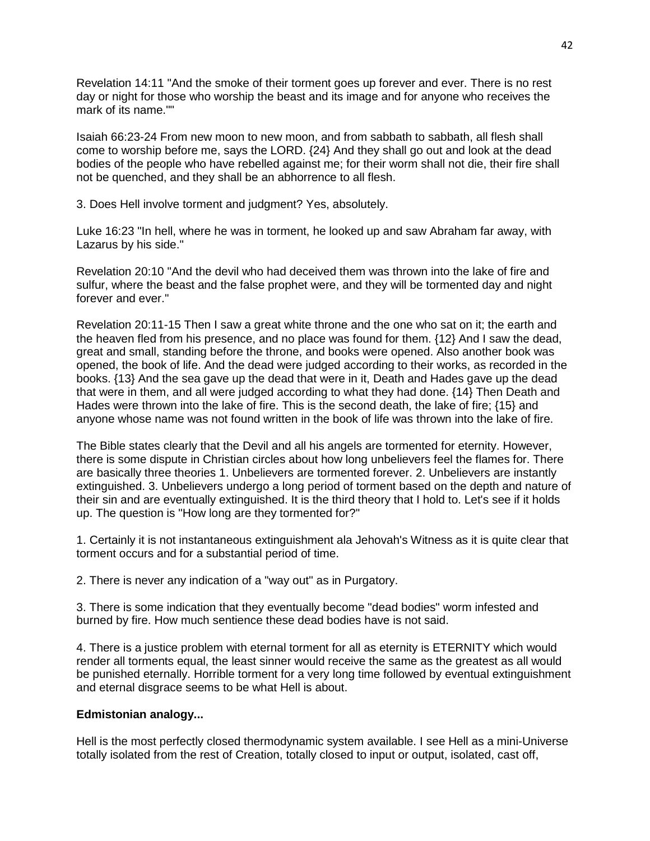Revelation 14:11 "And the smoke of their torment goes up forever and ever. There is no rest day or night for those who worship the beast and its image and for anyone who receives the mark of its name.""

Isaiah 66:23-24 From new moon to new moon, and from sabbath to sabbath, all flesh shall come to worship before me, says the LORD. {24} And they shall go out and look at the dead bodies of the people who have rebelled against me; for their worm shall not die, their fire shall not be quenched, and they shall be an abhorrence to all flesh.

3. Does Hell involve torment and judgment? Yes, absolutely.

Luke 16:23 "In hell, where he was in torment, he looked up and saw Abraham far away, with Lazarus by his side."

Revelation 20:10 "And the devil who had deceived them was thrown into the lake of fire and sulfur, where the beast and the false prophet were, and they will be tormented day and night forever and ever."

Revelation 20:11-15 Then I saw a great white throne and the one who sat on it; the earth and the heaven fled from his presence, and no place was found for them. {12} And I saw the dead, great and small, standing before the throne, and books were opened. Also another book was opened, the book of life. And the dead were judged according to their works, as recorded in the books. {13} And the sea gave up the dead that were in it, Death and Hades gave up the dead that were in them, and all were judged according to what they had done. {14} Then Death and Hades were thrown into the lake of fire. This is the second death, the lake of fire; {15} and anyone whose name was not found written in the book of life was thrown into the lake of fire.

The Bible states clearly that the Devil and all his angels are tormented for eternity. However, there is some dispute in Christian circles about how long unbelievers feel the flames for. There are basically three theories 1. Unbelievers are tormented forever. 2. Unbelievers are instantly extinguished. 3. Unbelievers undergo a long period of torment based on the depth and nature of their sin and are eventually extinguished. It is the third theory that I hold to. Let's see if it holds up. The question is "How long are they tormented for?"

1. Certainly it is not instantaneous extinguishment ala Jehovah's Witness as it is quite clear that torment occurs and for a substantial period of time.

2. There is never any indication of a "way out" as in Purgatory.

3. There is some indication that they eventually become "dead bodies" worm infested and burned by fire. How much sentience these dead bodies have is not said.

4. There is a justice problem with eternal torment for all as eternity is ETERNITY which would render all torments equal, the least sinner would receive the same as the greatest as all would be punished eternally. Horrible torment for a very long time followed by eventual extinguishment and eternal disgrace seems to be what Hell is about.

# **Edmistonian analogy...**

Hell is the most perfectly closed thermodynamic system available. I see Hell as a mini-Universe totally isolated from the rest of Creation, totally closed to input or output, isolated, cast off,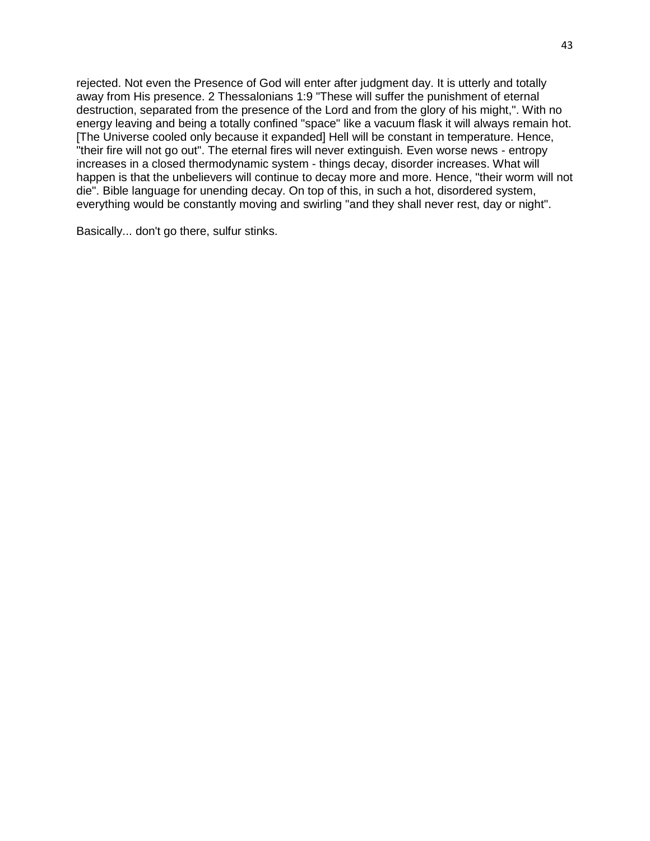rejected. Not even the Presence of God will enter after judgment day. It is utterly and totally away from His presence. 2 Thessalonians 1:9 "These will suffer the punishment of eternal destruction, separated from the presence of the Lord and from the glory of his might,". With no energy leaving and being a totally confined "space" like a vacuum flask it will always remain hot. [The Universe cooled only because it expanded] Hell will be constant in temperature. Hence, "their fire will not go out". The eternal fires will never extinguish. Even worse news - entropy increases in a closed thermodynamic system - things decay, disorder increases. What will happen is that the unbelievers will continue to decay more and more. Hence, "their worm will not die". Bible language for unending decay. On top of this, in such a hot, disordered system, everything would be constantly moving and swirling "and they shall never rest, day or night".

Basically... don't go there, sulfur stinks.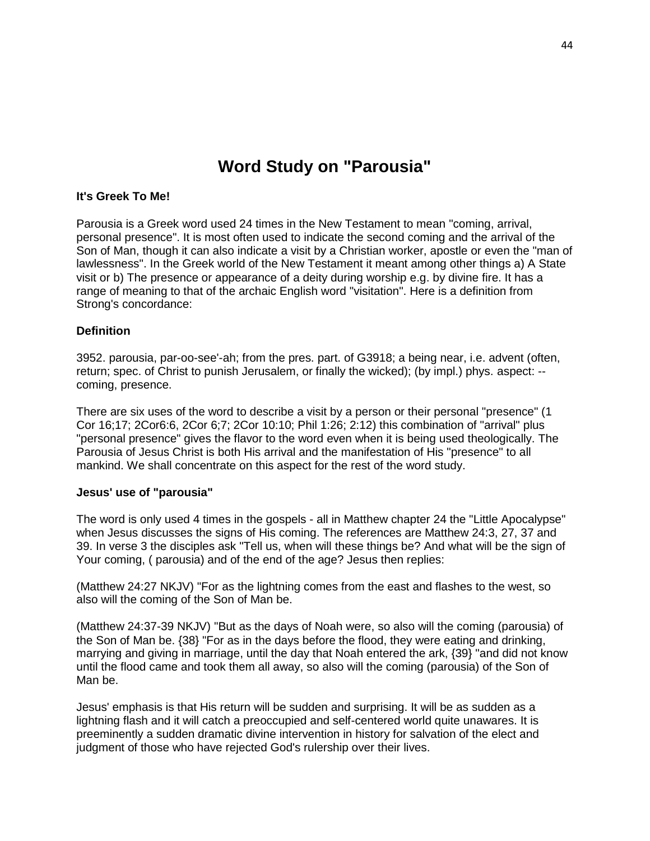# **Word Study on "Parousia"**

#### **It's Greek To Me!**

Parousia is a Greek word used 24 times in the New Testament to mean "coming, arrival, personal presence". It is most often used to indicate the second coming and the arrival of the Son of Man, though it can also indicate a visit by a Christian worker, apostle or even the "man of lawlessness". In the Greek world of the New Testament it meant among other things a) A State visit or b) The presence or appearance of a deity during worship e.g. by divine fire. It has a range of meaning to that of the archaic English word "visitation". Here is a definition from Strong's concordance:

#### **Definition**

3952. parousia, par-oo-see'-ah; from the pres. part. of G3918; a being near, i.e. advent (often, return; spec. of Christ to punish Jerusalem, or finally the wicked); (by impl.) phys. aspect: - coming, presence.

There are six uses of the word to describe a visit by a person or their personal "presence" (1 Cor 16;17; 2Cor6:6, 2Cor 6;7; 2Cor 10:10; Phil 1:26; 2:12) this combination of "arrival" plus "personal presence" gives the flavor to the word even when it is being used theologically. The Parousia of Jesus Christ is both His arrival and the manifestation of His "presence" to all mankind. We shall concentrate on this aspect for the rest of the word study.

#### **Jesus' use of "parousia"**

The word is only used 4 times in the gospels - all in Matthew chapter 24 the "Little Apocalypse" when Jesus discusses the signs of His coming. The references are Matthew 24:3, 27, 37 and 39. In verse 3 the disciples ask "Tell us, when will these things be? And what will be the sign of Your coming, ( parousia) and of the end of the age? Jesus then replies:

(Matthew 24:27 NKJV) "For as the lightning comes from the east and flashes to the west, so also will the coming of the Son of Man be.

(Matthew 24:37-39 NKJV) "But as the days of Noah were, so also will the coming (parousia) of the Son of Man be. {38} "For as in the days before the flood, they were eating and drinking, marrying and giving in marriage, until the day that Noah entered the ark, {39} "and did not know until the flood came and took them all away, so also will the coming (parousia) of the Son of Man be.

Jesus' emphasis is that His return will be sudden and surprising. It will be as sudden as a lightning flash and it will catch a preoccupied and self-centered world quite unawares. It is preeminently a sudden dramatic divine intervention in history for salvation of the elect and judgment of those who have rejected God's rulership over their lives.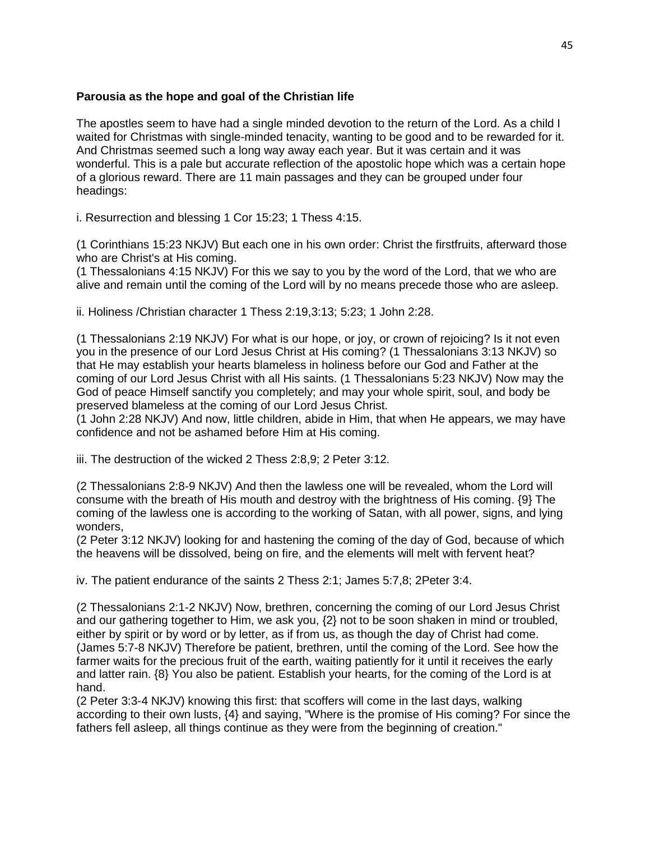# **Parousia as the hope and goal of the Christian life**

The apostles seem to have had a single minded devotion to the return of the Lord. As a child I waited for Christmas with single-minded tenacity, wanting to be good and to be rewarded for it. And Christmas seemed such a long way away each year. But it was certain and it was wonderful. This is a pale but accurate reflection of the apostolic hope which was a certain hope of a glorious reward. There are 11 main passages and they can be grouped under four headings:

i. Resurrection and blessing 1 Cor 15:23; 1 Thess 4:15.

(1 Corinthians 15:23 NKJV) But each one in his own order: Christ the firstfruits, afterward those who are Christ's at His coming.

(1 Thessalonians 4:15 NKJV) For this we say to you by the word of the Lord, that we who are alive and remain until the coming of the Lord will by no means precede those who are asleep.

ii. Holiness /Christian character 1 Thess 2:19,3:13; 5:23; 1 John 2:28.

(1 Thessalonians 2:19 NKJV) For what is our hope, or joy, or crown of rejoicing? Is it not even you in the presence of our Lord Jesus Christ at His coming? (1 Thessalonians 3:13 NKJV) so that He may establish your hearts blameless in holiness before our God and Father at the coming of our Lord Jesus Christ with all His saints. (1 Thessalonians 5:23 NKJV) Now may the God of peace Himself sanctify you completely; and may your whole spirit, soul, and body be preserved blameless at the coming of our Lord Jesus Christ.

(1 John 2:28 NKJV) And now, little children, abide in Him, that when He appears, we may have confidence and not be ashamed before Him at His coming.

iii. The destruction of the wicked 2 Thess 2:8,9; 2 Peter 3:12.

(2 Thessalonians 2:8-9 NKJV) And then the lawless one will be revealed, whom the Lord will consume with the breath of His mouth and destroy with the brightness of His coming. {9} The coming of the lawless one is according to the working of Satan, with all power, signs, and lying wonders,

(2 Peter 3:12 NKJV) looking for and hastening the coming of the day of God, because of which the heavens will be dissolved, being on fire, and the elements will melt with fervent heat?

iv. The patient endurance of the saints 2 Thess 2:1; James 5:7,8; 2Peter 3:4.

(2 Thessalonians 2:1-2 NKJV) Now, brethren, concerning the coming of our Lord Jesus Christ and our gathering together to Him, we ask you, {2} not to be soon shaken in mind or troubled, either by spirit or by word or by letter, as if from us, as though the day of Christ had come. (James 5:7-8 NKJV) Therefore be patient, brethren, until the coming of the Lord. See how the farmer waits for the precious fruit of the earth, waiting patiently for it until it receives the early and latter rain. {8} You also be patient. Establish your hearts, for the coming of the Lord is at hand.

(2 Peter 3:3-4 NKJV) knowing this first: that scoffers will come in the last days, walking according to their own lusts, {4} and saying, "Where is the promise of His coming? For since the fathers fell asleep, all things continue as they were from the beginning of creation."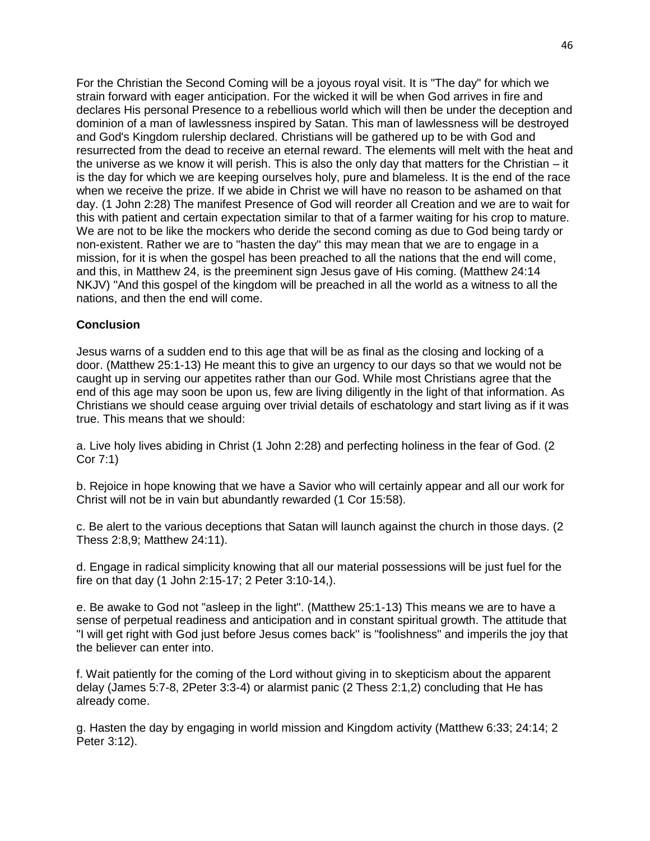For the Christian the Second Coming will be a joyous royal visit. It is "The day" for which we strain forward with eager anticipation. For the wicked it will be when God arrives in fire and declares His personal Presence to a rebellious world which will then be under the deception and dominion of a man of lawlessness inspired by Satan. This man of lawlessness will be destroyed and God's Kingdom rulership declared. Christians will be gathered up to be with God and resurrected from the dead to receive an eternal reward. The elements will melt with the heat and the universe as we know it will perish. This is also the only day that matters for the Christian – it is the day for which we are keeping ourselves holy, pure and blameless. It is the end of the race when we receive the prize. If we abide in Christ we will have no reason to be ashamed on that day. (1 John 2:28) The manifest Presence of God will reorder all Creation and we are to wait for this with patient and certain expectation similar to that of a farmer waiting for his crop to mature. We are not to be like the mockers who deride the second coming as due to God being tardy or non-existent. Rather we are to "hasten the day" this may mean that we are to engage in a mission, for it is when the gospel has been preached to all the nations that the end will come, and this, in Matthew 24, is the preeminent sign Jesus gave of His coming. (Matthew 24:14 NKJV) "And this gospel of the kingdom will be preached in all the world as a witness to all the nations, and then the end will come.

# **Conclusion**

Jesus warns of a sudden end to this age that will be as final as the closing and locking of a door. (Matthew 25:1-13) He meant this to give an urgency to our days so that we would not be caught up in serving our appetites rather than our God. While most Christians agree that the end of this age may soon be upon us, few are living diligently in the light of that information. As Christians we should cease arguing over trivial details of eschatology and start living as if it was true. This means that we should:

a. Live holy lives abiding in Christ (1 John 2:28) and perfecting holiness in the fear of God. (2 Cor 7:1)

b. Rejoice in hope knowing that we have a Savior who will certainly appear and all our work for Christ will not be in vain but abundantly rewarded (1 Cor 15:58).

c. Be alert to the various deceptions that Satan will launch against the church in those days. (2 Thess 2:8,9; Matthew 24:11).

d. Engage in radical simplicity knowing that all our material possessions will be just fuel for the fire on that day (1 John 2:15-17; 2 Peter 3:10-14,).

e. Be awake to God not "asleep in the light". (Matthew 25:1-13) This means we are to have a sense of perpetual readiness and anticipation and in constant spiritual growth. The attitude that "I will get right with God just before Jesus comes back'' is "foolishness" and imperils the joy that the believer can enter into.

f. Wait patiently for the coming of the Lord without giving in to skepticism about the apparent delay (James 5:7-8, 2Peter 3:3-4) or alarmist panic (2 Thess 2:1,2) concluding that He has already come.

g. Hasten the day by engaging in world mission and Kingdom activity (Matthew 6:33; 24:14; 2 Peter 3:12).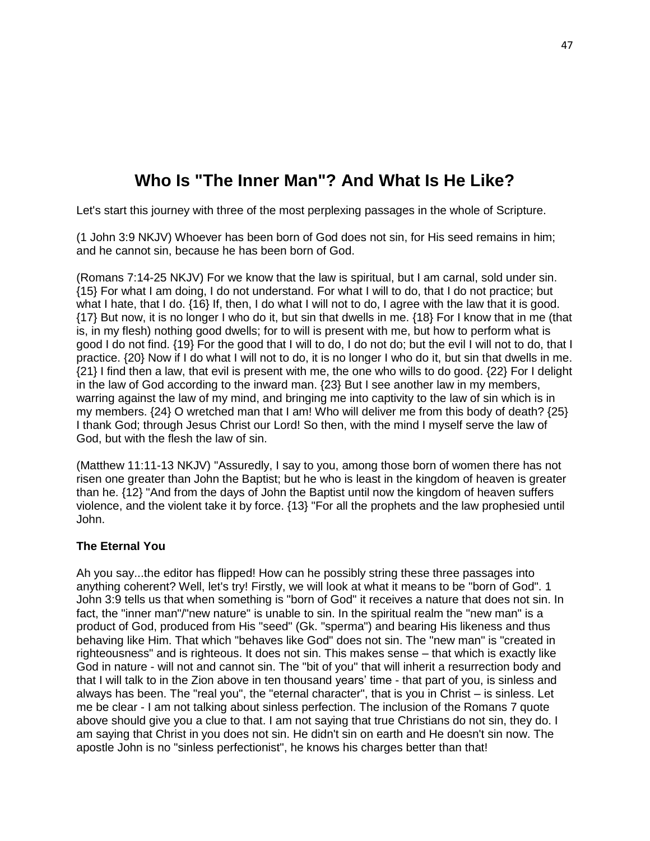# **Who Is "The Inner Man"? And What Is He Like?**

Let's start this journey with three of the most perplexing passages in the whole of Scripture.

(1 John 3:9 NKJV) Whoever has been born of God does not sin, for His seed remains in him; and he cannot sin, because he has been born of God.

(Romans 7:14-25 NKJV) For we know that the law is spiritual, but I am carnal, sold under sin. {15} For what I am doing, I do not understand. For what I will to do, that I do not practice; but what I hate, that I do. {16} If, then, I do what I will not to do, I agree with the law that it is good. {17} But now, it is no longer I who do it, but sin that dwells in me. {18} For I know that in me (that is, in my flesh) nothing good dwells; for to will is present with me, but how to perform what is good I do not find. {19} For the good that I will to do, I do not do; but the evil I will not to do, that I practice. {20} Now if I do what I will not to do, it is no longer I who do it, but sin that dwells in me. {21} I find then a law, that evil is present with me, the one who wills to do good. {22} For I delight in the law of God according to the inward man. {23} But I see another law in my members, warring against the law of my mind, and bringing me into captivity to the law of sin which is in my members. {24} O wretched man that I am! Who will deliver me from this body of death? {25} I thank God; through Jesus Christ our Lord! So then, with the mind I myself serve the law of God, but with the flesh the law of sin.

(Matthew 11:11-13 NKJV) "Assuredly, I say to you, among those born of women there has not risen one greater than John the Baptist; but he who is least in the kingdom of heaven is greater than he. {12} "And from the days of John the Baptist until now the kingdom of heaven suffers violence, and the violent take it by force. {13} "For all the prophets and the law prophesied until John.

# **The Eternal You**

Ah you say...the editor has flipped! How can he possibly string these three passages into anything coherent? Well, let's try! Firstly, we will look at what it means to be "born of God". 1 John 3:9 tells us that when something is "born of God" it receives a nature that does not sin. In fact, the "inner man"/"new nature" is unable to sin. In the spiritual realm the "new man" is a product of God, produced from His "seed" (Gk. "sperma") and bearing His likeness and thus behaving like Him. That which "behaves like God" does not sin. The "new man" is "created in righteousness" and is righteous. It does not sin. This makes sense – that which is exactly like God in nature - will not and cannot sin. The "bit of you" that will inherit a resurrection body and that I will talk to in the Zion above in ten thousand years' time - that part of you, is sinless and always has been. The "real you", the "eternal character", that is you in Christ – is sinless. Let me be clear - I am not talking about sinless perfection. The inclusion of the Romans 7 quote above should give you a clue to that. I am not saying that true Christians do not sin, they do. I am saying that Christ in you does not sin. He didn't sin on earth and He doesn't sin now. The apostle John is no "sinless perfectionist", he knows his charges better than that!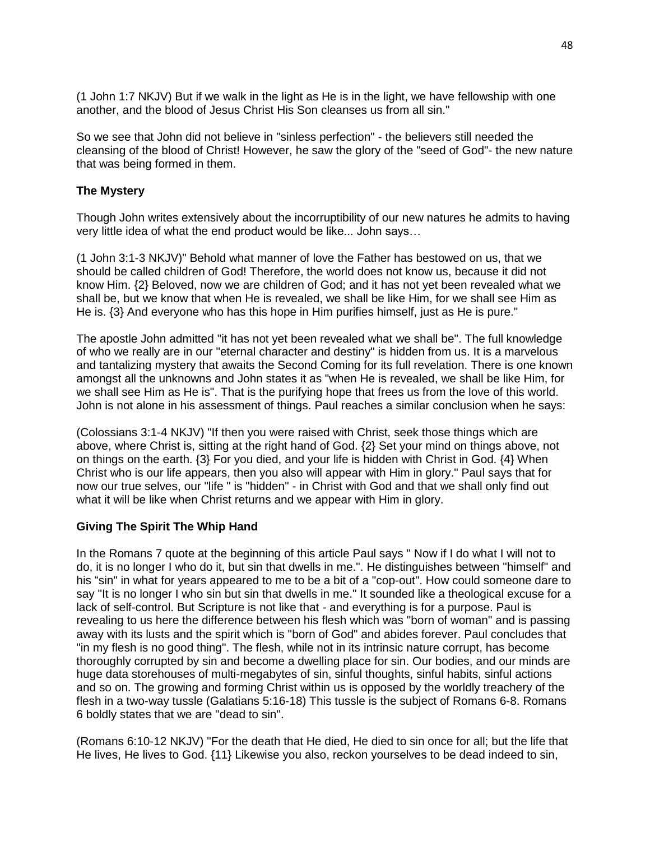(1 John 1:7 NKJV) But if we walk in the light as He is in the light, we have fellowship with one another, and the blood of Jesus Christ His Son cleanses us from all sin."

So we see that John did not believe in "sinless perfection" - the believers still needed the cleansing of the blood of Christ! However, he saw the glory of the "seed of God"- the new nature that was being formed in them.

## **The Mystery**

Though John writes extensively about the incorruptibility of our new natures he admits to having very little idea of what the end product would be like... John says…

(1 John 3:1-3 NKJV)" Behold what manner of love the Father has bestowed on us, that we should be called children of God! Therefore, the world does not know us, because it did not know Him. {2} Beloved, now we are children of God; and it has not yet been revealed what we shall be, but we know that when He is revealed, we shall be like Him, for we shall see Him as He is. {3} And everyone who has this hope in Him purifies himself, just as He is pure."

The apostle John admitted "it has not yet been revealed what we shall be". The full knowledge of who we really are in our "eternal character and destiny" is hidden from us. It is a marvelous and tantalizing mystery that awaits the Second Coming for its full revelation. There is one known amongst all the unknowns and John states it as "when He is revealed, we shall be like Him, for we shall see Him as He is". That is the purifying hope that frees us from the love of this world. John is not alone in his assessment of things. Paul reaches a similar conclusion when he says:

(Colossians 3:1-4 NKJV) "If then you were raised with Christ, seek those things which are above, where Christ is, sitting at the right hand of God. {2} Set your mind on things above, not on things on the earth. {3} For you died, and your life is hidden with Christ in God. {4} When Christ who is our life appears, then you also will appear with Him in glory." Paul says that for now our true selves, our "life " is "hidden" - in Christ with God and that we shall only find out what it will be like when Christ returns and we appear with Him in glory.

# **Giving The Spirit The Whip Hand**

In the Romans 7 quote at the beginning of this article Paul says " Now if I do what I will not to do, it is no longer I who do it, but sin that dwells in me.". He distinguishes between "himself" and his "sin" in what for years appeared to me to be a bit of a "cop-out". How could someone dare to say "It is no longer I who sin but sin that dwells in me." It sounded like a theological excuse for a lack of self-control. But Scripture is not like that - and everything is for a purpose. Paul is revealing to us here the difference between his flesh which was "born of woman" and is passing away with its lusts and the spirit which is "born of God" and abides forever. Paul concludes that "in my flesh is no good thing". The flesh, while not in its intrinsic nature corrupt, has become thoroughly corrupted by sin and become a dwelling place for sin. Our bodies, and our minds are huge data storehouses of multi-megabytes of sin, sinful thoughts, sinful habits, sinful actions and so on. The growing and forming Christ within us is opposed by the worldly treachery of the flesh in a two-way tussle (Galatians 5:16-18) This tussle is the subject of Romans 6-8. Romans 6 boldly states that we are "dead to sin".

(Romans 6:10-12 NKJV) "For the death that He died, He died to sin once for all; but the life that He lives, He lives to God. {11} Likewise you also, reckon yourselves to be dead indeed to sin,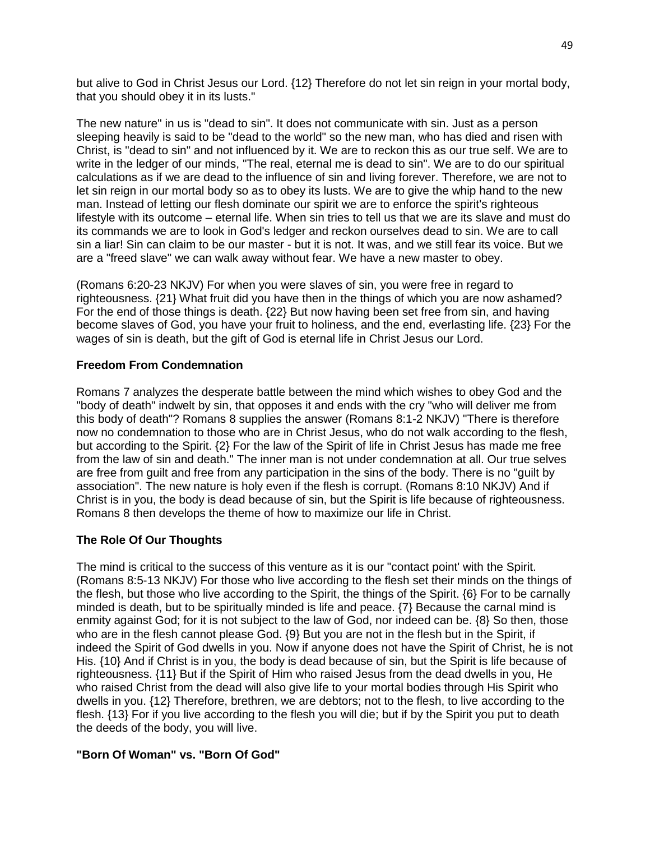but alive to God in Christ Jesus our Lord. {12} Therefore do not let sin reign in your mortal body, that you should obey it in its lusts."

The new nature" in us is "dead to sin". It does not communicate with sin. Just as a person sleeping heavily is said to be "dead to the world" so the new man, who has died and risen with Christ, is "dead to sin" and not influenced by it. We are to reckon this as our true self. We are to write in the ledger of our minds, "The real, eternal me is dead to sin". We are to do our spiritual calculations as if we are dead to the influence of sin and living forever. Therefore, we are not to let sin reign in our mortal body so as to obey its lusts. We are to give the whip hand to the new man. Instead of letting our flesh dominate our spirit we are to enforce the spirit's righteous lifestyle with its outcome – eternal life. When sin tries to tell us that we are its slave and must do its commands we are to look in God's ledger and reckon ourselves dead to sin. We are to call sin a liar! Sin can claim to be our master - but it is not. It was, and we still fear its voice. But we are a "freed slave" we can walk away without fear. We have a new master to obey.

(Romans 6:20-23 NKJV) For when you were slaves of sin, you were free in regard to righteousness. {21} What fruit did you have then in the things of which you are now ashamed? For the end of those things is death. {22} But now having been set free from sin, and having become slaves of God, you have your fruit to holiness, and the end, everlasting life. {23} For the wages of sin is death, but the gift of God is eternal life in Christ Jesus our Lord.

## **Freedom From Condemnation**

Romans 7 analyzes the desperate battle between the mind which wishes to obey God and the "body of death" indwelt by sin, that opposes it and ends with the cry "who will deliver me from this body of death"? Romans 8 supplies the answer (Romans 8:1-2 NKJV) "There is therefore now no condemnation to those who are in Christ Jesus, who do not walk according to the flesh, but according to the Spirit. {2} For the law of the Spirit of life in Christ Jesus has made me free from the law of sin and death." The inner man is not under condemnation at all. Our true selves are free from guilt and free from any participation in the sins of the body. There is no "guilt by association". The new nature is holy even if the flesh is corrupt. (Romans 8:10 NKJV) And if Christ is in you, the body is dead because of sin, but the Spirit is life because of righteousness. Romans 8 then develops the theme of how to maximize our life in Christ.

# **The Role Of Our Thoughts**

The mind is critical to the success of this venture as it is our "contact point' with the Spirit. (Romans 8:5-13 NKJV) For those who live according to the flesh set their minds on the things of the flesh, but those who live according to the Spirit, the things of the Spirit. {6} For to be carnally minded is death, but to be spiritually minded is life and peace. {7} Because the carnal mind is enmity against God; for it is not subject to the law of God, nor indeed can be. {8} So then, those who are in the flesh cannot please God. {9} But you are not in the flesh but in the Spirit, if indeed the Spirit of God dwells in you. Now if anyone does not have the Spirit of Christ, he is not His.  $\{10\}$  And if Christ is in you, the body is dead because of sin, but the Spirit is life because of righteousness. {11} But if the Spirit of Him who raised Jesus from the dead dwells in you, He who raised Christ from the dead will also give life to your mortal bodies through His Spirit who dwells in you. {12} Therefore, brethren, we are debtors; not to the flesh, to live according to the flesh. {13} For if you live according to the flesh you will die; but if by the Spirit you put to death the deeds of the body, you will live.

#### **"Born Of Woman" vs. "Born Of God"**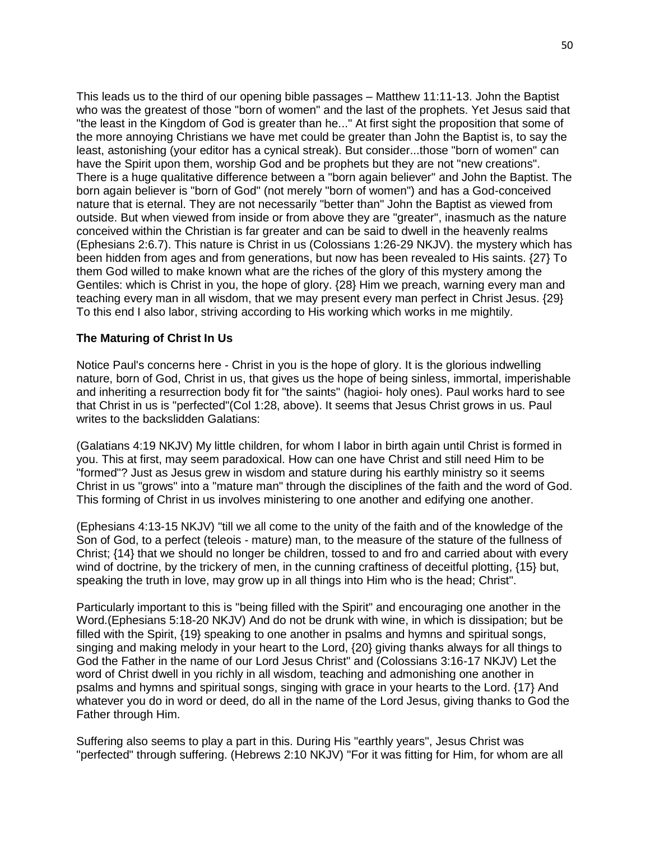This leads us to the third of our opening bible passages – Matthew 11:11-13. John the Baptist who was the greatest of those "born of women" and the last of the prophets. Yet Jesus said that "the least in the Kingdom of God is greater than he..." At first sight the proposition that some of the more annoying Christians we have met could be greater than John the Baptist is, to say the least, astonishing (your editor has a cynical streak). But consider...those "born of women" can have the Spirit upon them, worship God and be prophets but they are not "new creations". There is a huge qualitative difference between a "born again believer" and John the Baptist. The born again believer is "born of God" (not merely "born of women") and has a God-conceived nature that is eternal. They are not necessarily "better than" John the Baptist as viewed from outside. But when viewed from inside or from above they are "greater", inasmuch as the nature conceived within the Christian is far greater and can be said to dwell in the heavenly realms (Ephesians 2:6.7). This nature is Christ in us (Colossians 1:26-29 NKJV). the mystery which has been hidden from ages and from generations, but now has been revealed to His saints. {27} To them God willed to make known what are the riches of the glory of this mystery among the Gentiles: which is Christ in you, the hope of glory. {28} Him we preach, warning every man and teaching every man in all wisdom, that we may present every man perfect in Christ Jesus. {29} To this end I also labor, striving according to His working which works in me mightily.

#### **The Maturing of Christ In Us**

Notice Paul's concerns here - Christ in you is the hope of glory. It is the glorious indwelling nature, born of God, Christ in us, that gives us the hope of being sinless, immortal, imperishable and inheriting a resurrection body fit for "the saints" (hagioi- holy ones). Paul works hard to see that Christ in us is "perfected"(Col 1:28, above). It seems that Jesus Christ grows in us. Paul writes to the backslidden Galatians:

(Galatians 4:19 NKJV) My little children, for whom I labor in birth again until Christ is formed in you. This at first, may seem paradoxical. How can one have Christ and still need Him to be "formed"? Just as Jesus grew in wisdom and stature during his earthly ministry so it seems Christ in us "grows" into a "mature man" through the disciplines of the faith and the word of God. This forming of Christ in us involves ministering to one another and edifying one another.

(Ephesians 4:13-15 NKJV) "till we all come to the unity of the faith and of the knowledge of the Son of God, to a perfect (teleois - mature) man, to the measure of the stature of the fullness of Christ; {14} that we should no longer be children, tossed to and fro and carried about with every wind of doctrine, by the trickery of men, in the cunning craftiness of deceitful plotting, {15} but, speaking the truth in love, may grow up in all things into Him who is the head; Christ".

Particularly important to this is "being filled with the Spirit" and encouraging one another in the Word.(Ephesians 5:18-20 NKJV) And do not be drunk with wine, in which is dissipation; but be filled with the Spirit, {19} speaking to one another in psalms and hymns and spiritual songs, singing and making melody in your heart to the Lord, {20} giving thanks always for all things to God the Father in the name of our Lord Jesus Christ" and (Colossians 3:16-17 NKJV) Let the word of Christ dwell in you richly in all wisdom, teaching and admonishing one another in psalms and hymns and spiritual songs, singing with grace in your hearts to the Lord. {17} And whatever you do in word or deed, do all in the name of the Lord Jesus, giving thanks to God the Father through Him.

Suffering also seems to play a part in this. During His "earthly years", Jesus Christ was "perfected" through suffering. (Hebrews 2:10 NKJV) "For it was fitting for Him, for whom are all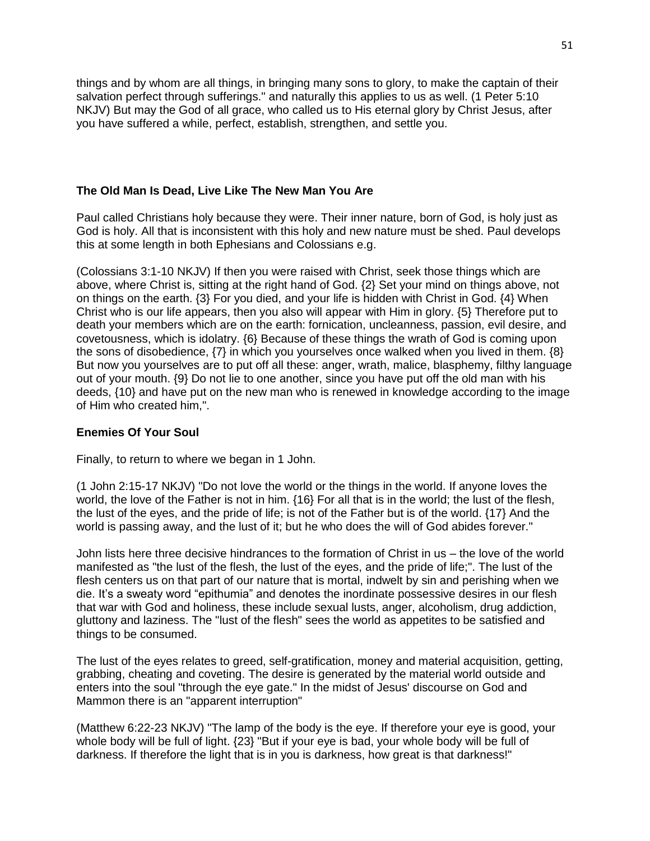things and by whom are all things, in bringing many sons to glory, to make the captain of their salvation perfect through sufferings." and naturally this applies to us as well. (1 Peter 5:10 NKJV) But may the God of all grace, who called us to His eternal glory by Christ Jesus, after you have suffered a while, perfect, establish, strengthen, and settle you.

## **The Old Man Is Dead, Live Like The New Man You Are**

Paul called Christians holy because they were. Their inner nature, born of God, is holy just as God is holy. All that is inconsistent with this holy and new nature must be shed. Paul develops this at some length in both Ephesians and Colossians e.g.

(Colossians 3:1-10 NKJV) If then you were raised with Christ, seek those things which are above, where Christ is, sitting at the right hand of God. {2} Set your mind on things above, not on things on the earth. {3} For you died, and your life is hidden with Christ in God. {4} When Christ who is our life appears, then you also will appear with Him in glory. {5} Therefore put to death your members which are on the earth: fornication, uncleanness, passion, evil desire, and covetousness, which is idolatry. {6} Because of these things the wrath of God is coming upon the sons of disobedience, {7} in which you yourselves once walked when you lived in them. {8} But now you yourselves are to put off all these: anger, wrath, malice, blasphemy, filthy language out of your mouth. {9} Do not lie to one another, since you have put off the old man with his deeds, {10} and have put on the new man who is renewed in knowledge according to the image of Him who created him,".

#### **Enemies Of Your Soul**

Finally, to return to where we began in 1 John.

(1 John 2:15-17 NKJV) "Do not love the world or the things in the world. If anyone loves the world, the love of the Father is not in him. {16} For all that is in the world; the lust of the flesh, the lust of the eyes, and the pride of life; is not of the Father but is of the world. {17} And the world is passing away, and the lust of it; but he who does the will of God abides forever."

John lists here three decisive hindrances to the formation of Christ in us – the love of the world manifested as "the lust of the flesh, the lust of the eyes, and the pride of life;". The lust of the flesh centers us on that part of our nature that is mortal, indwelt by sin and perishing when we die. It's a sweaty word "epithumia" and denotes the inordinate possessive desires in our flesh that war with God and holiness, these include sexual lusts, anger, alcoholism, drug addiction, gluttony and laziness. The "lust of the flesh" sees the world as appetites to be satisfied and things to be consumed.

The lust of the eyes relates to greed, self-gratification, money and material acquisition, getting, grabbing, cheating and coveting. The desire is generated by the material world outside and enters into the soul "through the eye gate." In the midst of Jesus' discourse on God and Mammon there is an "apparent interruption"

(Matthew 6:22-23 NKJV) "The lamp of the body is the eye. If therefore your eye is good, your whole body will be full of light. {23} "But if your eye is bad, your whole body will be full of darkness. If therefore the light that is in you is darkness, how great is that darkness!"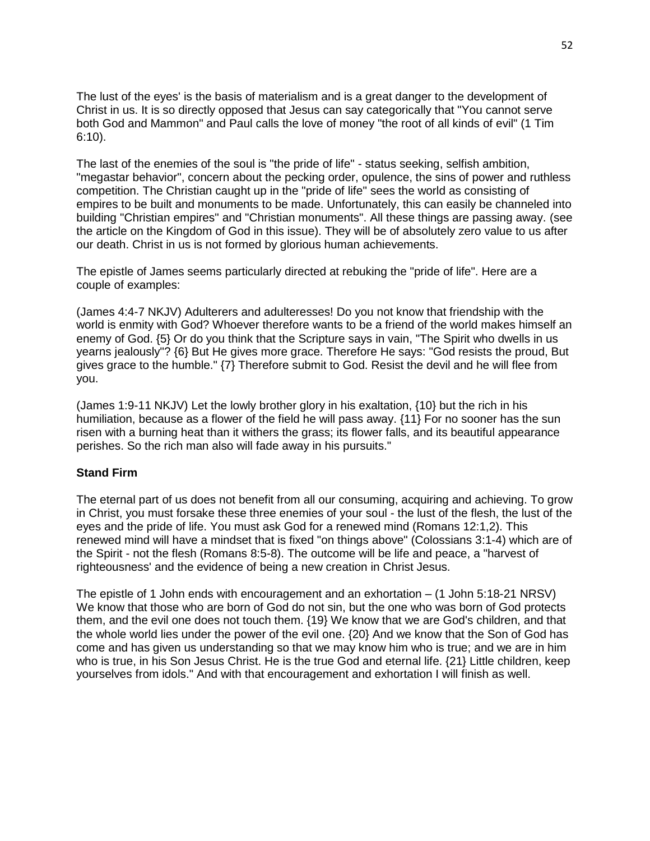The lust of the eyes' is the basis of materialism and is a great danger to the development of Christ in us. It is so directly opposed that Jesus can say categorically that "You cannot serve both God and Mammon" and Paul calls the love of money "the root of all kinds of evil" (1 Tim 6:10).

The last of the enemies of the soul is "the pride of life" - status seeking, selfish ambition, "megastar behavior", concern about the pecking order, opulence, the sins of power and ruthless competition. The Christian caught up in the "pride of life" sees the world as consisting of empires to be built and monuments to be made. Unfortunately, this can easily be channeled into building "Christian empires" and "Christian monuments". All these things are passing away. (see the article on the Kingdom of God in this issue). They will be of absolutely zero value to us after our death. Christ in us is not formed by glorious human achievements.

The epistle of James seems particularly directed at rebuking the "pride of life". Here are a couple of examples:

(James 4:4-7 NKJV) Adulterers and adulteresses! Do you not know that friendship with the world is enmity with God? Whoever therefore wants to be a friend of the world makes himself an enemy of God. {5} Or do you think that the Scripture says in vain, "The Spirit who dwells in us yearns jealously"? {6} But He gives more grace. Therefore He says: "God resists the proud, But gives grace to the humble." {7} Therefore submit to God. Resist the devil and he will flee from you.

(James 1:9-11 NKJV) Let the lowly brother glory in his exaltation, {10} but the rich in his humiliation, because as a flower of the field he will pass away. {11} For no sooner has the sun risen with a burning heat than it withers the grass; its flower falls, and its beautiful appearance perishes. So the rich man also will fade away in his pursuits."

#### **Stand Firm**

The eternal part of us does not benefit from all our consuming, acquiring and achieving. To grow in Christ, you must forsake these three enemies of your soul - the lust of the flesh, the lust of the eyes and the pride of life. You must ask God for a renewed mind (Romans 12:1,2). This renewed mind will have a mindset that is fixed "on things above" (Colossians 3:1-4) which are of the Spirit - not the flesh (Romans 8:5-8). The outcome will be life and peace, a "harvest of righteousness' and the evidence of being a new creation in Christ Jesus.

The epistle of 1 John ends with encouragement and an exhortation – (1 John 5:18-21 NRSV) We know that those who are born of God do not sin, but the one who was born of God protects them, and the evil one does not touch them. {19} We know that we are God's children, and that the whole world lies under the power of the evil one. {20} And we know that the Son of God has come and has given us understanding so that we may know him who is true; and we are in him who is true, in his Son Jesus Christ. He is the true God and eternal life. {21} Little children, keep yourselves from idols." And with that encouragement and exhortation I will finish as well.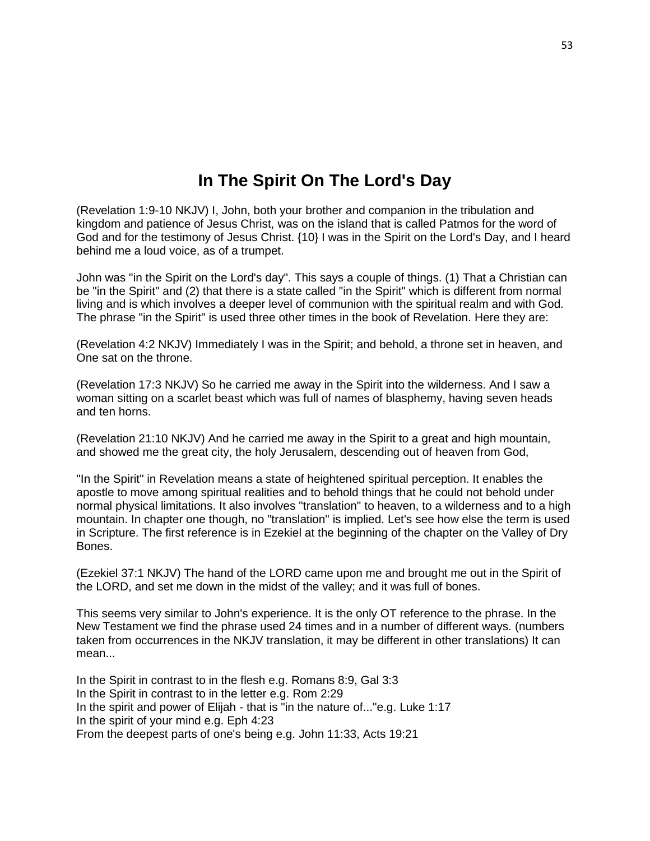# **In The Spirit On The Lord's Day**

(Revelation 1:9-10 NKJV) I, John, both your brother and companion in the tribulation and kingdom and patience of Jesus Christ, was on the island that is called Patmos for the word of God and for the testimony of Jesus Christ. {10} I was in the Spirit on the Lord's Day, and I heard behind me a loud voice, as of a trumpet.

John was "in the Spirit on the Lord's day". This says a couple of things. (1) That a Christian can be "in the Spirit" and (2) that there is a state called "in the Spirit" which is different from normal living and is which involves a deeper level of communion with the spiritual realm and with God. The phrase "in the Spirit" is used three other times in the book of Revelation. Here they are:

(Revelation 4:2 NKJV) Immediately I was in the Spirit; and behold, a throne set in heaven, and One sat on the throne.

(Revelation 17:3 NKJV) So he carried me away in the Spirit into the wilderness. And I saw a woman sitting on a scarlet beast which was full of names of blasphemy, having seven heads and ten horns.

(Revelation 21:10 NKJV) And he carried me away in the Spirit to a great and high mountain, and showed me the great city, the holy Jerusalem, descending out of heaven from God,

"In the Spirit" in Revelation means a state of heightened spiritual perception. It enables the apostle to move among spiritual realities and to behold things that he could not behold under normal physical limitations. It also involves "translation" to heaven, to a wilderness and to a high mountain. In chapter one though, no "translation" is implied. Let's see how else the term is used in Scripture. The first reference is in Ezekiel at the beginning of the chapter on the Valley of Dry Bones.

(Ezekiel 37:1 NKJV) The hand of the LORD came upon me and brought me out in the Spirit of the LORD, and set me down in the midst of the valley; and it was full of bones.

This seems very similar to John's experience. It is the only OT reference to the phrase. In the New Testament we find the phrase used 24 times and in a number of different ways. (numbers taken from occurrences in the NKJV translation, it may be different in other translations) It can mean...

In the Spirit in contrast to in the flesh e.g. Romans 8:9, Gal 3:3 In the Spirit in contrast to in the letter e.g. Rom 2:29 In the spirit and power of Elijah - that is "in the nature of..."e.g. Luke 1:17 In the spirit of your mind e.g. Eph 4:23 From the deepest parts of one's being e.g. John 11:33, Acts 19:21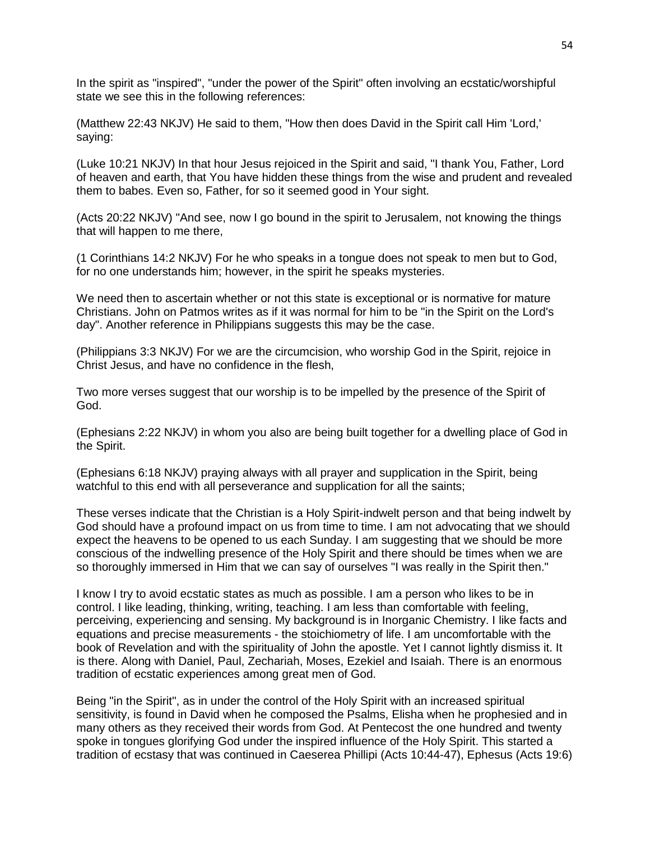In the spirit as "inspired", "under the power of the Spirit" often involving an ecstatic/worshipful state we see this in the following references:

(Matthew 22:43 NKJV) He said to them, "How then does David in the Spirit call Him 'Lord,' saying:

(Luke 10:21 NKJV) In that hour Jesus rejoiced in the Spirit and said, "I thank You, Father, Lord of heaven and earth, that You have hidden these things from the wise and prudent and revealed them to babes. Even so, Father, for so it seemed good in Your sight.

(Acts 20:22 NKJV) "And see, now I go bound in the spirit to Jerusalem, not knowing the things that will happen to me there,

(1 Corinthians 14:2 NKJV) For he who speaks in a tongue does not speak to men but to God, for no one understands him; however, in the spirit he speaks mysteries.

We need then to ascertain whether or not this state is exceptional or is normative for mature Christians. John on Patmos writes as if it was normal for him to be "in the Spirit on the Lord's day". Another reference in Philippians suggests this may be the case.

(Philippians 3:3 NKJV) For we are the circumcision, who worship God in the Spirit, rejoice in Christ Jesus, and have no confidence in the flesh,

Two more verses suggest that our worship is to be impelled by the presence of the Spirit of God.

(Ephesians 2:22 NKJV) in whom you also are being built together for a dwelling place of God in the Spirit.

(Ephesians 6:18 NKJV) praying always with all prayer and supplication in the Spirit, being watchful to this end with all perseverance and supplication for all the saints;

These verses indicate that the Christian is a Holy Spirit-indwelt person and that being indwelt by God should have a profound impact on us from time to time. I am not advocating that we should expect the heavens to be opened to us each Sunday. I am suggesting that we should be more conscious of the indwelling presence of the Holy Spirit and there should be times when we are so thoroughly immersed in Him that we can say of ourselves "I was really in the Spirit then."

I know I try to avoid ecstatic states as much as possible. I am a person who likes to be in control. I like leading, thinking, writing, teaching. I am less than comfortable with feeling, perceiving, experiencing and sensing. My background is in Inorganic Chemistry. I like facts and equations and precise measurements - the stoichiometry of life. I am uncomfortable with the book of Revelation and with the spirituality of John the apostle. Yet I cannot lightly dismiss it. It is there. Along with Daniel, Paul, Zechariah, Moses, Ezekiel and Isaiah. There is an enormous tradition of ecstatic experiences among great men of God.

Being "in the Spirit", as in under the control of the Holy Spirit with an increased spiritual sensitivity, is found in David when he composed the Psalms, Elisha when he prophesied and in many others as they received their words from God. At Pentecost the one hundred and twenty spoke in tongues glorifying God under the inspired influence of the Holy Spirit. This started a tradition of ecstasy that was continued in Caeserea Phillipi (Acts 10:44-47), Ephesus (Acts 19:6)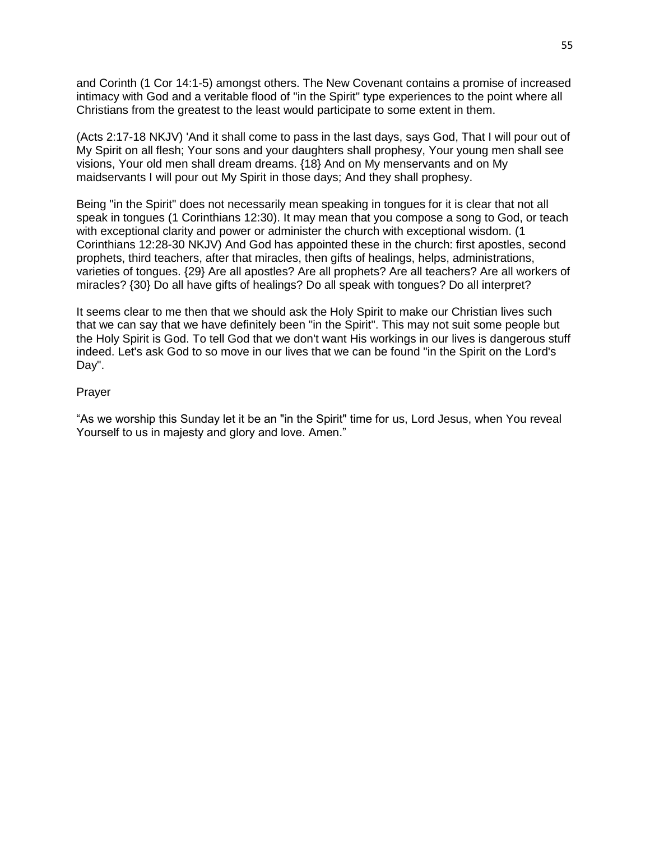and Corinth (1 Cor 14:1-5) amongst others. The New Covenant contains a promise of increased intimacy with God and a veritable flood of "in the Spirit" type experiences to the point where all Christians from the greatest to the least would participate to some extent in them.

(Acts 2:17-18 NKJV) 'And it shall come to pass in the last days, says God, That I will pour out of My Spirit on all flesh; Your sons and your daughters shall prophesy, Your young men shall see visions, Your old men shall dream dreams. {18} And on My menservants and on My maidservants I will pour out My Spirit in those days; And they shall prophesy.

Being "in the Spirit" does not necessarily mean speaking in tongues for it is clear that not all speak in tongues (1 Corinthians 12:30). It may mean that you compose a song to God, or teach with exceptional clarity and power or administer the church with exceptional wisdom. (1 Corinthians 12:28-30 NKJV) And God has appointed these in the church: first apostles, second prophets, third teachers, after that miracles, then gifts of healings, helps, administrations, varieties of tongues. {29} Are all apostles? Are all prophets? Are all teachers? Are all workers of miracles? {30} Do all have gifts of healings? Do all speak with tongues? Do all interpret?

It seems clear to me then that we should ask the Holy Spirit to make our Christian lives such that we can say that we have definitely been "in the Spirit". This may not suit some people but the Holy Spirit is God. To tell God that we don't want His workings in our lives is dangerous stuff indeed. Let's ask God to so move in our lives that we can be found "in the Spirit on the Lord's Day".

#### Prayer

"As we worship this Sunday let it be an "in the Spirit" time for us, Lord Jesus, when You reveal Yourself to us in majesty and glory and love. Amen."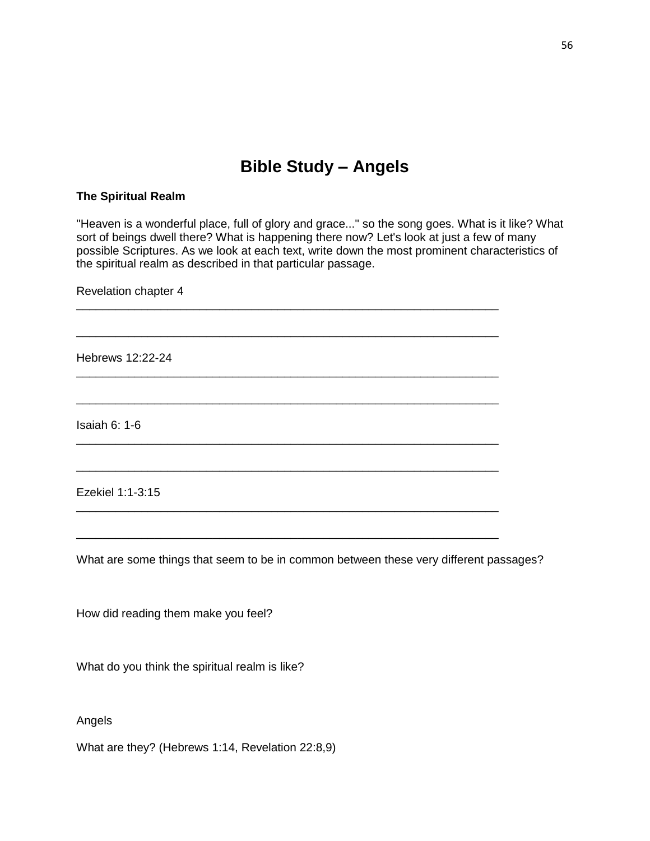# **Bible Study – Angels**

#### **The Spiritual Realm**

"Heaven is a wonderful place, full of glory and grace..." so the song goes. What is it like? What sort of beings dwell there? What is happening there now? Let's look at just a few of many possible Scriptures. As we look at each text, write down the most prominent characteristics of the spiritual realm as described in that particular passage.

\_\_\_\_\_\_\_\_\_\_\_\_\_\_\_\_\_\_\_\_\_\_\_\_\_\_\_\_\_\_\_\_\_\_\_\_\_\_\_\_\_\_\_\_\_\_\_\_\_\_\_\_\_\_\_\_\_\_\_\_\_\_\_\_\_

\_\_\_\_\_\_\_\_\_\_\_\_\_\_\_\_\_\_\_\_\_\_\_\_\_\_\_\_\_\_\_\_\_\_\_\_\_\_\_\_\_\_\_\_\_\_\_\_\_\_\_\_\_\_\_\_\_\_\_\_\_\_\_\_\_

\_\_\_\_\_\_\_\_\_\_\_\_\_\_\_\_\_\_\_\_\_\_\_\_\_\_\_\_\_\_\_\_\_\_\_\_\_\_\_\_\_\_\_\_\_\_\_\_\_\_\_\_\_\_\_\_\_\_\_\_\_\_\_\_\_

\_\_\_\_\_\_\_\_\_\_\_\_\_\_\_\_\_\_\_\_\_\_\_\_\_\_\_\_\_\_\_\_\_\_\_\_\_\_\_\_\_\_\_\_\_\_\_\_\_\_\_\_\_\_\_\_\_\_\_\_\_\_\_\_\_

\_\_\_\_\_\_\_\_\_\_\_\_\_\_\_\_\_\_\_\_\_\_\_\_\_\_\_\_\_\_\_\_\_\_\_\_\_\_\_\_\_\_\_\_\_\_\_\_\_\_\_\_\_\_\_\_\_\_\_\_\_\_\_\_\_

\_\_\_\_\_\_\_\_\_\_\_\_\_\_\_\_\_\_\_\_\_\_\_\_\_\_\_\_\_\_\_\_\_\_\_\_\_\_\_\_\_\_\_\_\_\_\_\_\_\_\_\_\_\_\_\_\_\_\_\_\_\_\_\_\_

\_\_\_\_\_\_\_\_\_\_\_\_\_\_\_\_\_\_\_\_\_\_\_\_\_\_\_\_\_\_\_\_\_\_\_\_\_\_\_\_\_\_\_\_\_\_\_\_\_\_\_\_\_\_\_\_\_\_\_\_\_\_\_\_\_

\_\_\_\_\_\_\_\_\_\_\_\_\_\_\_\_\_\_\_\_\_\_\_\_\_\_\_\_\_\_\_\_\_\_\_\_\_\_\_\_\_\_\_\_\_\_\_\_\_\_\_\_\_\_\_\_\_\_\_\_\_\_\_\_\_

Revelation chapter 4

Hebrews 12:22-24

Isaiah 6: 1-6

Ezekiel 1:1-3:15

What are some things that seem to be in common between these very different passages?

How did reading them make you feel?

What do you think the spiritual realm is like?

Angels

What are they? (Hebrews 1:14, Revelation 22:8,9)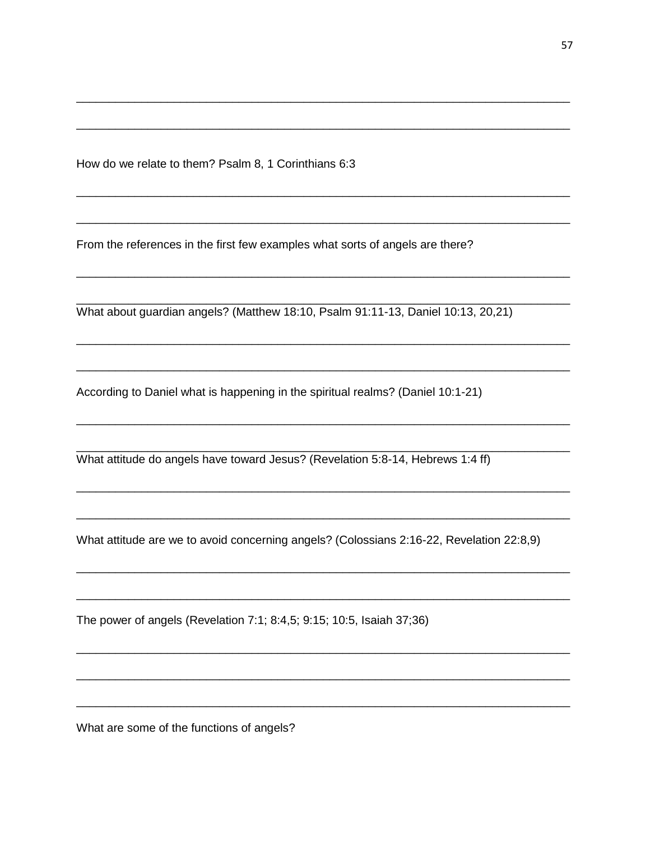How do we relate to them? Psalm 8, 1 Corinthians 6:3

From the references in the first few examples what sorts of angels are there?

What about guardian angels? (Matthew 18:10, Psalm 91:11-13, Daniel 10:13, 20,21)

According to Daniel what is happening in the spiritual realms? (Daniel 10:1-21)

What attitude do angels have toward Jesus? (Revelation 5:8-14, Hebrews 1:4 ff)

What attitude are we to avoid concerning angels? (Colossians 2:16-22, Revelation 22:8,9)

The power of angels (Revelation 7:1; 8:4,5; 9:15; 10:5, Isaiah 37;36)

What are some of the functions of angels?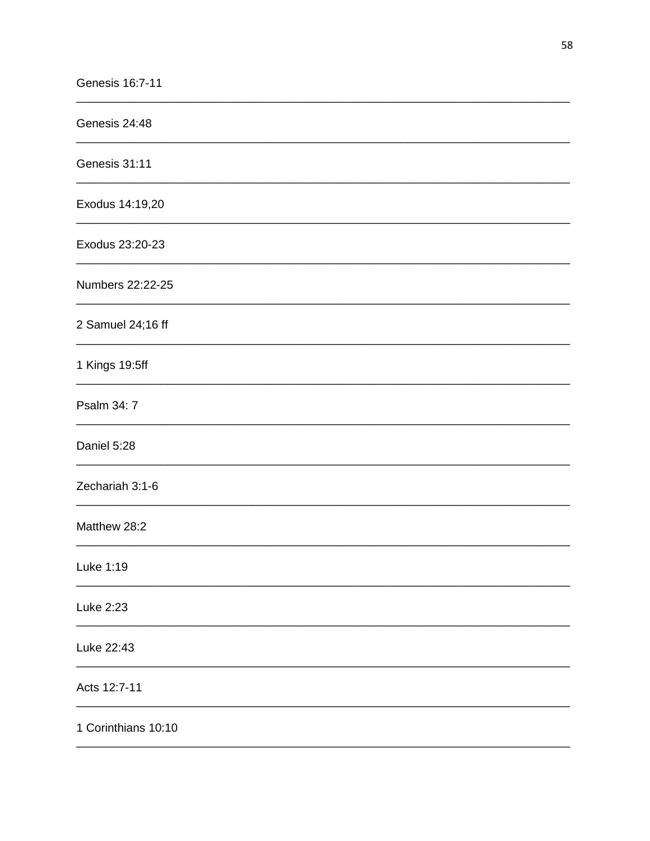| Genesis 24:48       |
|---------------------|
| Genesis 31:11       |
| Exodus 14:19,20     |
| Exodus 23:20-23     |
| Numbers 22:22-25    |
| 2 Samuel 24;16 ff   |
| 1 Kings 19:5ff      |
| Psalm 34: 7         |
| Daniel 5:28         |
| Zechariah 3:1-6     |
| Matthew 28:2        |
| Luke 1:19           |
| Luke 2:23           |
| Luke 22:43          |
| Acts 12:7-11        |
| 1 Corinthians 10:10 |